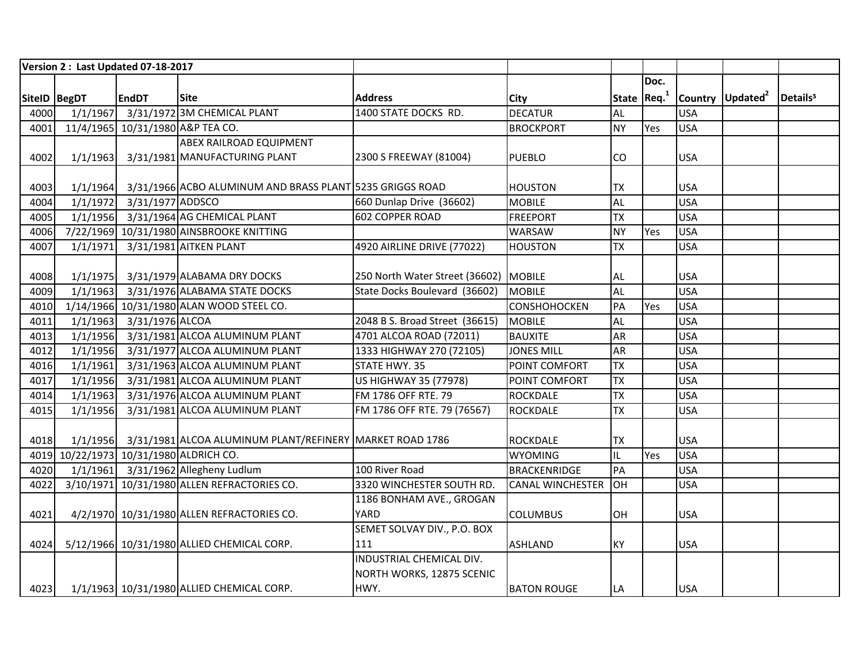|              |          | Version 2: Last Updated 07-18-2017 |                                                                   |                                       |                         |              |      |            |                              |                      |
|--------------|----------|------------------------------------|-------------------------------------------------------------------|---------------------------------------|-------------------------|--------------|------|------------|------------------------------|----------------------|
|              |          |                                    |                                                                   |                                       |                         |              | Doc. |            |                              |                      |
| SiteID BegDT |          | <b>EndDT</b>                       | <b>Site</b>                                                       | <b>Address</b>                        | <b>City</b>             | State $Req1$ |      |            | Country Updated <sup>2</sup> | Details <sup>3</sup> |
| 4000         | 1/1/1967 |                                    | 3/31/1972 3M CHEMICAL PLANT                                       | 1400 STATE DOCKS RD.                  | <b>DECATUR</b>          | AL           |      | <b>USA</b> |                              |                      |
| 4001         |          | 11/4/1965 10/31/1980 A&P TEA CO.   |                                                                   |                                       | <b>BROCKPORT</b>        | <b>NY</b>    | Yes  | <b>USA</b> |                              |                      |
|              |          |                                    | <b>ABEX RAILROAD EQUIPMENT</b>                                    |                                       |                         |              |      |            |                              |                      |
| 4002         | 1/1/1963 |                                    | 3/31/1981 MANUFACTURING PLANT                                     | 2300 S FREEWAY (81004)                | <b>PUEBLO</b>           | CO           |      | <b>USA</b> |                              |                      |
|              |          |                                    |                                                                   |                                       |                         |              |      |            |                              |                      |
| 4003         | 1/1/1964 |                                    | 3/31/1966 ACBO ALUMINUM AND BRASS PLANT 5235 GRIGGS ROAD          |                                       | <b>HOUSTON</b>          | <b>TX</b>    |      | <b>USA</b> |                              |                      |
| 4004         | 1/1/1972 | 3/31/1977 ADDSCO                   |                                                                   | 660 Dunlap Drive (36602)              | <b>MOBILE</b>           | AL           |      | <b>USA</b> |                              |                      |
| 4005         | 1/1/1956 |                                    | 3/31/1964 AG CHEMICAL PLANT                                       | 602 COPPER ROAD                       | <b>FREEPORT</b>         | <b>TX</b>    |      | <b>USA</b> |                              |                      |
| 4006         |          |                                    | 7/22/1969 10/31/1980 AINSBROOKE KNITTING                          |                                       | WARSAW                  | <b>NY</b>    | Yes  | <b>USA</b> |                              |                      |
| 4007         | 1/1/1971 |                                    | 3/31/1981 AITKEN PLANT                                            | 4920 AIRLINE DRIVE (77022)            | <b>HOUSTON</b>          | <b>TX</b>    |      | <b>USA</b> |                              |                      |
|              |          |                                    |                                                                   |                                       |                         |              |      |            |                              |                      |
| 4008         | 1/1/1975 |                                    | 3/31/1979 ALABAMA DRY DOCKS                                       | 250 North Water Street (36602) MOBILE |                         | AL           |      | <b>USA</b> |                              |                      |
| 4009         | 1/1/1963 |                                    | 3/31/1976 ALABAMA STATE DOCKS                                     | State Docks Boulevard (36602)         | <b>MOBILE</b>           | AL           |      | <b>USA</b> |                              |                      |
| 4010         |          |                                    | 1/14/1966 10/31/1980 ALAN WOOD STEEL CO.                          |                                       | <b>CONSHOHOCKEN</b>     | PA           | Yes  | <b>USA</b> |                              |                      |
| 4011         | 1/1/1963 | 3/31/1976 ALCOA                    |                                                                   | 2048 B S. Broad Street (36615)        | <b>MOBILE</b>           | AL           |      | <b>USA</b> |                              |                      |
| 4013         | 1/1/1956 |                                    | 3/31/1981 ALCOA ALUMINUM PLANT                                    | 4701 ALCOA ROAD (72011)               | <b>BAUXITE</b>          | AR           |      | <b>USA</b> |                              |                      |
| 4012         | 1/1/1956 |                                    | 3/31/1977 ALCOA ALUMINUM PLANT                                    | 1333 HIGHWAY 270 (72105)              | <b>JONES MILL</b>       | AR           |      | <b>USA</b> |                              |                      |
| 4016         | 1/1/1961 |                                    | 3/31/1963 ALCOA ALUMINUM PLANT                                    | STATE HWY. 35                         | POINT COMFORT           | <b>TX</b>    |      | <b>USA</b> |                              |                      |
| 4017         | 1/1/1956 |                                    | 3/31/1981 ALCOA ALUMINUM PLANT                                    | US HIGHWAY 35 (77978)                 | POINT COMFORT           | <b>TX</b>    |      | <b>USA</b> |                              |                      |
| 4014         | 1/1/1963 |                                    | 3/31/1976 ALCOA ALUMINUM PLANT                                    | FM 1786 OFF RTE. 79                   | <b>ROCKDALE</b>         | <b>TX</b>    |      | <b>USA</b> |                              |                      |
| 4015         | 1/1/1956 |                                    | 3/31/1981 ALCOA ALUMINUM PLANT                                    | FM 1786 OFF RTE. 79 (76567)           | <b>ROCKDALE</b>         | <b>TX</b>    |      | <b>USA</b> |                              |                      |
|              |          |                                    |                                                                   |                                       |                         |              |      |            |                              |                      |
| 4018         |          |                                    | 1/1/1956 3/31/1981 ALCOA ALUMINUM PLANT/REFINERY MARKET ROAD 1786 |                                       | <b>ROCKDALE</b>         | <b>TX</b>    |      | <b>USA</b> |                              |                      |
|              |          |                                    | 4019 10/22/1973 10/31/1980 ALDRICH CO.                            |                                       | <b>WYOMING</b>          | IL           | Yes  | <b>USA</b> |                              |                      |
| 4020         |          |                                    | 1/1/1961 3/31/1962 Allegheny Ludlum                               | 100 River Road                        | <b>BRACKENRIDGE</b>     | PA           |      | <b>USA</b> |                              |                      |
| 4022         |          |                                    | 3/10/1971 10/31/1980 ALLEN REFRACTORIES CO.                       | 3320 WINCHESTER SOUTH RD.             | <b>CANAL WINCHESTER</b> | Iон          |      | <b>USA</b> |                              |                      |
|              |          |                                    |                                                                   | 1186 BONHAM AVE., GROGAN              |                         |              |      |            |                              |                      |
| 4021         |          |                                    | 4/2/1970 10/31/1980 ALLEN REFRACTORIES CO.                        | YARD                                  | <b>COLUMBUS</b>         | OH           |      | <b>USA</b> |                              |                      |
|              |          |                                    |                                                                   | SEMET SOLVAY DIV., P.O. BOX           |                         |              |      |            |                              |                      |
| 4024         |          |                                    | 5/12/1966 10/31/1980 ALLIED CHEMICAL CORP.                        | 111                                   | <b>ASHLAND</b>          | <b>KY</b>    |      | <b>USA</b> |                              |                      |
|              |          |                                    |                                                                   | INDUSTRIAL CHEMICAL DIV.              |                         |              |      |            |                              |                      |
|              |          |                                    |                                                                   | NORTH WORKS, 12875 SCENIC             |                         |              |      |            |                              |                      |
| 4023         |          |                                    | 1/1/1963 10/31/1980 ALLIED CHEMICAL CORP.                         | HWY.                                  | <b>BATON ROUGE</b>      | LA           |      | <b>USA</b> |                              |                      |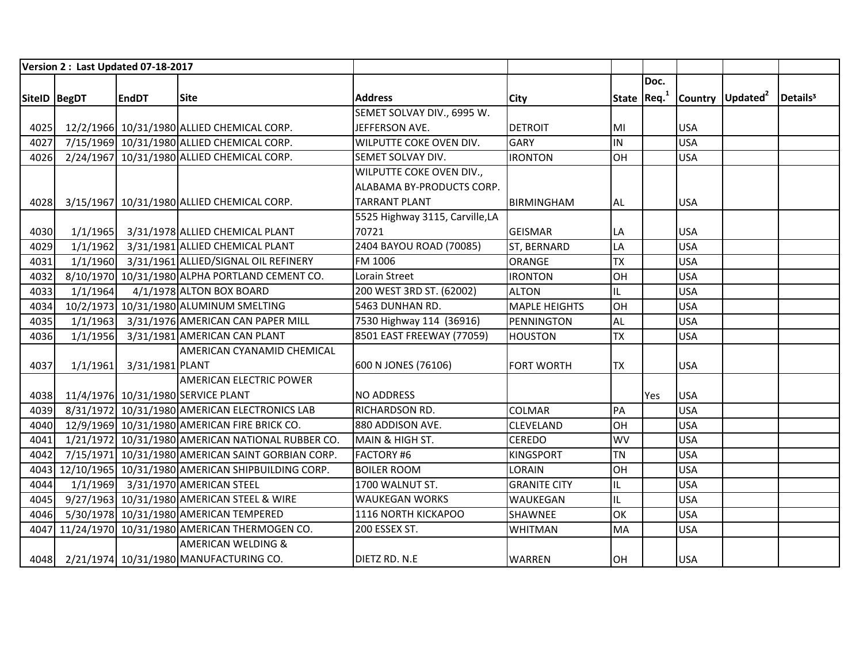|                | Version 2: Last Updated 07-18-2017 |                 |                                                        |                                 |                      |           |              |            |                              |                      |
|----------------|------------------------------------|-----------------|--------------------------------------------------------|---------------------------------|----------------------|-----------|--------------|------------|------------------------------|----------------------|
|                |                                    |                 |                                                        |                                 |                      |           | Doc.         |            |                              |                      |
| SitelD   BegDT |                                    | <b>EndDT</b>    | <b>Site</b>                                            | <b>Address</b>                  | <b>City</b>          |           | State $Req1$ |            | Country Updated <sup>2</sup> | Details <sup>3</sup> |
|                |                                    |                 |                                                        | SEMET SOLVAY DIV., 6995 W.      |                      |           |              |            |                              |                      |
| 4025           |                                    |                 | 12/2/1966 10/31/1980 ALLIED CHEMICAL CORP.             | JEFFERSON AVE.                  | <b>DETROIT</b>       | MI        |              | <b>USA</b> |                              |                      |
| 4027           |                                    |                 | 7/15/1969 10/31/1980 ALLIED CHEMICAL CORP.             | WILPUTTE COKE OVEN DIV.         | <b>GARY</b>          | IN        |              | <b>USA</b> |                              |                      |
| 4026           |                                    |                 | 2/24/1967 10/31/1980 ALLIED CHEMICAL CORP.             | SEMET SOLVAY DIV.               | <b>IRONTON</b>       | OH        |              | <b>USA</b> |                              |                      |
|                |                                    |                 |                                                        | WILPUTTE COKE OVEN DIV.,        |                      |           |              |            |                              |                      |
|                |                                    |                 |                                                        | ALABAMA BY-PRODUCTS CORP.       |                      |           |              |            |                              |                      |
| 4028           |                                    |                 | 3/15/1967 10/31/1980 ALLIED CHEMICAL CORP.             | <b>TARRANT PLANT</b>            | <b>BIRMINGHAM</b>    | <b>AL</b> |              | <b>USA</b> |                              |                      |
|                |                                    |                 |                                                        | 5525 Highway 3115, Carville, LA |                      |           |              |            |                              |                      |
| 4030           | 1/1/1965                           |                 | 3/31/1978 ALLIED CHEMICAL PLANT                        | 70721                           | <b>GEISMAR</b>       | LA        |              | <b>USA</b> |                              |                      |
| 4029           | 1/1/1962                           |                 | 3/31/1981 ALLIED CHEMICAL PLANT                        | 2404 BAYOU ROAD (70085)         | ST, BERNARD          | LA        |              | <b>USA</b> |                              |                      |
| 4031           |                                    |                 | 1/1/1960 3/31/1961 ALLIED/SIGNAL OIL REFINERY          | FM 1006                         | <b>ORANGE</b>        | <b>TX</b> |              | <b>USA</b> |                              |                      |
| 4032           |                                    |                 | 8/10/1970 10/31/1980 ALPHA PORTLAND CEMENT CO.         | Lorain Street                   | <b>IRONTON</b>       | OH        |              | <b>USA</b> |                              |                      |
| 4033           | 1/1/1964                           |                 | 4/1/1978 ALTON BOX BOARD                               | 200 WEST 3RD ST. (62002)        | <b>ALTON</b>         | IL        |              | <b>USA</b> |                              |                      |
| 4034           |                                    |                 | 10/2/1973 10/31/1980 ALUMINUM SMELTING                 | 5463 DUNHAN RD.                 | <b>MAPLE HEIGHTS</b> | OH        |              | <b>USA</b> |                              |                      |
| 4035           |                                    |                 | 1/1/1963 3/31/1976 AMERICAN CAN PAPER MILL             | 7530 Highway 114 (36916)        | PENNINGTON           | <b>AL</b> |              | <b>USA</b> |                              |                      |
| 4036           | 1/1/1956                           |                 | 3/31/1981 AMERICAN CAN PLANT                           | 8501 EAST FREEWAY (77059)       | <b>HOUSTON</b>       | <b>TX</b> |              | <b>USA</b> |                              |                      |
|                |                                    |                 | AMERICAN CYANAMID CHEMICAL                             |                                 |                      |           |              |            |                              |                      |
| 4037           | 1/1/1961                           | 3/31/1981 PLANT |                                                        | 600 N JONES (76106)             | <b>FORT WORTH</b>    | <b>TX</b> |              | <b>USA</b> |                              |                      |
|                |                                    |                 | <b>AMERICAN ELECTRIC POWER</b>                         |                                 |                      |           |              |            |                              |                      |
| 4038           |                                    |                 | 11/4/1976 10/31/1980 SERVICE PLANT                     | <b>NO ADDRESS</b>               |                      |           | Yes          | <b>USA</b> |                              |                      |
| 4039           |                                    |                 | 8/31/1972 10/31/1980 AMERICAN ELECTRONICS LAB          | RICHARDSON RD.                  | <b>COLMAR</b>        | PA        |              | <b>USA</b> |                              |                      |
| 4040           |                                    |                 | 12/9/1969 10/31/1980 AMERICAN FIRE BRICK CO.           | 880 ADDISON AVE.                | <b>CLEVELAND</b>     | OH        |              | <b>USA</b> |                              |                      |
| 4041           |                                    |                 | 1/21/1972 10/31/1980 AMERICAN NATIONAL RUBBER CO.      | MAIN & HIGH ST.                 | <b>CEREDO</b>        | <b>WV</b> |              | <b>USA</b> |                              |                      |
| 4042           |                                    |                 | 7/15/1971 10/31/1980 AMERICAN SAINT GORBIAN CORP.      | FACTORY #6                      | <b>KINGSPORT</b>     | <b>TN</b> |              | <b>USA</b> |                              |                      |
|                |                                    |                 | 4043 12/10/1965 10/31/1980 AMERICAN SHIPBUILDING CORP. | <b>BOILER ROOM</b>              | LORAIN               | OH        |              | <b>USA</b> |                              |                      |
| 4044           |                                    |                 | 1/1/1969 3/31/1970 AMERICAN STEEL                      | 1700 WALNUT ST.                 | <b>GRANITE CITY</b>  | IL        |              | <b>USA</b> |                              |                      |
| 4045           |                                    |                 | 9/27/1963 10/31/1980 AMERICAN STEEL & WIRE             | <b>WAUKEGAN WORKS</b>           | WAUKEGAN             | IL        |              | <b>USA</b> |                              |                      |
| 4046           |                                    |                 | 5/30/1978 10/31/1980 AMERICAN TEMPERED                 | 1116 NORTH KICKAPOO             | SHAWNEE              | OK        |              | <b>USA</b> |                              |                      |
|                |                                    |                 | 4047 11/24/1970 10/31/1980 AMERICAN THERMOGEN CO.      | 200 ESSEX ST.                   | <b>WHITMAN</b>       | <b>MA</b> |              | <b>USA</b> |                              |                      |
|                |                                    |                 | <b>AMERICAN WELDING &amp;</b>                          |                                 |                      |           |              |            |                              |                      |
|                |                                    |                 | 4048 2/21/1974 10/31/1980 MANUFACTURING CO.            | DIETZ RD. N.E                   | <b>WARREN</b>        | OH        |              | <b>USA</b> |                              |                      |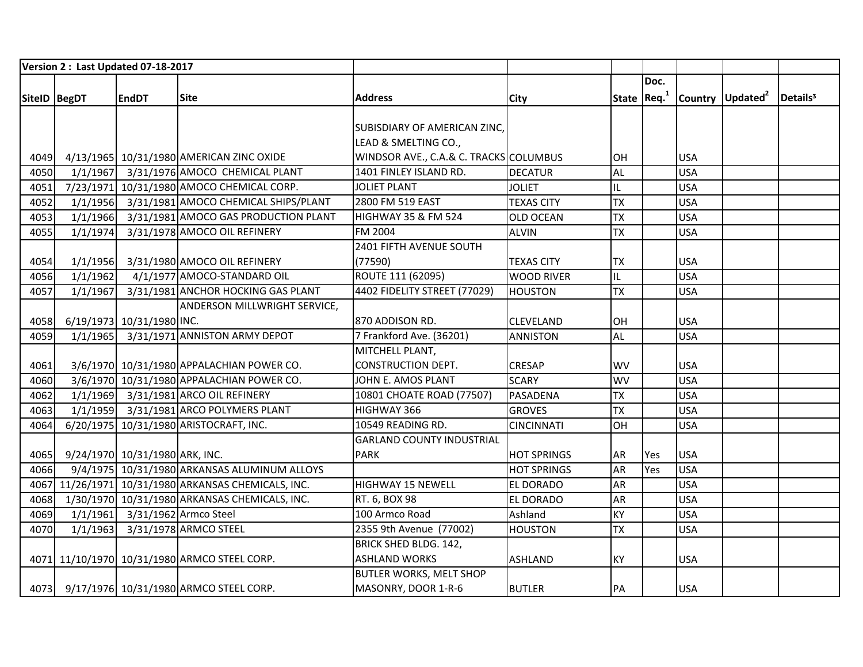|              |          | Version 2: Last Updated 07-18-2017 |                                                     |                                        |                    |           |              |            |                              |                      |
|--------------|----------|------------------------------------|-----------------------------------------------------|----------------------------------------|--------------------|-----------|--------------|------------|------------------------------|----------------------|
|              |          |                                    |                                                     |                                        |                    |           | Doc.         |            |                              |                      |
| SiteID BegDT |          | <b>EndDT</b>                       | <b>Site</b>                                         | <b>Address</b>                         | <b>City</b>        |           | State $Req1$ |            | Country Updated <sup>2</sup> | Details <sup>3</sup> |
|              |          |                                    |                                                     |                                        |                    |           |              |            |                              |                      |
|              |          |                                    |                                                     | SUBISDIARY OF AMERICAN ZINC,           |                    |           |              |            |                              |                      |
|              |          |                                    |                                                     | LEAD & SMELTING CO.,                   |                    |           |              |            |                              |                      |
| 4049         |          |                                    | 4/13/1965 10/31/1980 AMERICAN ZINC OXIDE            | WINDSOR AVE., C.A.& C. TRACKS COLUMBUS |                    | lОH       |              | <b>USA</b> |                              |                      |
| 4050         | 1/1/1967 |                                    | 3/31/1976 AMOCO CHEMICAL PLANT                      | 1401 FINLEY ISLAND RD.                 | <b>DECATUR</b>     | AL        |              | <b>USA</b> |                              |                      |
| 4051         |          |                                    | 7/23/1971 10/31/1980 AMOCO CHEMICAL CORP.           | <b>JOLIET PLANT</b>                    | <b>JOLIET</b>      | IL        |              | <b>USA</b> |                              |                      |
| 4052         | 1/1/1956 |                                    | 3/31/1981 AMOCO CHEMICAL SHIPS/PLANT                | 2800 FM 519 EAST                       | <b>TEXAS CITY</b>  | TX        |              | <b>USA</b> |                              |                      |
| 4053         | 1/1/1966 |                                    | 3/31/1981 AMOCO GAS PRODUCTION PLANT                | <b>HIGHWAY 35 &amp; FM 524</b>         | <b>OLD OCEAN</b>   | <b>TX</b> |              | <b>USA</b> |                              |                      |
| 4055         | 1/1/1974 |                                    | 3/31/1978 AMOCO OIL REFINERY                        | FM 2004                                | <b>ALVIN</b>       | <b>TX</b> |              | <b>USA</b> |                              |                      |
|              |          |                                    |                                                     | 2401 FIFTH AVENUE SOUTH                |                    |           |              |            |                              |                      |
| 4054         | 1/1/1956 |                                    | 3/31/1980 AMOCO OIL REFINERY                        | (77590)                                | <b>TEXAS CITY</b>  | <b>TX</b> |              | <b>USA</b> |                              |                      |
| 4056         | 1/1/1962 |                                    | 4/1/1977 AMOCO-STANDARD OIL                         | ROUTE 111 (62095)                      | <b>WOOD RIVER</b>  | IL        |              | <b>USA</b> |                              |                      |
| 4057         | 1/1/1967 |                                    | 3/31/1981 ANCHOR HOCKING GAS PLANT                  | 4402 FIDELITY STREET (77029)           | <b>HOUSTON</b>     | <b>TX</b> |              | <b>USA</b> |                              |                      |
|              |          |                                    | <b>ANDERSON MILLWRIGHT SERVICE,</b>                 |                                        |                    |           |              |            |                              |                      |
| 4058         |          | 6/19/1973 10/31/1980 INC.          |                                                     | 870 ADDISON RD.                        | <b>CLEVELAND</b>   | OH        |              | <b>USA</b> |                              |                      |
| 4059         | 1/1/1965 |                                    | 3/31/1971 ANNISTON ARMY DEPOT                       | 7 Frankford Ave. (36201)               | <b>ANNISTON</b>    | AL        |              | <b>USA</b> |                              |                      |
|              |          |                                    |                                                     | MITCHELL PLANT,                        |                    |           |              |            |                              |                      |
| 4061         |          |                                    | 3/6/1970 10/31/1980 APPALACHIAN POWER CO.           | <b>CONSTRUCTION DEPT.</b>              | <b>CRESAP</b>      | <b>WV</b> |              | <b>USA</b> |                              |                      |
| 4060         |          |                                    | 3/6/1970 10/31/1980 APPALACHIAN POWER CO.           | JOHN E. AMOS PLANT                     | <b>SCARY</b>       | <b>WV</b> |              | <b>USA</b> |                              |                      |
| 4062         |          |                                    | 1/1/1969 3/31/1981 ARCO OIL REFINERY                | 10801 CHOATE ROAD (77507)              | PASADENA           | <b>TX</b> |              | <b>USA</b> |                              |                      |
| 4063         |          |                                    | 1/1/1959 3/31/1981 ARCO POLYMERS PLANT              | HIGHWAY 366                            | <b>GROVES</b>      | <b>TX</b> |              | <b>USA</b> |                              |                      |
| 4064         |          |                                    | 6/20/1975 10/31/1980 ARISTOCRAFT, INC.              | 10549 READING RD.                      | <b>CINCINNATI</b>  | OH        |              | <b>USA</b> |                              |                      |
|              |          |                                    |                                                     | <b>GARLAND COUNTY INDUSTRIAL</b>       |                    |           |              |            |                              |                      |
| 4065         |          | 9/24/1970 10/31/1980 ARK, INC.     |                                                     | <b>PARK</b>                            | <b>HOT SPRINGS</b> | <b>AR</b> | Yes          | <b>USA</b> |                              |                      |
| 4066         |          |                                    | 9/4/1975 10/31/1980 ARKANSAS ALUMINUM ALLOYS        |                                        | <b>HOT SPRINGS</b> | <b>AR</b> | Yes          | <b>USA</b> |                              |                      |
|              |          |                                    | 4067 11/26/1971 10/31/1980 ARKANSAS CHEMICALS, INC. | <b>HIGHWAY 15 NEWELL</b>               | EL DORADO          | <b>AR</b> |              | <b>USA</b> |                              |                      |
| 4068         |          |                                    | 1/30/1970 10/31/1980 ARKANSAS CHEMICALS, INC.       | RT. 6, BOX 98                          | <b>EL DORADO</b>   | <b>AR</b> |              | <b>USA</b> |                              |                      |
| 4069         |          | 1/1/1961 3/31/1962 Armco Steel     |                                                     | 100 Armco Road                         | Ashland            | <b>KY</b> |              | <b>USA</b> |                              |                      |
| 4070         | 1/1/1963 |                                    | 3/31/1978 ARMCO STEEL                               | 2355 9th Avenue (77002)                | <b>HOUSTON</b>     | <b>TX</b> |              | <b>USA</b> |                              |                      |
|              |          |                                    |                                                     | BRICK SHED BLDG. 142,                  |                    |           |              |            |                              |                      |
|              |          |                                    | 4071 11/10/1970 10/31/1980 ARMCO STEEL CORP.        | <b>ASHLAND WORKS</b>                   | <b>ASHLAND</b>     | <b>KY</b> |              | <b>USA</b> |                              |                      |
|              |          |                                    |                                                     | BUTLER WORKS, MELT SHOP                |                    |           |              |            |                              |                      |
|              |          |                                    | 4073 9/17/1976 10/31/1980 ARMCO STEEL CORP.         | MASONRY, DOOR 1-R-6                    | <b>BUTLER</b>      | PA        |              | <b>USA</b> |                              |                      |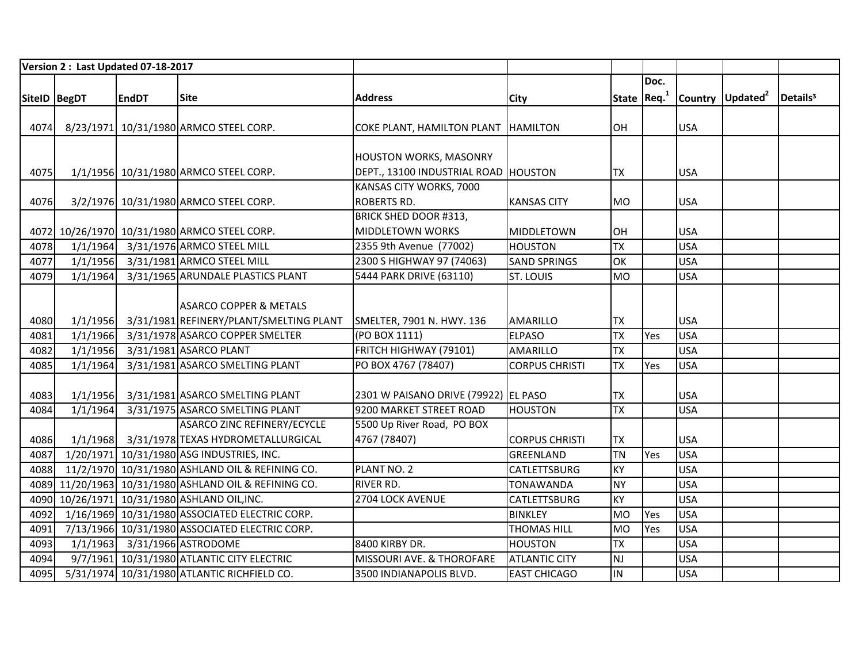|              | Version 2: Last Updated 07-18-2017 |              |                                                       |                                        |                       |           |              |            |                              |                      |
|--------------|------------------------------------|--------------|-------------------------------------------------------|----------------------------------------|-----------------------|-----------|--------------|------------|------------------------------|----------------------|
|              |                                    |              |                                                       |                                        |                       |           | Doc.         |            |                              |                      |
| SiteID BegDT |                                    | <b>EndDT</b> | <b>Site</b>                                           | <b>Address</b>                         | <b>City</b>           |           | State $Req1$ |            | Country Updated <sup>2</sup> | Details <sup>3</sup> |
|              |                                    |              |                                                       |                                        |                       |           |              |            |                              |                      |
| 4074         |                                    |              | 8/23/1971 10/31/1980 ARMCO STEEL CORP.                | COKE PLANT, HAMILTON PLANT   HAMILTON  |                       | OH        |              | <b>USA</b> |                              |                      |
|              |                                    |              |                                                       |                                        |                       |           |              |            |                              |                      |
|              |                                    |              |                                                       | HOUSTON WORKS, MASONRY                 |                       |           |              |            |                              |                      |
| 4075         |                                    |              | 1/1/1956 10/31/1980 ARMCO STEEL CORP.                 | DEPT., 13100 INDUSTRIAL ROAD   HOUSTON |                       | <b>TX</b> |              | <b>USA</b> |                              |                      |
|              |                                    |              |                                                       | KANSAS CITY WORKS, 7000                |                       |           |              |            |                              |                      |
| 4076         |                                    |              | 3/2/1976 10/31/1980 ARMCO STEEL CORP.                 | <b>ROBERTS RD.</b>                     | <b>KANSAS CITY</b>    | <b>MO</b> |              | <b>USA</b> |                              |                      |
|              |                                    |              |                                                       | BRICK SHED DOOR #313,                  |                       |           |              |            |                              |                      |
|              |                                    |              | 4072 10/26/1970 10/31/1980 ARMCO STEEL CORP.          | <b>MIDDLETOWN WORKS</b>                | <b>MIDDLETOWN</b>     | OH        |              | <b>USA</b> |                              |                      |
| 4078         |                                    |              | 1/1/1964 3/31/1976 ARMCO STEEL MILL                   | 2355 9th Avenue (77002)                | <b>HOUSTON</b>        | <b>TX</b> |              | <b>USA</b> |                              |                      |
| 4077         |                                    |              | 1/1/1956 3/31/1981 ARMCO STEEL MILL                   | 2300 S HIGHWAY 97 (74063)              | <b>SAND SPRINGS</b>   | OK        |              | <b>USA</b> |                              |                      |
| 4079         | 1/1/1964                           |              | 3/31/1965 ARUNDALE PLASTICS PLANT                     | 5444 PARK DRIVE (63110)                | <b>ST. LOUIS</b>      | <b>MO</b> |              | <b>USA</b> |                              |                      |
|              |                                    |              |                                                       |                                        |                       |           |              |            |                              |                      |
|              |                                    |              | <b>ASARCO COPPER &amp; METALS</b>                     |                                        |                       |           |              |            |                              |                      |
| 4080         | 1/1/1956                           |              | 3/31/1981 REFINERY/PLANT/SMELTING PLANT               | SMELTER, 7901 N. HWY. 136              | <b>AMARILLO</b>       | <b>TX</b> |              | <b>USA</b> |                              |                      |
| 4081         | 1/1/1966                           |              | 3/31/1978 ASARCO COPPER SMELTER                       | (PO BOX 1111)                          | <b>ELPASO</b>         | <b>TX</b> | Yes          | <b>USA</b> |                              |                      |
| 4082         | 1/1/1956                           |              | 3/31/1981 ASARCO PLANT                                | FRITCH HIGHWAY (79101)                 | <b>AMARILLO</b>       | <b>TX</b> |              | <b>USA</b> |                              |                      |
| 4085         | 1/1/1964                           |              | 3/31/1981 ASARCO SMELTING PLANT                       | PO BOX 4767 (78407)                    | <b>CORPUS CHRISTI</b> | <b>TX</b> | Yes          | <b>USA</b> |                              |                      |
|              |                                    |              |                                                       |                                        |                       |           |              |            |                              |                      |
| 4083         | 1/1/1956                           |              | 3/31/1981 ASARCO SMELTING PLANT                       | 2301 W PAISANO DRIVE (79922) EL PASO   |                       | <b>TX</b> |              | <b>USA</b> |                              |                      |
| 4084         | 1/1/1964                           |              | 3/31/1975 ASARCO SMELTING PLANT                       | 9200 MARKET STREET ROAD                | <b>HOUSTON</b>        | <b>TX</b> |              | <b>USA</b> |                              |                      |
|              |                                    |              | ASARCO ZINC REFINERY/ECYCLE                           | 5500 Up River Road, PO BOX             |                       |           |              |            |                              |                      |
| 4086         |                                    |              | 1/1/1968 3/31/1978 TEXAS HYDROMETALLURGICAL           | 4767 (78407)                           | <b>CORPUS CHRISTI</b> | <b>TX</b> |              | <b>USA</b> |                              |                      |
| 4087         |                                    |              | 1/20/1971 10/31/1980 ASG INDUSTRIES, INC.             |                                        | <b>GREENLAND</b>      | <b>TN</b> | Yes          | <b>USA</b> |                              |                      |
| 4088         |                                    |              | 11/2/1970 10/31/1980 ASHLAND OIL & REFINING CO.       | PLANT NO. 2                            | CATLETTSBURG          | KY        |              | <b>USA</b> |                              |                      |
|              |                                    |              | 4089 11/20/1963 10/31/1980 ASHLAND OIL & REFINING CO. | <b>RIVER RD.</b>                       | <b>TONAWANDA</b>      | <b>NY</b> |              | <b>USA</b> |                              |                      |
|              |                                    |              | 4090 10/26/1971 10/31/1980 ASHLAND OIL, INC.          | 2704 LOCK AVENUE                       | <b>CATLETTSBURG</b>   | KY        |              | <b>USA</b> |                              |                      |
| 4092         |                                    |              | 1/16/1969 10/31/1980 ASSOCIATED ELECTRIC CORP.        |                                        | <b>BINKLEY</b>        | <b>MO</b> | Yes          | <b>USA</b> |                              |                      |
| 4091         |                                    |              | 7/13/1966 10/31/1980 ASSOCIATED ELECTRIC CORP.        |                                        | <b>THOMAS HILL</b>    | <b>MO</b> | Yes          | <b>USA</b> |                              |                      |
| 4093         |                                    |              | 1/1/1963 3/31/1966 ASTRODOME                          | 8400 KIRBY DR.                         | <b>HOUSTON</b>        | <b>TX</b> |              | <b>USA</b> |                              |                      |
| 4094         |                                    |              | 9/7/1961 10/31/1980 ATLANTIC CITY ELECTRIC            | MISSOURI AVE. & THOROFARE              | <b>ATLANTIC CITY</b>  | <b>NJ</b> |              | <b>USA</b> |                              |                      |
| 4095         |                                    |              | 5/31/1974 10/31/1980 ATLANTIC RICHFIELD CO.           | 3500 INDIANAPOLIS BLVD.                | <b>EAST CHICAGO</b>   | <b>IN</b> |              | <b>USA</b> |                              |                      |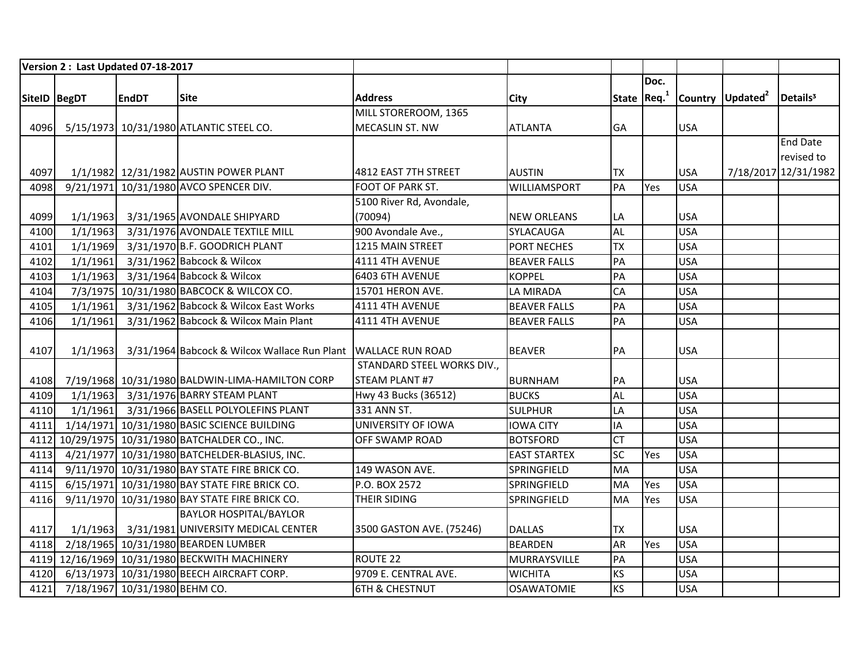|               |          | Version 2: Last Updated 07-18-2017 |                                                               |                            |                     |           |              |            |                              |                      |
|---------------|----------|------------------------------------|---------------------------------------------------------------|----------------------------|---------------------|-----------|--------------|------------|------------------------------|----------------------|
|               |          |                                    |                                                               |                            |                     |           | Doc.         |            |                              |                      |
| SitelD  BegDT |          | <b>EndDT</b>                       | <b>Site</b>                                                   | <b>Address</b>             | <b>City</b>         |           | State $Req1$ |            | Country Updated <sup>2</sup> | Details <sup>3</sup> |
|               |          |                                    |                                                               | MILL STOREROOM, 1365       |                     |           |              |            |                              |                      |
| 4096          |          |                                    | 5/15/1973 10/31/1980 ATLANTIC STEEL CO.                       | <b>MECASLIN ST. NW</b>     | <b>ATLANTA</b>      | <b>GA</b> |              | <b>USA</b> |                              |                      |
|               |          |                                    |                                                               |                            |                     |           |              |            |                              | <b>End Date</b>      |
|               |          |                                    |                                                               |                            |                     |           |              |            |                              | revised to           |
| 4097          |          |                                    | 1/1/1982 12/31/1982 AUSTIN POWER PLANT                        | 4812 EAST 7TH STREET       | <b>AUSTIN</b>       | <b>TX</b> |              | <b>USA</b> |                              | 7/18/2017 12/31/1982 |
| 4098          |          |                                    | 9/21/1971 10/31/1980 AVCO SPENCER DIV.                        | FOOT OF PARK ST.           | <b>WILLIAMSPORT</b> | PA        | Yes          | <b>USA</b> |                              |                      |
|               |          |                                    |                                                               | 5100 River Rd, Avondale,   |                     |           |              |            |                              |                      |
| 4099          | 1/1/1963 |                                    | 3/31/1965 AVONDALE SHIPYARD                                   | (70094)                    | <b>NEW ORLEANS</b>  | LA        |              | <b>USA</b> |                              |                      |
| 4100          | 1/1/1963 |                                    | 3/31/1976 AVONDALE TEXTILE MILL                               | 900 Avondale Ave.,         | SYLACAUGA           | <b>AL</b> |              | <b>USA</b> |                              |                      |
| 4101          | 1/1/1969 |                                    | 3/31/1970 B.F. GOODRICH PLANT                                 | 1215 MAIN STREET           | PORT NECHES         | <b>TX</b> |              | <b>USA</b> |                              |                      |
| 4102          | 1/1/1961 |                                    | 3/31/1962 Babcock & Wilcox                                    | 4111 4TH AVENUE            | <b>BEAVER FALLS</b> | PA        |              | <b>USA</b> |                              |                      |
| 4103          | 1/1/1963 |                                    | 3/31/1964 Babcock & Wilcox                                    | 6403 6TH AVENUE            | <b>KOPPEL</b>       | PA        |              | <b>USA</b> |                              |                      |
| 4104          |          |                                    | 7/3/1975 10/31/1980 BABCOCK & WILCOX CO.                      | 15701 HERON AVE.           | LA MIRADA           | <b>CA</b> |              | <b>USA</b> |                              |                      |
| 4105          | 1/1/1961 |                                    | 3/31/1962 Babcock & Wilcox East Works                         | 4111 4TH AVENUE            | <b>BEAVER FALLS</b> | PA        |              | <b>USA</b> |                              |                      |
| 4106          | 1/1/1961 |                                    | 3/31/1962 Babcock & Wilcox Main Plant                         | 4111 4TH AVENUE            | <b>BEAVER FALLS</b> | PA        |              | <b>USA</b> |                              |                      |
|               |          |                                    |                                                               |                            |                     |           |              |            |                              |                      |
| 4107          | 1/1/1963 |                                    | 3/31/1964 Babcock & Wilcox Wallace Run Plant WALLACE RUN ROAD |                            | <b>BEAVER</b>       | PA        |              | <b>USA</b> |                              |                      |
|               |          |                                    |                                                               | STANDARD STEEL WORKS DIV., |                     |           |              |            |                              |                      |
| 4108          |          |                                    | 7/19/1968 10/31/1980 BALDWIN-LIMA-HAMILTON CORP               | STEAM PLANT #7             | <b>BURNHAM</b>      | PA        |              | <b>USA</b> |                              |                      |
| 4109          |          |                                    | 1/1/1963 3/31/1976 BARRY STEAM PLANT                          | Hwy 43 Bucks (36512)       | <b>BUCKS</b>        | <b>AL</b> |              | <b>USA</b> |                              |                      |
| 4110          |          |                                    | 1/1/1961 3/31/1966 BASELL POLYOLEFINS PLANT                   | 331 ANN ST.                | <b>SULPHUR</b>      | LA        |              | <b>USA</b> |                              |                      |
| 4111          |          |                                    | 1/14/1971 10/31/1980 BASIC SCIENCE BUILDING                   | UNIVERSITY OF IOWA         | <b>IOWA CITY</b>    | IA        |              | <b>USA</b> |                              |                      |
|               |          |                                    | 4112 10/29/1975 10/31/1980 BATCHALDER CO., INC.               | <b>OFF SWAMP ROAD</b>      | <b>BOTSFORD</b>     | <b>CT</b> |              | <b>USA</b> |                              |                      |
| 4113          |          |                                    | 4/21/1977 10/31/1980 BATCHELDER-BLASIUS, INC.                 |                            | <b>EAST STARTEX</b> | SC        | Yes          | <b>USA</b> |                              |                      |
| 4114          |          |                                    | 9/11/1970 10/31/1980 BAY STATE FIRE BRICK CO.                 | 149 WASON AVE.             | SPRINGFIELD         | MA        |              | <b>USA</b> |                              |                      |
| 4115          |          |                                    | 6/15/1971 10/31/1980 BAY STATE FIRE BRICK CO.                 | P.O. BOX 2572              | SPRINGFIELD         | MA        | Yes          | <b>USA</b> |                              |                      |
| 4116          |          |                                    | 9/11/1970 10/31/1980 BAY STATE FIRE BRICK CO.                 | THEIR SIDING               | SPRINGFIELD         | MA        | Yes          | <b>USA</b> |                              |                      |
|               |          |                                    | <b>BAYLOR HOSPITAL/BAYLOR</b>                                 |                            |                     |           |              |            |                              |                      |
| 4117          | 1/1/1963 |                                    | 3/31/1981 UNIVERSITY MEDICAL CENTER                           | 3500 GASTON AVE. (75246)   | <b>DALLAS</b>       | <b>TX</b> |              | <b>USA</b> |                              |                      |
| 4118          |          |                                    | 2/18/1965 10/31/1980 BEARDEN LUMBER                           |                            | <b>BEARDEN</b>      | <b>AR</b> | Yes          | <b>USA</b> |                              |                      |
|               |          |                                    | 4119 12/16/1969 10/31/1980 BECKWITH MACHINERY                 | ROUTE 22                   | MURRAYSVILLE        | PA        |              | <b>USA</b> |                              |                      |
| 4120          |          |                                    | 6/13/1973 10/31/1980 BEECH AIRCRAFT CORP.                     | 9709 E. CENTRAL AVE.       | <b>WICHITA</b>      | <b>KS</b> |              | <b>USA</b> |                              |                      |
| 4121          |          | 7/18/1967 10/31/1980 BEHM CO.      |                                                               | <b>6TH &amp; CHESTNUT</b>  | <b>OSAWATOMIE</b>   | <b>KS</b> |              | <b>USA</b> |                              |                      |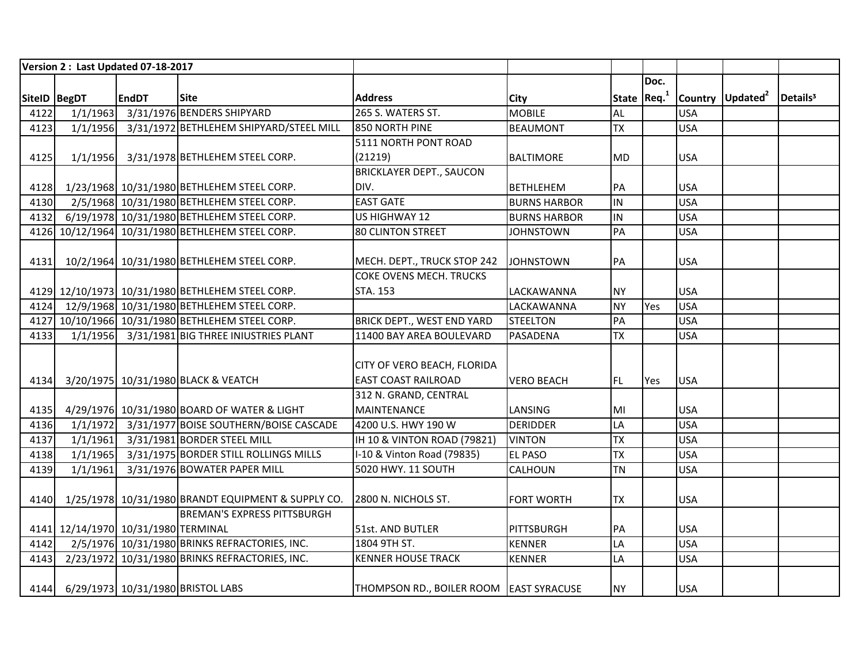|              |          | Version 2: Last Updated 07-18-2017  |                                                    |                                         |                     |           |              |            |                              |                      |
|--------------|----------|-------------------------------------|----------------------------------------------------|-----------------------------------------|---------------------|-----------|--------------|------------|------------------------------|----------------------|
|              |          |                                     |                                                    |                                         |                     |           | Doc.         |            |                              |                      |
| SiteID BegDT |          | <b>EndDT</b>                        | <b>Site</b>                                        | <b>Address</b>                          | City                |           | State $Req1$ |            | Country Updated <sup>2</sup> | Details <sup>3</sup> |
| 4122         | 1/1/1963 |                                     | 3/31/1976 BENDERS SHIPYARD                         | 265 S. WATERS ST.                       | <b>MOBILE</b>       | AL        |              | <b>USA</b> |                              |                      |
| 4123         | 1/1/1956 |                                     | 3/31/1972 BETHLEHEM SHIPYARD/STEEL MILL            | 850 NORTH PINE                          | <b>BEAUMONT</b>     | <b>TX</b> |              | <b>USA</b> |                              |                      |
|              |          |                                     |                                                    | 5111 NORTH PONT ROAD                    |                     |           |              |            |                              |                      |
| 4125         |          |                                     | 1/1/1956 3/31/1978 BETHLEHEM STEEL CORP.           | (21219)                                 | <b>BALTIMORE</b>    | <b>MD</b> |              | <b>USA</b> |                              |                      |
|              |          |                                     |                                                    | <b>BRICKLAYER DEPT., SAUCON</b>         |                     |           |              |            |                              |                      |
| 4128         |          |                                     | 1/23/1968 10/31/1980 BETHLEHEM STEEL CORP.         | DIV.                                    | <b>BETHLEHEM</b>    | PA        |              | <b>USA</b> |                              |                      |
| 4130         |          |                                     | 2/5/1968 10/31/1980 BETHLEHEM STEEL CORP.          | <b>EAST GATE</b>                        | <b>BURNS HARBOR</b> | IN        |              | <b>USA</b> |                              |                      |
| 4132         |          |                                     | 6/19/1978 10/31/1980 BETHLEHEM STEEL CORP.         | US HIGHWAY 12                           | <b>BURNS HARBOR</b> | IN        |              | <b>USA</b> |                              |                      |
|              |          |                                     | 4126 10/12/1964 10/31/1980 BETHLEHEM STEEL CORP.   | 80 CLINTON STREET                       | <b>JOHNSTOWN</b>    | PA        |              | <b>USA</b> |                              |                      |
|              |          |                                     |                                                    |                                         |                     |           |              |            |                              |                      |
| 4131         |          |                                     | 10/2/1964 10/31/1980 BETHLEHEM STEEL CORP.         | MECH. DEPT., TRUCK STOP 242             | <b>JOHNSTOWN</b>    | PA        |              | <b>USA</b> |                              |                      |
|              |          |                                     |                                                    | COKE OVENS MECH. TRUCKS                 |                     |           |              |            |                              |                      |
|              |          |                                     | 4129 12/10/1973 10/31/1980 BETHLEHEM STEEL CORP.   | STA. 153                                | LACKAWANNA          | <b>NY</b> |              | <b>USA</b> |                              |                      |
|              |          |                                     | 4124 12/9/1968 10/31/1980 BETHLEHEM STEEL CORP.    |                                         | <b>LACKAWANNA</b>   | <b>NY</b> | Yes          | <b>USA</b> |                              |                      |
|              |          |                                     | 4127 10/10/1966 10/31/1980 BETHLEHEM STEEL CORP.   | BRICK DEPT., WEST END YARD              | <b>STEELTON</b>     | PA        |              | <b>USA</b> |                              |                      |
| 4133         |          |                                     | 1/1/1956 3/31/1981 BIG THREE INIUSTRIES PLANT      | 11400 BAY AREA BOULEVARD                | PASADENA            | <b>TX</b> |              | <b>USA</b> |                              |                      |
|              |          |                                     |                                                    |                                         |                     |           |              |            |                              |                      |
|              |          |                                     |                                                    | CITY OF VERO BEACH, FLORIDA             |                     |           |              |            |                              |                      |
| 4134         |          |                                     | 3/20/1975 10/31/1980 BLACK & VEATCH                | <b>EAST COAST RAILROAD</b>              | <b>VERO BEACH</b>   | FL.       | <b>Yes</b>   | <b>USA</b> |                              |                      |
|              |          |                                     |                                                    | 312 N. GRAND, CENTRAL                   |                     |           |              |            |                              |                      |
| 4135         |          |                                     | 4/29/1976 10/31/1980 BOARD OF WATER & LIGHT        | MAINTENANCE                             | LANSING             | MI        |              | <b>USA</b> |                              |                      |
| 4136         |          |                                     | 1/1/1972 3/31/1977 BOISE SOUTHERN/BOISE CASCADE    | 4200 U.S. HWY 190 W                     | <b>DERIDDER</b>     | LA        |              | <b>USA</b> |                              |                      |
| 4137         | 1/1/1961 |                                     | 3/31/1981 BORDER STEEL MILL                        | IH 10 & VINTON ROAD (79821)             | <b>VINTON</b>       | <b>TX</b> |              | <b>USA</b> |                              |                      |
| 4138         | 1/1/1965 |                                     | 3/31/1975 BORDER STILL ROLLINGS MILLS              | I-10 & Vinton Road (79835)              | <b>EL PASO</b>      | <b>TX</b> |              | <b>USA</b> |                              |                      |
| 4139         | 1/1/1961 |                                     | 3/31/1976 BOWATER PAPER MILL                       | 5020 HWY. 11 SOUTH                      | <b>CALHOUN</b>      | <b>TN</b> |              | <b>USA</b> |                              |                      |
|              |          |                                     |                                                    |                                         |                     |           |              |            |                              |                      |
| 4140         |          |                                     | 1/25/1978 10/31/1980 BRANDT EQUIPMENT & SUPPLY CO. | 2800 N. NICHOLS ST.                     | <b>FORT WORTH</b>   | <b>TX</b> |              | <b>USA</b> |                              |                      |
|              |          |                                     | <b>BREMAN'S EXPRESS PITTSBURGH</b>                 |                                         |                     |           |              |            |                              |                      |
|              |          | 4141 12/14/1970 10/31/1980 TERMINAL |                                                    | 51st. AND BUTLER                        | PITTSBURGH          | PA        |              | <b>USA</b> |                              |                      |
| 4142         |          |                                     | 2/5/1976 10/31/1980 BRINKS REFRACTORIES, INC.      | 1804 9TH ST.                            | <b>KENNER</b>       | LA        |              | <b>USA</b> |                              |                      |
| 4143         |          |                                     | 2/23/1972 10/31/1980 BRINKS REFRACTORIES, INC.     | <b>KENNER HOUSE TRACK</b>               | <b>KENNER</b>       | LA        |              | <b>USA</b> |                              |                      |
|              |          |                                     |                                                    |                                         |                     |           |              |            |                              |                      |
|              |          |                                     | 4144 6/29/1973 10/31/1980 BRISTOL LABS             | THOMPSON RD., BOILER ROOM EAST SYRACUSE |                     | <b>NY</b> |              | <b>USA</b> |                              |                      |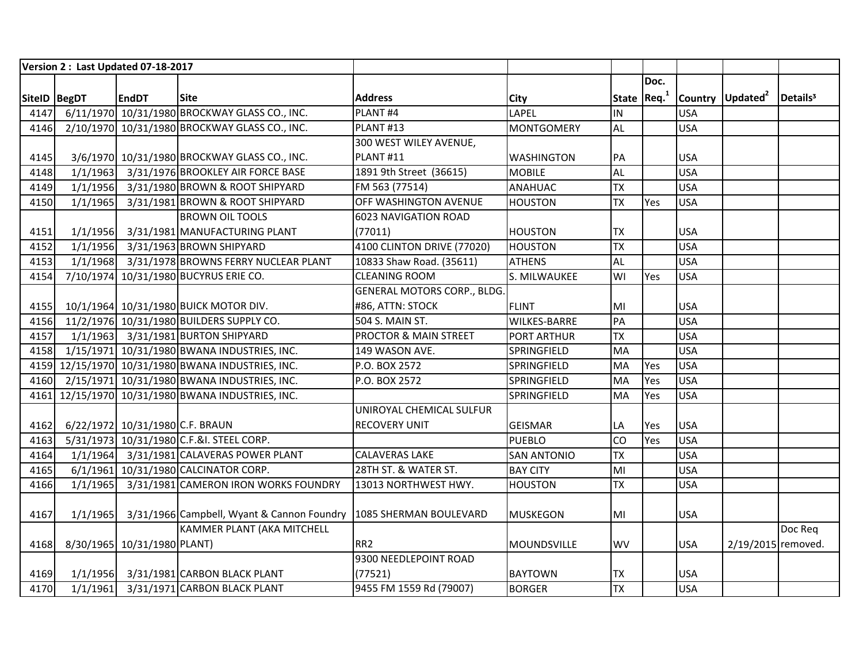|               |          | Version 2: Last Updated 07-18-2017 |                                                                   |                                    |                     |                         |      |            |                              |                      |
|---------------|----------|------------------------------------|-------------------------------------------------------------------|------------------------------------|---------------------|-------------------------|------|------------|------------------------------|----------------------|
|               |          |                                    |                                                                   |                                    |                     |                         | Doc. |            |                              |                      |
| SiteID  BegDT |          | <b>EndDT</b>                       | <b>Site</b>                                                       | <b>Address</b>                     | <b>City</b>         | State Req. <sup>1</sup> |      |            | Country Updated <sup>2</sup> | Details <sup>3</sup> |
| 4147          |          |                                    | 6/11/1970 10/31/1980 BROCKWAY GLASS CO., INC.                     | PLANT#4                            | LAPEL               | İIN                     |      | <b>USA</b> |                              |                      |
| 4146          |          |                                    | 2/10/1970 10/31/1980 BROCKWAY GLASS CO., INC.                     | PLANT#13                           | <b>MONTGOMERY</b>   | <b>AL</b>               |      | <b>USA</b> |                              |                      |
|               |          |                                    |                                                                   | 300 WEST WILEY AVENUE,             |                     |                         |      |            |                              |                      |
| 4145          |          |                                    | 3/6/1970 10/31/1980 BROCKWAY GLASS CO., INC.                      | PLANT#11                           | <b>WASHINGTON</b>   | PA                      |      | <b>USA</b> |                              |                      |
| 4148          | 1/1/1963 |                                    | 3/31/1976 BROOKLEY AIR FORCE BASE                                 | 1891 9th Street (36615)            | <b>MOBILE</b>       | <b>AL</b>               |      | <b>USA</b> |                              |                      |
| 4149          | 1/1/1956 |                                    | 3/31/1980 BROWN & ROOT SHIPYARD                                   | FM 563 (77514)                     | <b>ANAHUAC</b>      | <b>TX</b>               |      | <b>USA</b> |                              |                      |
| 4150          | 1/1/1965 |                                    | 3/31/1981 BROWN & ROOT SHIPYARD                                   | OFF WASHINGTON AVENUE              | <b>HOUSTON</b>      | <b>TX</b>               | Yes  | <b>USA</b> |                              |                      |
|               |          |                                    | <b>BROWN OIL TOOLS</b>                                            | 6023 NAVIGATION ROAD               |                     |                         |      |            |                              |                      |
| 4151          | 1/1/1956 |                                    | 3/31/1981 MANUFACTURING PLANT                                     | (77011)                            | <b>HOUSTON</b>      | <b>TX</b>               |      | <b>USA</b> |                              |                      |
| 4152          | 1/1/1956 |                                    | 3/31/1963 BROWN SHIPYARD                                          | 4100 CLINTON DRIVE (77020)         | <b>HOUSTON</b>      | <b>TX</b>               |      | <b>USA</b> |                              |                      |
| 4153          | 1/1/1968 |                                    | 3/31/1978 BROWNS FERRY NUCLEAR PLANT                              | 10833 Shaw Road. (35611)           | <b>ATHENS</b>       | <b>AL</b>               |      | <b>USA</b> |                              |                      |
| 4154          |          |                                    | 7/10/1974 10/31/1980 BUCYRUS ERIE CO.                             | <b>CLEANING ROOM</b>               | S. MILWAUKEE        | WI                      | Yes  | <b>USA</b> |                              |                      |
|               |          |                                    |                                                                   | <b>GENERAL MOTORS CORP., BLDG.</b> |                     |                         |      |            |                              |                      |
| 4155          |          |                                    | 10/1/1964 10/31/1980 BUICK MOTOR DIV.                             | #86, ATTN: STOCK                   | <b>FLINT</b>        | MI                      |      | <b>USA</b> |                              |                      |
| 4156          |          |                                    | 11/2/1976 10/31/1980 BUILDERS SUPPLY CO.                          | 504 S. MAIN ST.                    | <b>WILKES-BARRE</b> | PA                      |      | <b>USA</b> |                              |                      |
| 4157          |          |                                    | 1/1/1963 3/31/1981 BURTON SHIPYARD                                | <b>PROCTOR &amp; MAIN STREET</b>   | <b>PORT ARTHUR</b>  | <b>TX</b>               |      | <b>USA</b> |                              |                      |
| 4158          |          |                                    | 1/15/1971 10/31/1980 BWANA INDUSTRIES, INC.                       | 149 WASON AVE.                     | SPRINGFIELD         | MA                      |      | <b>USA</b> |                              |                      |
|               |          |                                    | 4159 12/15/1970 10/31/1980 BWANA INDUSTRIES, INC.                 | P.O. BOX 2572                      | SPRINGFIELD         | MA                      | Yes  | <b>USA</b> |                              |                      |
|               |          |                                    | 4160 2/15/1971 10/31/1980 BWANA INDUSTRIES, INC.                  | P.O. BOX 2572                      | SPRINGFIELD         | MA                      | Yes  | <b>USA</b> |                              |                      |
|               |          |                                    | 4161 12/15/1970 10/31/1980 BWANA INDUSTRIES, INC.                 |                                    | SPRINGFIELD         | MA                      | Yes  | <b>USA</b> |                              |                      |
|               |          |                                    |                                                                   | UNIROYAL CHEMICAL SULFUR           |                     |                         |      |            |                              |                      |
| 4162          |          | 6/22/1972 10/31/1980 C.F. BRAUN    |                                                                   | <b>RECOVERY UNIT</b>               | <b>GEISMAR</b>      | LA                      | Yes  | <b>USA</b> |                              |                      |
| 4163          |          |                                    | 5/31/1973 10/31/1980 C.F.&I. STEEL CORP.                          |                                    | <b>PUEBLO</b>       | <b>CO</b>               | Yes  | <b>USA</b> |                              |                      |
| 4164          |          |                                    | 1/1/1964 3/31/1981 CALAVERAS POWER PLANT                          | <b>CALAVERAS LAKE</b>              | <b>SAN ANTONIO</b>  | <b>TX</b>               |      | <b>USA</b> |                              |                      |
| 4165          |          |                                    | 6/1/1961 10/31/1980 CALCINATOR CORP.                              | 28TH ST. & WATER ST.               | <b>BAY CITY</b>     | MI                      |      | <b>USA</b> |                              |                      |
| 4166          | 1/1/1965 |                                    | 3/31/1981 CAMERON IRON WORKS FOUNDRY                              | 13013 NORTHWEST HWY.               | <b>HOUSTON</b>      | <b>TX</b>               |      | <b>USA</b> |                              |                      |
|               |          |                                    |                                                                   |                                    |                     |                         |      |            |                              |                      |
| 4167          | 1/1/1965 |                                    | 3/31/1966 Campbell, Wyant & Cannon Foundry 1085 SHERMAN BOULEVARD |                                    | <b>MUSKEGON</b>     | MI                      |      | <b>USA</b> |                              |                      |
|               |          |                                    | KAMMER PLANT (AKA MITCHELL                                        |                                    |                     |                         |      |            |                              | Doc Req              |
| 4168          |          | 8/30/1965 10/31/1980 PLANT)        |                                                                   | RR <sub>2</sub>                    | <b>MOUNDSVILLE</b>  | <b>WV</b>               |      | <b>USA</b> | 2/19/2015 removed.           |                      |
|               |          |                                    |                                                                   | 9300 NEEDLEPOINT ROAD              |                     |                         |      |            |                              |                      |
| 4169          |          |                                    | 1/1/1956 3/31/1981 CARBON BLACK PLANT                             | (77521)                            | <b>BAYTOWN</b>      | <b>TX</b>               |      | <b>USA</b> |                              |                      |
| 4170          |          |                                    | 1/1/1961 3/31/1971 CARBON BLACK PLANT                             | 9455 FM 1559 Rd (79007)            | <b>BORGER</b>       | $\overline{TX}$         |      | <b>USA</b> |                              |                      |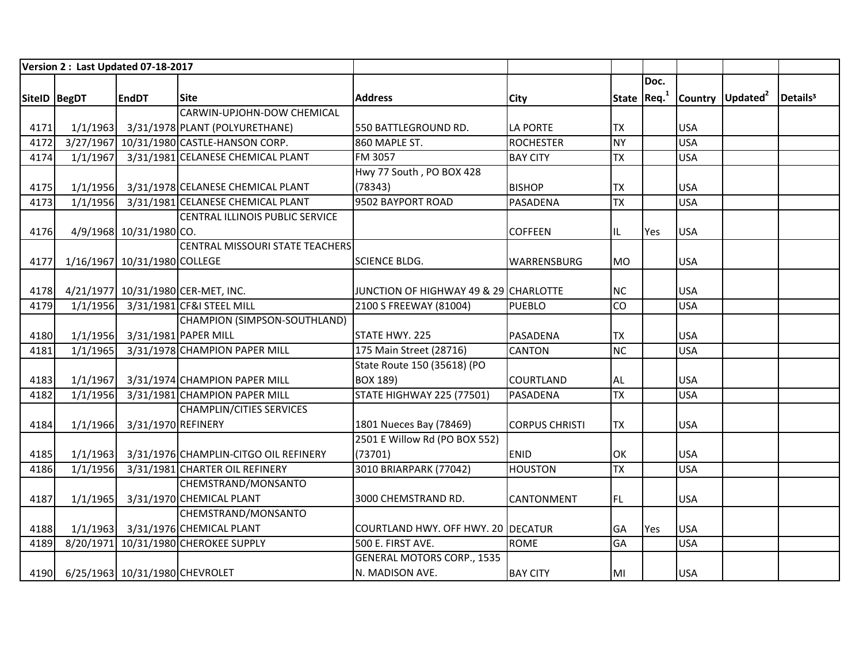|              |          | Version 2: Last Updated 07-18-2017  |                                          |                                       |                       |              |      |            |                              |                      |
|--------------|----------|-------------------------------------|------------------------------------------|---------------------------------------|-----------------------|--------------|------|------------|------------------------------|----------------------|
|              |          |                                     |                                          |                                       |                       |              | Doc. |            |                              |                      |
| SiteID BegDT |          | <b>EndDT</b>                        | <b>Site</b>                              | <b>Address</b>                        | City                  | State $Req1$ |      |            | Country Updated <sup>2</sup> | Details <sup>3</sup> |
|              |          |                                     | CARWIN-UPJOHN-DOW CHEMICAL               |                                       |                       |              |      |            |                              |                      |
| 4171         |          |                                     | 1/1/1963 3/31/1978 PLANT (POLYURETHANE)  | 550 BATTLEGROUND RD.                  | <b>LA PORTE</b>       | <b>TX</b>    |      | <b>USA</b> |                              |                      |
| 4172         |          |                                     | 3/27/1967 10/31/1980 CASTLE-HANSON CORP. | 860 MAPLE ST.                         | <b>ROCHESTER</b>      | <b>NY</b>    |      | <b>USA</b> |                              |                      |
| 4174         | 1/1/1967 |                                     | 3/31/1981 CELANESE CHEMICAL PLANT        | FM 3057                               | <b>BAY CITY</b>       | <b>TX</b>    |      | <b>USA</b> |                              |                      |
|              |          |                                     |                                          | Hwy 77 South, PO BOX 428              |                       |              |      |            |                              |                      |
| 4175         | 1/1/1956 |                                     | 3/31/1978 CELANESE CHEMICAL PLANT        | (78343)                               | <b>BISHOP</b>         | <b>TX</b>    |      | <b>USA</b> |                              |                      |
| 4173         | 1/1/1956 |                                     | 3/31/1981 CELANESE CHEMICAL PLANT        | 9502 BAYPORT ROAD                     | PASADENA              | <b>TX</b>    |      | <b>USA</b> |                              |                      |
|              |          |                                     | CENTRAL ILLINOIS PUBLIC SERVICE          |                                       |                       |              |      |            |                              |                      |
| 4176         |          | 4/9/1968 10/31/1980 CO.             |                                          |                                       | <b>COFFEEN</b>        | IL           | Yes  | <b>USA</b> |                              |                      |
|              |          |                                     | <b>CENTRAL MISSOURI STATE TEACHERS</b>   |                                       |                       |              |      |            |                              |                      |
| 4177         |          | 1/16/1967 10/31/1980 COLLEGE        |                                          | <b>SCIENCE BLDG.</b>                  | WARRENSBURG           | <b>MO</b>    |      | <b>USA</b> |                              |                      |
|              |          |                                     |                                          |                                       |                       |              |      |            |                              |                      |
| 4178         |          |                                     | 4/21/1977 10/31/1980 CER-MET, INC.       | JUNCTION OF HIGHWAY 49 & 29 CHARLOTTE |                       | <b>NC</b>    |      | <b>USA</b> |                              |                      |
| 4179         | 1/1/1956 |                                     | 3/31/1981 CF&I STEEL MILL                | 2100 S FREEWAY (81004)                | <b>PUEBLO</b>         | CO           |      | <b>USA</b> |                              |                      |
|              |          |                                     | CHAMPION (SIMPSON-SOUTHLAND)             |                                       |                       |              |      |            |                              |                      |
| 4180         |          | 1/1/1956 3/31/1981 PAPER MILL       |                                          | STATE HWY. 225                        | <b>PASADENA</b>       | <b>TX</b>    |      | <b>USA</b> |                              |                      |
| 4181         | 1/1/1965 |                                     | 3/31/1978 CHAMPION PAPER MILL            | 175 Main Street (28716)               | <b>CANTON</b>         | <b>NC</b>    |      | <b>USA</b> |                              |                      |
|              |          |                                     |                                          | State Route 150 (35618) (PO           |                       |              |      |            |                              |                      |
| 4183         | 1/1/1967 |                                     | 3/31/1974 CHAMPION PAPER MILL            | BOX 189)                              | COURTLAND             | <b>AL</b>    |      | <b>USA</b> |                              |                      |
| 4182         | 1/1/1956 |                                     | 3/31/1981 CHAMPION PAPER MILL            | <b>STATE HIGHWAY 225 (77501)</b>      | <b>PASADENA</b>       | <b>TX</b>    |      | <b>USA</b> |                              |                      |
|              |          |                                     | <b>CHAMPLIN/CITIES SERVICES</b>          |                                       |                       |              |      |            |                              |                      |
| 4184         | 1/1/1966 | 3/31/1970 REFINERY                  |                                          | 1801 Nueces Bay (78469)               | <b>CORPUS CHRISTI</b> | <b>TX</b>    |      | <b>USA</b> |                              |                      |
|              |          |                                     |                                          | 2501 E Willow Rd (PO BOX 552)         |                       |              |      |            |                              |                      |
| 4185         | 1/1/1963 |                                     | 3/31/1976 CHAMPLIN-CITGO OIL REFINERY    | (73701)                               | <b>ENID</b>           | OK           |      | <b>USA</b> |                              |                      |
| 4186         | 1/1/1956 |                                     | 3/31/1981 CHARTER OIL REFINERY           | 3010 BRIARPARK (77042)                | <b>HOUSTON</b>        | <b>TX</b>    |      | <b>USA</b> |                              |                      |
|              |          |                                     | CHEMSTRAND/MONSANTO                      |                                       |                       |              |      |            |                              |                      |
| 4187         | 1/1/1965 |                                     | 3/31/1970 CHEMICAL PLANT                 | 3000 CHEMSTRAND RD.                   | CANTONMENT            | FL           |      | <b>USA</b> |                              |                      |
|              |          |                                     | CHEMSTRAND/MONSANTO                      |                                       |                       |              |      |            |                              |                      |
| 4188         |          |                                     | 1/1/1963 3/31/1976 CHEMICAL PLANT        | COURTLAND HWY. OFF HWY. 20 DECATUR    |                       | <b>GA</b>    | Yes  | <b>USA</b> |                              |                      |
| 4189         |          |                                     | 8/20/1971 10/31/1980 CHEROKEE SUPPLY     | 500 E. FIRST AVE.                     | <b>ROME</b>           | GA           |      | <b>USA</b> |                              |                      |
|              |          |                                     |                                          | <b>GENERAL MOTORS CORP., 1535</b>     |                       |              |      |            |                              |                      |
|              |          | 4190 6/25/1963 10/31/1980 CHEVROLET |                                          | N. MADISON AVE.                       | <b>BAY CITY</b>       | MI           |      | <b>USA</b> |                              |                      |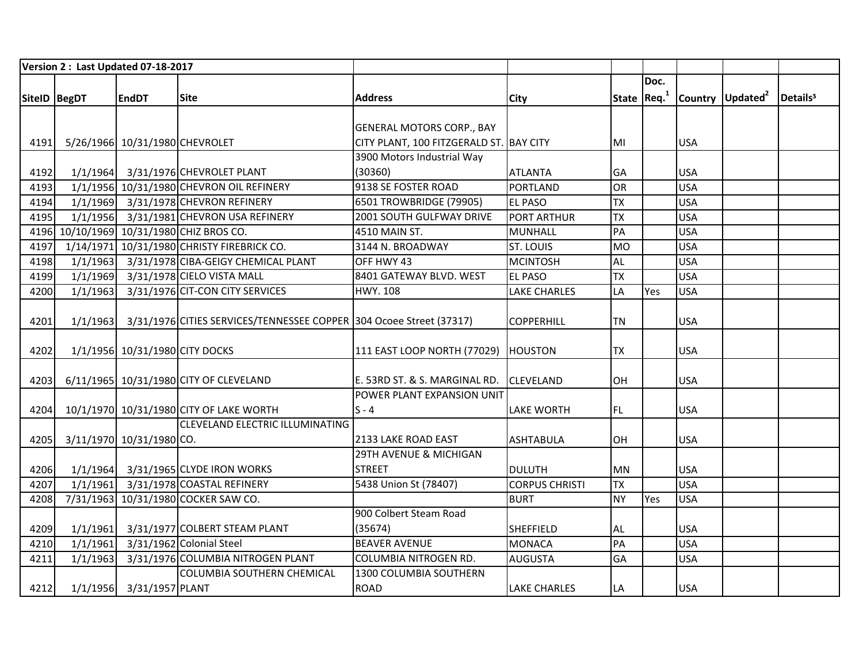|                |          | Version 2: Last Updated 07-18-2017 |                                                                     |                                         |                       |           |              |            |                              |                      |
|----------------|----------|------------------------------------|---------------------------------------------------------------------|-----------------------------------------|-----------------------|-----------|--------------|------------|------------------------------|----------------------|
|                |          |                                    |                                                                     |                                         |                       |           | Doc.         |            |                              |                      |
| SiteID   BegDT |          | <b>EndDT</b>                       | <b>Site</b>                                                         | <b>Address</b>                          | <b>City</b>           |           | State $Req1$ |            | Country Updated <sup>2</sup> | Details <sup>3</sup> |
|                |          |                                    |                                                                     |                                         |                       |           |              |            |                              |                      |
|                |          |                                    |                                                                     | <b>GENERAL MOTORS CORP., BAY</b>        |                       |           |              |            |                              |                      |
| 4191           |          | 5/26/1966 10/31/1980 CHEVROLET     |                                                                     | CITY PLANT, 100 FITZGERALD ST. BAY CITY |                       | MI        |              | <b>USA</b> |                              |                      |
|                |          |                                    |                                                                     | 3900 Motors Industrial Way              |                       |           |              |            |                              |                      |
| 4192           |          |                                    | 1/1/1964 3/31/1976 CHEVROLET PLANT                                  | (30360)                                 | <b>ATLANTA</b>        | GA        |              | <b>USA</b> |                              |                      |
| 4193           |          |                                    | 1/1/1956 10/31/1980 CHEVRON OIL REFINERY                            | 9138 SE FOSTER ROAD                     | <b>PORTLAND</b>       | OR        |              | <b>USA</b> |                              |                      |
| 4194           |          |                                    | 1/1/1969 3/31/1978 CHEVRON REFINERY                                 | 6501 TROWBRIDGE (79905)                 | <b>EL PASO</b>        | <b>TX</b> |              | <b>USA</b> |                              |                      |
| 4195           | 1/1/1956 |                                    | 3/31/1981 CHEVRON USA REFINERY                                      | 2001 SOUTH GULFWAY DRIVE                | <b>PORT ARTHUR</b>    | <b>TX</b> |              | <b>USA</b> |                              |                      |
|                |          |                                    | 4196 10/10/1969 10/31/1980 CHIZ BROS CO.                            | 4510 MAIN ST.                           | <b>MUNHALL</b>        | PA        |              | <b>USA</b> |                              |                      |
| 4197           |          |                                    | 1/14/1971 10/31/1980 CHRISTY FIREBRICK CO.                          | 3144 N. BROADWAY                        | <b>ST. LOUIS</b>      | <b>MO</b> |              | <b>USA</b> |                              |                      |
| 4198           | 1/1/1963 |                                    | 3/31/1978 CIBA-GEIGY CHEMICAL PLANT                                 | OFF HWY 43                              | <b>MCINTOSH</b>       | AL        |              | <b>USA</b> |                              |                      |
| 4199           |          |                                    | 1/1/1969 3/31/1978 CIELO VISTA MALL                                 | 8401 GATEWAY BLVD. WEST                 | <b>EL PASO</b>        | <b>TX</b> |              | <b>USA</b> |                              |                      |
| 4200           | 1/1/1963 |                                    | 3/31/1976 CIT-CON CITY SERVICES                                     | <b>HWY. 108</b>                         | <b>LAKE CHARLES</b>   | LA        | Yes          | <b>USA</b> |                              |                      |
|                |          |                                    |                                                                     |                                         |                       |           |              |            |                              |                      |
| 4201           | 1/1/1963 |                                    | 3/31/1976 CITIES SERVICES/TENNESSEE COPPER 304 Ocoee Street (37317) |                                         | <b>COPPERHILL</b>     | <b>TN</b> |              | <b>USA</b> |                              |                      |
|                |          |                                    |                                                                     |                                         |                       |           |              |            |                              |                      |
| 4202           |          | 1/1/1956 10/31/1980 CITY DOCKS     |                                                                     | 111 EAST LOOP NORTH (77029) HOUSTON     |                       | <b>TX</b> |              | <b>USA</b> |                              |                      |
|                |          |                                    |                                                                     |                                         |                       |           |              |            |                              |                      |
| 4203           |          |                                    | 6/11/1965 10/31/1980 CITY OF CLEVELAND                              | E. 53RD ST. & S. MARGINAL RD.           | <b>CLEVELAND</b>      | OH        |              | <b>USA</b> |                              |                      |
|                |          |                                    |                                                                     | POWER PLANT EXPANSION UNIT              |                       |           |              |            |                              |                      |
| 4204           |          |                                    | 10/1/1970 10/31/1980 CITY OF LAKE WORTH                             | $S - 4$                                 | <b>LAKE WORTH</b>     | <b>FL</b> |              | <b>USA</b> |                              |                      |
|                |          |                                    | CLEVELAND ELECTRIC ILLUMINATING                                     |                                         |                       |           |              |            |                              |                      |
| 4205           |          | 3/11/1970 10/31/1980 CO.           |                                                                     | 2133 LAKE ROAD EAST                     | <b>ASHTABULA</b>      | OH        |              | <b>USA</b> |                              |                      |
|                |          |                                    |                                                                     | 29TH AVENUE & MICHIGAN                  |                       |           |              |            |                              |                      |
| 4206           |          |                                    | 1/1/1964 3/31/1965 CLYDE IRON WORKS                                 | <b>STREET</b>                           | <b>DULUTH</b>         | <b>MN</b> |              | <b>USA</b> |                              |                      |
| 4207           | 1/1/1961 |                                    | 3/31/1978 COASTAL REFINERY                                          | 5438 Union St (78407)                   | <b>CORPUS CHRISTI</b> | <b>TX</b> |              | <b>USA</b> |                              |                      |
| 4208           |          |                                    | 7/31/1963 10/31/1980 COCKER SAW CO.                                 |                                         | <b>BURT</b>           | <b>NY</b> | Yes          | <b>USA</b> |                              |                      |
|                |          |                                    |                                                                     | 900 Colbert Steam Road                  |                       |           |              |            |                              |                      |
| 4209           | 1/1/1961 |                                    | 3/31/1977 COLBERT STEAM PLANT                                       | (35674)                                 | <b>SHEFFIELD</b>      | AL        |              | <b>USA</b> |                              |                      |
| 4210           | 1/1/1961 |                                    | 3/31/1962 Colonial Steel                                            | <b>BEAVER AVENUE</b>                    | <b>MONACA</b>         | PA        |              | <b>USA</b> |                              |                      |
| 4211           | 1/1/1963 |                                    | 3/31/1976 COLUMBIA NITROGEN PLANT                                   | COLUMBIA NITROGEN RD.                   | <b>AUGUSTA</b>        | GA        |              | <b>USA</b> |                              |                      |
|                |          |                                    | <b>COLUMBIA SOUTHERN CHEMICAL</b>                                   | 1300 COLUMBIA SOUTHERN                  |                       |           |              |            |                              |                      |
| 4212           |          | 1/1/1956 3/31/1957 PLANT           |                                                                     | <b>ROAD</b>                             | <b>LAKE CHARLES</b>   | LA        |              | <b>USA</b> |                              |                      |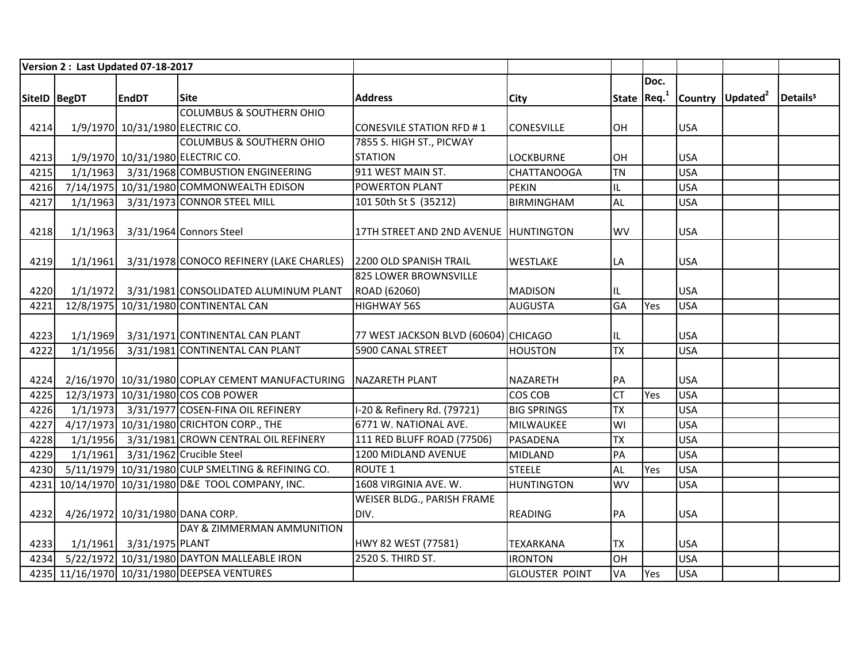|              | Version 2: Last Updated 07-18-2017 |                          |                                                                 |                                       |                       |              |      |            |                              |                      |
|--------------|------------------------------------|--------------------------|-----------------------------------------------------------------|---------------------------------------|-----------------------|--------------|------|------------|------------------------------|----------------------|
|              |                                    |                          |                                                                 |                                       |                       |              | Doc. |            |                              |                      |
| SiteID BegDT |                                    | <b>EndDT</b>             | <b>Site</b>                                                     | <b>Address</b>                        | City                  | State $Req1$ |      |            | Country Updated <sup>2</sup> | Details <sup>3</sup> |
|              |                                    |                          | <b>COLUMBUS &amp; SOUTHERN OHIO</b>                             |                                       |                       |              |      |            |                              |                      |
| 4214         |                                    |                          | 1/9/1970 10/31/1980 ELECTRIC CO.                                | CONESVILE STATION RFD #1              | <b>CONESVILLE</b>     | <b>OH</b>    |      | <b>USA</b> |                              |                      |
|              |                                    |                          | <b>COLUMBUS &amp; SOUTHERN OHIO</b>                             | 7855 S. HIGH ST., PICWAY              |                       |              |      |            |                              |                      |
| 4213         |                                    |                          | 1/9/1970 10/31/1980 ELECTRIC CO.                                | <b>STATION</b>                        | <b>LOCKBURNE</b>      | OH           |      | <b>USA</b> |                              |                      |
| 4215         |                                    |                          | 1/1/1963 3/31/1968 COMBUSTION ENGINEERING                       | 911 WEST MAIN ST.                     | <b>CHATTANOOGA</b>    | <b>TN</b>    |      | <b>USA</b> |                              |                      |
| 4216         |                                    |                          | 7/14/1975 10/31/1980 COMMONWEALTH EDISON                        | <b>POWERTON PLANT</b>                 | <b>PEKIN</b>          | IL           |      | <b>USA</b> |                              |                      |
| 4217         |                                    |                          | 1/1/1963 3/31/1973 CONNOR STEEL MILL                            | 101 50th St S (35212)                 | <b>BIRMINGHAM</b>     | <b>AL</b>    |      | <b>USA</b> |                              |                      |
|              |                                    |                          |                                                                 |                                       |                       |              |      |            |                              |                      |
| 4218         | 1/1/1963                           |                          | 3/31/1964 Connors Steel                                         | 17TH STREET AND 2ND AVENUE HUNTINGTON |                       | <b>WV</b>    |      | <b>USA</b> |                              |                      |
|              |                                    |                          |                                                                 |                                       |                       |              |      |            |                              |                      |
| 4219         | 1/1/1961                           |                          | 3/31/1978 CONOCO REFINERY (LAKE CHARLES) 2200 OLD SPANISH TRAIL |                                       | <b>WESTLAKE</b>       | LA           |      | <b>USA</b> |                              |                      |
|              |                                    |                          |                                                                 | 825 LOWER BROWNSVILLE                 |                       |              |      |            |                              |                      |
| 4220         |                                    |                          | 1/1/1972 3/31/1981 CONSOLIDATED ALUMINUM PLANT                  | ROAD (62060)                          | <b>MADISON</b>        | IL           |      | <b>USA</b> |                              |                      |
| 4221         |                                    |                          | 12/8/1975 10/31/1980 CONTINENTAL CAN                            | <b>HIGHWAY 56S</b>                    | <b>AUGUSTA</b>        | GA           | Yes  | <b>USA</b> |                              |                      |
|              |                                    |                          |                                                                 |                                       |                       |              |      |            |                              |                      |
| 4223         |                                    |                          | 1/1/1969 3/31/1971 CONTINENTAL CAN PLANT                        | 77 WEST JACKSON BLVD (60604) CHICAGO  |                       | IL           |      | <b>USA</b> |                              |                      |
| 4222         | 1/1/1956                           |                          | 3/31/1981 CONTINENTAL CAN PLANT                                 | 5900 CANAL STREET                     | <b>HOUSTON</b>        | <b>TX</b>    |      | <b>USA</b> |                              |                      |
|              |                                    |                          |                                                                 |                                       |                       |              |      |            |                              |                      |
| 4224         |                                    |                          | 2/16/1970 10/31/1980 COPLAY CEMENT MANUFACTURING NAZARETH PLANT |                                       | NAZARETH              | PA           |      | <b>USA</b> |                              |                      |
| 4225         |                                    |                          | 12/3/1973 10/31/1980 COS COB POWER                              |                                       | COS COB               | <b>CT</b>    | Yes  | <b>USA</b> |                              |                      |
| 4226         |                                    |                          | 1/1/1973 3/31/1977 COSEN-FINA OIL REFINERY                      | I-20 & Refinery Rd. (79721)           | <b>BIG SPRINGS</b>    | <b>TX</b>    |      | <b>USA</b> |                              |                      |
| 4227         |                                    |                          | 4/17/1973 10/31/1980 CRICHTON CORP., THE                        | 6771 W. NATIONAL AVE.                 | MILWAUKEE             | WI           |      | <b>USA</b> |                              |                      |
| 4228         |                                    |                          | 1/1/1956 3/31/1981 CROWN CENTRAL OIL REFINERY                   | 111 RED BLUFF ROAD (77506)            | PASADENA              | <b>TX</b>    |      | <b>USA</b> |                              |                      |
| 4229         |                                    |                          | 1/1/1961 3/31/1962 Crucible Steel                               | 1200 MIDLAND AVENUE                   | <b>MIDLAND</b>        | PA           |      | <b>USA</b> |                              |                      |
| 4230         |                                    |                          | 5/11/1979 10/31/1980 CULP SMELTING & REFINING CO.               | <b>ROUTE 1</b>                        | <b>STEELE</b>         | <b>AL</b>    | Yes  | <b>USA</b> |                              |                      |
|              |                                    |                          | 4231 10/14/1970 10/31/1980 D&E TOOL COMPANY, INC.               | 1608 VIRGINIA AVE. W.                 | <b>HUNTINGTON</b>     | <b>WV</b>    |      | <b>USA</b> |                              |                      |
|              |                                    |                          |                                                                 | <b>WEISER BLDG., PARISH FRAME</b>     |                       |              |      |            |                              |                      |
| 4232         |                                    |                          | 4/26/1972 10/31/1980 DANA CORP.                                 | DIV.                                  | <b>READING</b>        | PA           |      | <b>USA</b> |                              |                      |
|              |                                    |                          | DAY & ZIMMERMAN AMMUNITION                                      |                                       |                       |              |      |            |                              |                      |
| 4233         |                                    | 1/1/1961 3/31/1975 PLANT |                                                                 | HWY 82 WEST (77581)                   | <b>TEXARKANA</b>      | <b>TX</b>    |      | <b>USA</b> |                              |                      |
| 4234         |                                    |                          | 5/22/1972 10/31/1980 DAYTON MALLEABLE IRON                      | 2520 S. THIRD ST.                     | <b>IRONTON</b>        | OH           |      | <b>USA</b> |                              |                      |
|              |                                    |                          | 4235 11/16/1970 10/31/1980 DEEPSEA VENTURES                     |                                       | <b>GLOUSTER POINT</b> | VA           | Yes  | <b>USA</b> |                              |                      |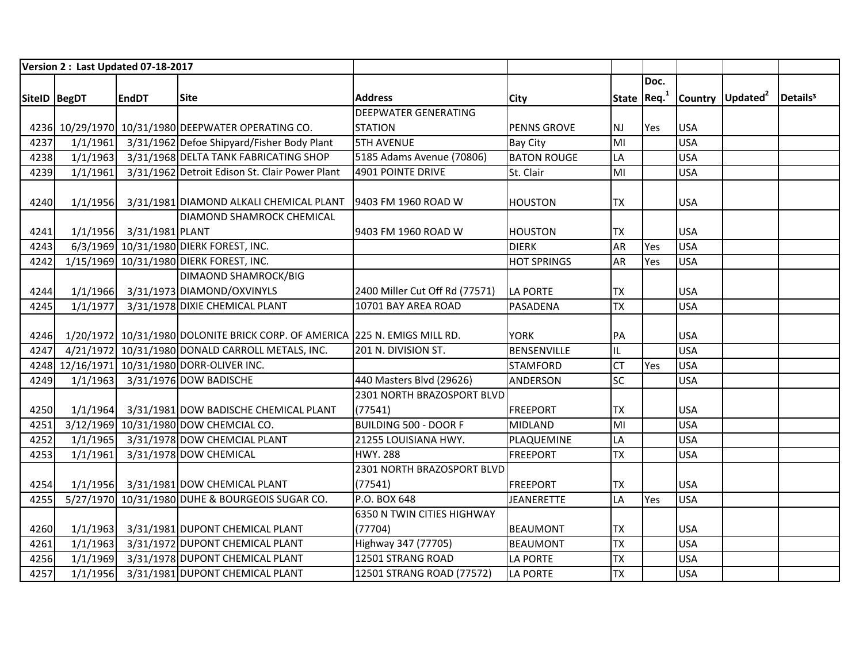|              |          | Version 2: Last Updated 07-18-2017 |                                                                            |                                |                    |              |      |            |                              |                      |
|--------------|----------|------------------------------------|----------------------------------------------------------------------------|--------------------------------|--------------------|--------------|------|------------|------------------------------|----------------------|
|              |          |                                    |                                                                            |                                |                    |              | Doc. |            |                              |                      |
| SiteID BegDT |          | <b>EndDT</b>                       | <b>Site</b>                                                                | <b>Address</b>                 | <b>City</b>        | State $Req1$ |      |            | Country Updated <sup>2</sup> | Details <sup>3</sup> |
|              |          |                                    |                                                                            | <b>DEEPWATER GENERATING</b>    |                    |              |      |            |                              |                      |
|              |          |                                    | 4236 10/29/1970 10/31/1980 DEEPWATER OPERATING CO.                         | <b>STATION</b>                 | <b>PENNS GROVE</b> | <b>NJ</b>    | Yes  | <b>USA</b> |                              |                      |
| 4237         |          |                                    | 1/1/1961 3/31/1962 Defoe Shipyard/Fisher Body Plant                        | <b>5TH AVENUE</b>              | <b>Bay City</b>    | MI           |      | <b>USA</b> |                              |                      |
| 4238         | 1/1/1963 |                                    | 3/31/1968 DELTA TANK FABRICATING SHOP                                      | 5185 Adams Avenue (70806)      | <b>BATON ROUGE</b> | LA           |      | <b>USA</b> |                              |                      |
| 4239         | 1/1/1961 |                                    | 3/31/1962 Detroit Edison St. Clair Power Plant                             | 4901 POINTE DRIVE              | St. Clair          | MI           |      | <b>USA</b> |                              |                      |
|              |          |                                    |                                                                            |                                |                    |              |      |            |                              |                      |
| 4240         |          |                                    | 1/1/1956 3/31/1981 DIAMOND ALKALI CHEMICAL PLANT                           | 9403 FM 1960 ROAD W            | <b>HOUSTON</b>     | <b>TX</b>    |      | <b>USA</b> |                              |                      |
|              |          |                                    | <b>DIAMOND SHAMROCK CHEMICAL</b>                                           |                                |                    |              |      |            |                              |                      |
| 4241         |          | 1/1/1956 3/31/1981 PLANT           |                                                                            | 9403 FM 1960 ROAD W            | <b>HOUSTON</b>     | <b>TX</b>    |      | <b>USA</b> |                              |                      |
| 4243         |          |                                    | 6/3/1969 10/31/1980 DIERK FOREST, INC.                                     |                                | <b>DIERK</b>       | <b>AR</b>    | Yes  | <b>USA</b> |                              |                      |
| 4242         |          |                                    | 1/15/1969 10/31/1980 DIERK FOREST, INC.                                    |                                | <b>HOT SPRINGS</b> | <b>AR</b>    | Yes  | <b>USA</b> |                              |                      |
|              |          |                                    | <b>DIMAOND SHAMROCK/BIG</b>                                                |                                |                    |              |      |            |                              |                      |
| 4244         |          |                                    | 1/1/1966 3/31/1973 DIAMOND/OXVINYLS                                        | 2400 Miller Cut Off Rd (77571) | <b>LA PORTE</b>    | <b>TX</b>    |      | <b>USA</b> |                              |                      |
| 4245         | 1/1/1977 |                                    | 3/31/1978 DIXIE CHEMICAL PLANT                                             | 10701 BAY AREA ROAD            | PASADENA           | <b>TX</b>    |      | <b>USA</b> |                              |                      |
|              |          |                                    |                                                                            |                                |                    |              |      |            |                              |                      |
| 4246         |          |                                    | 1/20/1972 10/31/1980 DOLONITE BRICK CORP. OF AMERICA 225 N. EMIGS MILL RD. |                                | <b>YORK</b>        | PA           |      | <b>USA</b> |                              |                      |
| 4247         |          |                                    | 4/21/1972 10/31/1980 DONALD CARROLL METALS, INC.                           | 201 N. DIVISION ST.            | <b>BENSENVILLE</b> | IL           |      | <b>USA</b> |                              |                      |
|              |          |                                    | 4248 12/16/1971 10/31/1980 DORR-OLIVER INC.                                |                                | <b>STAMFORD</b>    | <b>CT</b>    | Yes  | <b>USA</b> |                              |                      |
| 4249         | 1/1/1963 |                                    | 3/31/1976 DOW BADISCHE                                                     | 440 Masters Blvd (29626)       | ANDERSON           | SC           |      | <b>USA</b> |                              |                      |
|              |          |                                    |                                                                            | 2301 NORTH BRAZOSPORT BLVD     |                    |              |      |            |                              |                      |
| 4250         |          |                                    | 1/1/1964 3/31/1981 DOW BADISCHE CHEMICAL PLANT                             | (77541)                        | <b>FREEPORT</b>    | <b>TX</b>    |      | <b>USA</b> |                              |                      |
| 4251         |          |                                    | 3/12/1969 10/31/1980 DOW CHEMCIAL CO.                                      | <b>BUILDING 500 - DOOR F</b>   | <b>MIDLAND</b>     | MI           |      | <b>USA</b> |                              |                      |
| 4252         |          |                                    | 1/1/1965 3/31/1978 DOW CHEMCIAL PLANT                                      | 21255 LOUISIANA HWY.           | PLAQUEMINE         | LA           |      | <b>USA</b> |                              |                      |
| 4253         | 1/1/1961 |                                    | 3/31/1978 DOW CHEMICAL                                                     | <b>HWY. 288</b>                | <b>FREEPORT</b>    | <b>TX</b>    |      | <b>USA</b> |                              |                      |
|              |          |                                    |                                                                            | 2301 NORTH BRAZOSPORT BLVD     |                    |              |      |            |                              |                      |
| 4254         |          |                                    | 1/1/1956 3/31/1981 DOW CHEMICAL PLANT                                      | (77541)                        | <b>FREEPORT</b>    | <b>TX</b>    |      | <b>USA</b> |                              |                      |
| 4255         |          |                                    | 5/27/1970 10/31/1980 DUHE & BOURGEOIS SUGAR CO.                            | P.O. BOX 648                   | <b>JEANERETTE</b>  | LA           | Yes  | <b>USA</b> |                              |                      |
|              |          |                                    |                                                                            | 6350 N TWIN CITIES HIGHWAY     |                    |              |      |            |                              |                      |
| 4260         |          |                                    | 1/1/1963 3/31/1981 DUPONT CHEMICAL PLANT                                   | (77704)                        | <b>BEAUMONT</b>    | <b>TX</b>    |      | <b>USA</b> |                              |                      |
| 4261         | 1/1/1963 |                                    | 3/31/1972 DUPONT CHEMICAL PLANT                                            | Highway 347 (77705)            | <b>BEAUMONT</b>    | <b>TX</b>    |      | <b>USA</b> |                              |                      |
| 4256         | 1/1/1969 |                                    | 3/31/1978 DUPONT CHEMICAL PLANT                                            | 12501 STRANG ROAD              | <b>LA PORTE</b>    | <b>TX</b>    |      | <b>USA</b> |                              |                      |
| 4257         |          |                                    | 1/1/1956 3/31/1981 DUPONT CHEMICAL PLANT                                   | 12501 STRANG ROAD (77572)      | <b>LA PORTE</b>    | <b>TX</b>    |      | <b>USA</b> |                              |                      |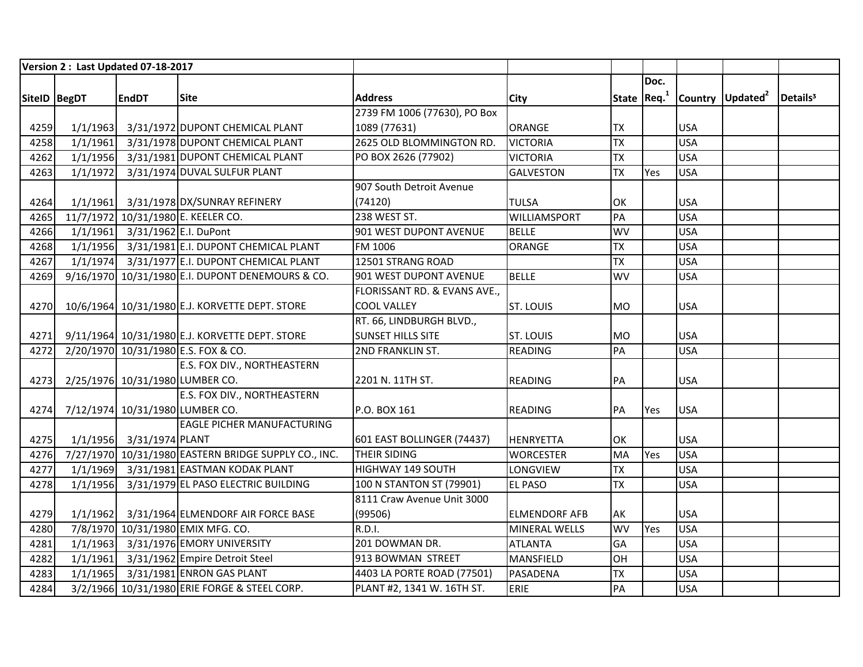|      | Version 2: Last Updated 07-18-2017 |                                |                                                      |                              |                      |           |              |            |                              |                      |
|------|------------------------------------|--------------------------------|------------------------------------------------------|------------------------------|----------------------|-----------|--------------|------------|------------------------------|----------------------|
|      |                                    |                                |                                                      |                              |                      |           | Doc.         |            |                              |                      |
|      | SiteID   BegDT                     | <b>EndDT</b>                   | lSite                                                | <b>Address</b>               | <b>City</b>          |           | State $Req1$ |            | Country Updated <sup>2</sup> | Details <sup>3</sup> |
|      |                                    |                                |                                                      | 2739 FM 1006 (77630), PO Box |                      |           |              |            |                              |                      |
| 4259 |                                    |                                | 1/1/1963 3/31/1972 DUPONT CHEMICAL PLANT             | 1089 (77631)                 | <b>ORANGE</b>        | <b>TX</b> |              | <b>USA</b> |                              |                      |
| 4258 |                                    |                                | 1/1/1961 3/31/1978 DUPONT CHEMICAL PLANT             | 2625 OLD BLOMMINGTON RD.     | <b>VICTORIA</b>      | <b>TX</b> |              | <b>USA</b> |                              |                      |
| 4262 |                                    |                                | 1/1/1956 3/31/1981 DUPONT CHEMICAL PLANT             | PO BOX 2626 (77902)          | <b>VICTORIA</b>      | <b>TX</b> |              | <b>USA</b> |                              |                      |
| 4263 | 1/1/1972                           |                                | 3/31/1974 DUVAL SULFUR PLANT                         |                              | <b>GALVESTON</b>     | <b>TX</b> | Yes          | <b>USA</b> |                              |                      |
|      |                                    |                                |                                                      | 907 South Detroit Avenue     |                      |           |              |            |                              |                      |
| 4264 |                                    |                                | 1/1/1961 3/31/1978 DX/SUNRAY REFINERY                | (74120)                      | <b>TULSA</b>         | OK        |              | <b>USA</b> |                              |                      |
| 4265 |                                    |                                | 11/7/1972 10/31/1980 E. KEELER CO.                   | 238 WEST ST.                 | WILLIAMSPORT         | PA        |              | <b>USA</b> |                              |                      |
| 4266 |                                    | 1/1/1961 3/31/1962 E.I. DuPont |                                                      | 901 WEST DUPONT AVENUE       | <b>BELLE</b>         | WV        |              | <b>USA</b> |                              |                      |
| 4268 |                                    |                                | 1/1/1956 3/31/1981 E.I. DUPONT CHEMICAL PLANT        | FM 1006                      | ORANGE               | <b>TX</b> |              | <b>USA</b> |                              |                      |
| 4267 |                                    |                                | 1/1/1974 3/31/1977 E.I. DUPONT CHEMICAL PLANT        | 12501 STRANG ROAD            |                      | <b>TX</b> |              | <b>USA</b> |                              |                      |
| 4269 |                                    |                                | 9/16/1970 10/31/1980 E.I. DUPONT DENEMOURS & CO.     | 901 WEST DUPONT AVENUE       | <b>BELLE</b>         | <b>WV</b> |              | <b>USA</b> |                              |                      |
|      |                                    |                                |                                                      | FLORISSANT RD. & EVANS AVE., |                      |           |              |            |                              |                      |
| 4270 |                                    |                                | 10/6/1964 10/31/1980 E.J. KORVETTE DEPT. STORE       | <b>COOL VALLEY</b>           | <b>ST. LOUIS</b>     | <b>MO</b> |              | <b>USA</b> |                              |                      |
|      |                                    |                                |                                                      | RT. 66, LINDBURGH BLVD.,     |                      |           |              |            |                              |                      |
| 4271 |                                    |                                | 9/11/1964 10/31/1980 E.J. KORVETTE DEPT. STORE       | <b>SUNSET HILLS SITE</b>     | <b>ST. LOUIS</b>     | <b>MO</b> |              | <b>USA</b> |                              |                      |
| 4272 |                                    |                                | 2/20/1970 10/31/1980 E.S. FOX & CO.                  | <b>2ND FRANKLIN ST.</b>      | <b>READING</b>       | PA        |              | <b>USA</b> |                              |                      |
|      |                                    |                                | <b>E.S. FOX DIV., NORTHEASTERN</b>                   |                              |                      |           |              |            |                              |                      |
| 4273 |                                    |                                | 2/25/1976 10/31/1980 LUMBER CO.                      | 2201 N. 11TH ST.             | <b>READING</b>       | PA        |              | <b>USA</b> |                              |                      |
|      |                                    |                                | <b>E.S. FOX DIV., NORTHEASTERN</b>                   |                              |                      |           |              |            |                              |                      |
| 4274 |                                    |                                | 7/12/1974 10/31/1980 LUMBER CO.                      | P.O. BOX 161                 | READING              | PA        | <b>Yes</b>   | <b>USA</b> |                              |                      |
|      |                                    |                                | <b>EAGLE PICHER MANUFACTURING</b>                    |                              |                      |           |              |            |                              |                      |
| 4275 |                                    | 1/1/1956 3/31/1974 PLANT       |                                                      | 601 EAST BOLLINGER (74437)   | <b>HENRYETTA</b>     | OK        |              | <b>USA</b> |                              |                      |
| 4276 |                                    |                                | 7/27/1970 10/31/1980 EASTERN BRIDGE SUPPLY CO., INC. | <b>THEIR SIDING</b>          | <b>WORCESTER</b>     | MA        | Yes          | <b>USA</b> |                              |                      |
| 4277 |                                    |                                | 1/1/1969 3/31/1981 EASTMAN KODAK PLANT               | HIGHWAY 149 SOUTH            | LONGVIEW             | <b>TX</b> |              | <b>USA</b> |                              |                      |
| 4278 |                                    |                                | 1/1/1956 3/31/1979 EL PASO ELECTRIC BUILDING         | 100 N STANTON ST (79901)     | <b>EL PASO</b>       | <b>TX</b> |              | <b>USA</b> |                              |                      |
|      |                                    |                                |                                                      | 8111 Craw Avenue Unit 3000   |                      |           |              |            |                              |                      |
| 4279 |                                    |                                | 1/1/1962 3/31/1964 ELMENDORF AIR FORCE BASE          | (99506)                      | <b>ELMENDORF AFB</b> | AK        |              | <b>USA</b> |                              |                      |
| 4280 |                                    |                                | 7/8/1970 10/31/1980 EMIX MFG. CO.                    | <b>R.D.I.</b>                | MINERAL WELLS        | WV        | Yes          | <b>USA</b> |                              |                      |
| 4281 |                                    |                                | 1/1/1963 3/31/1976 EMORY UNIVERSITY                  | 201 DOWMAN DR.               | <b>ATLANTA</b>       | GA        |              | <b>USA</b> |                              |                      |
| 4282 |                                    |                                | 1/1/1961 3/31/1962 Empire Detroit Steel              | 913 BOWMAN STREET            | <b>MANSFIELD</b>     | OH        |              | <b>USA</b> |                              |                      |
| 4283 |                                    |                                | 1/1/1965 3/31/1981 ENRON GAS PLANT                   | 4403 LA PORTE ROAD (77501)   | PASADENA             | <b>TX</b> |              | <b>USA</b> |                              |                      |
| 4284 |                                    |                                | 3/2/1966 10/31/1980 ERIE FORGE & STEEL CORP.         | PLANT #2, 1341 W. 16TH ST.   | ERIE                 | PA        |              | <b>USA</b> |                              |                      |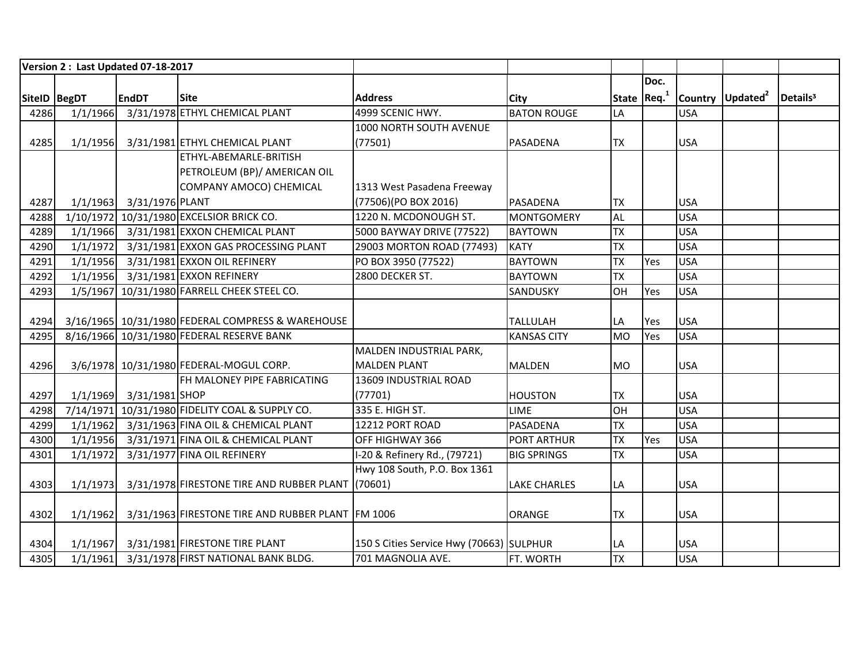|              |          | Version 2: Last Updated 07-18-2017 |                                                   |                                          |                     |            |                         |            |                              |                      |
|--------------|----------|------------------------------------|---------------------------------------------------|------------------------------------------|---------------------|------------|-------------------------|------------|------------------------------|----------------------|
|              |          |                                    |                                                   |                                          |                     |            | Doc.                    |            |                              |                      |
| SiteID BegDT |          | <b>EndDT</b>                       | <b>Site</b>                                       | <b>Address</b>                           | City                |            | State Req. <sup>1</sup> |            | Country Updated <sup>2</sup> | Details <sup>3</sup> |
| 4286         | 1/1/1966 |                                    | 3/31/1978 ETHYL CHEMICAL PLANT                    | 4999 SCENIC HWY.                         | <b>BATON ROUGE</b>  | LA         |                         | <b>USA</b> |                              |                      |
|              |          |                                    |                                                   | 1000 NORTH SOUTH AVENUE                  |                     |            |                         |            |                              |                      |
| 4285         | 1/1/1956 |                                    | 3/31/1981 ETHYL CHEMICAL PLANT                    | (77501)                                  | <b>PASADENA</b>     | <b>TX</b>  |                         | <b>USA</b> |                              |                      |
|              |          |                                    | ETHYL-ABEMARLE-BRITISH                            |                                          |                     |            |                         |            |                              |                      |
|              |          |                                    | PETROLEUM (BP)/ AMERICAN OIL                      |                                          |                     |            |                         |            |                              |                      |
|              |          |                                    | COMPANY AMOCO) CHEMICAL                           | 1313 West Pasadena Freeway               |                     |            |                         |            |                              |                      |
| 4287         |          | 1/1/1963 3/31/1976 PLANT           |                                                   | (77506)(PO BOX 2016)                     | PASADENA            | <b>ITX</b> |                         | <b>USA</b> |                              |                      |
| 4288         |          |                                    | 1/10/1972 10/31/1980 EXCELSIOR BRICK CO.          | 1220 N. MCDONOUGH ST.                    | <b>MONTGOMERY</b>   | <b>AL</b>  |                         | <b>USA</b> |                              |                      |
| 4289         |          |                                    | 1/1/1966 3/31/1981 EXXON CHEMICAL PLANT           | 5000 BAYWAY DRIVE (77522)                | <b>BAYTOWN</b>      | <b>TX</b>  |                         | <b>USA</b> |                              |                      |
| 4290         | 1/1/1972 |                                    | 3/31/1981 EXXON GAS PROCESSING PLANT              | 29003 MORTON ROAD (77493)                | <b>KATY</b>         | <b>TX</b>  |                         | <b>USA</b> |                              |                      |
| 4291         | 1/1/1956 |                                    | 3/31/1981 EXXON OIL REFINERY                      | PO BOX 3950 (77522)                      | <b>BAYTOWN</b>      | <b>TX</b>  | Yes                     | <b>USA</b> |                              |                      |
| 4292         | 1/1/1956 |                                    | 3/31/1981 EXXON REFINERY                          | 2800 DECKER ST.                          | <b>BAYTOWN</b>      | <b>TX</b>  |                         | <b>USA</b> |                              |                      |
| 4293         |          |                                    | 1/5/1967 10/31/1980 FARRELL CHEEK STEEL CO.       |                                          | SANDUSKY            | <b>OH</b>  | Yes                     | <b>USA</b> |                              |                      |
|              |          |                                    |                                                   |                                          |                     |            |                         |            |                              |                      |
| 4294         |          |                                    | 3/16/1965 10/31/1980 FEDERAL COMPRESS & WAREHOUSE |                                          | <b>TALLULAH</b>     | LA         | Yes                     | <b>USA</b> |                              |                      |
| 4295         |          |                                    | 8/16/1966 10/31/1980 FEDERAL RESERVE BANK         |                                          | <b>KANSAS CITY</b>  | <b>MO</b>  | Yes                     | <b>USA</b> |                              |                      |
|              |          |                                    |                                                   | MALDEN INDUSTRIAL PARK,                  |                     |            |                         |            |                              |                      |
| 4296         |          |                                    | 3/6/1978 10/31/1980 FEDERAL-MOGUL CORP.           | <b>MALDEN PLANT</b>                      | MALDEN              | <b>MO</b>  |                         | <b>USA</b> |                              |                      |
|              |          |                                    | FH MALONEY PIPE FABRICATING                       | 13609 INDUSTRIAL ROAD                    |                     |            |                         |            |                              |                      |
| 4297         |          | 1/1/1969 3/31/1981 SHOP            |                                                   | (77701)                                  | <b>HOUSTON</b>      | <b>TX</b>  |                         | <b>USA</b> |                              |                      |
| 4298         |          |                                    | 7/14/1971 10/31/1980 FIDELITY COAL & SUPPLY CO.   | 335 E. HIGH ST.                          | <b>LIME</b>         | OH         |                         | <b>USA</b> |                              |                      |
| 4299         | 1/1/1962 |                                    | 3/31/1963 FINA OIL & CHEMICAL PLANT               | 12212 PORT ROAD                          | PASADENA            | <b>TX</b>  |                         | <b>USA</b> |                              |                      |
| 4300         | 1/1/1956 |                                    | 3/31/1971 FINA OIL & CHEMICAL PLANT               | OFF HIGHWAY 366                          | PORT ARTHUR         | <b>TX</b>  | Yes                     | <b>USA</b> |                              |                      |
| 4301         | 1/1/1972 |                                    | 3/31/1977 FINA OIL REFINERY                       | I-20 & Refinery Rd., (79721)             | <b>BIG SPRINGS</b>  | <b>TX</b>  |                         | <b>USA</b> |                              |                      |
|              |          |                                    |                                                   | Hwy 108 South, P.O. Box 1361             |                     |            |                         |            |                              |                      |
| 4303         | 1/1/1973 |                                    | 3/31/1978 FIRESTONE TIRE AND RUBBER PLANT (70601) |                                          | <b>LAKE CHARLES</b> | LA         |                         | <b>USA</b> |                              |                      |
|              |          |                                    |                                                   |                                          |                     |            |                         |            |                              |                      |
| 4302         | 1/1/1962 |                                    | 3/31/1963 FIRESTONE TIRE AND RUBBER PLANT FM 1006 |                                          | <b>ORANGE</b>       | <b>TX</b>  |                         | <b>USA</b> |                              |                      |
|              |          |                                    |                                                   |                                          |                     |            |                         |            |                              |                      |
| 4304         |          |                                    | 1/1/1967 3/31/1981 FIRESTONE TIRE PLANT           | 150 S Cities Service Hwy (70663) SULPHUR |                     | LA         |                         | <b>USA</b> |                              |                      |
| 4305         | 1/1/1961 |                                    | 3/31/1978 FIRST NATIONAL BANK BLDG.               | 701 MAGNOLIA AVE.                        | FT. WORTH           | <b>TX</b>  |                         | <b>USA</b> |                              |                      |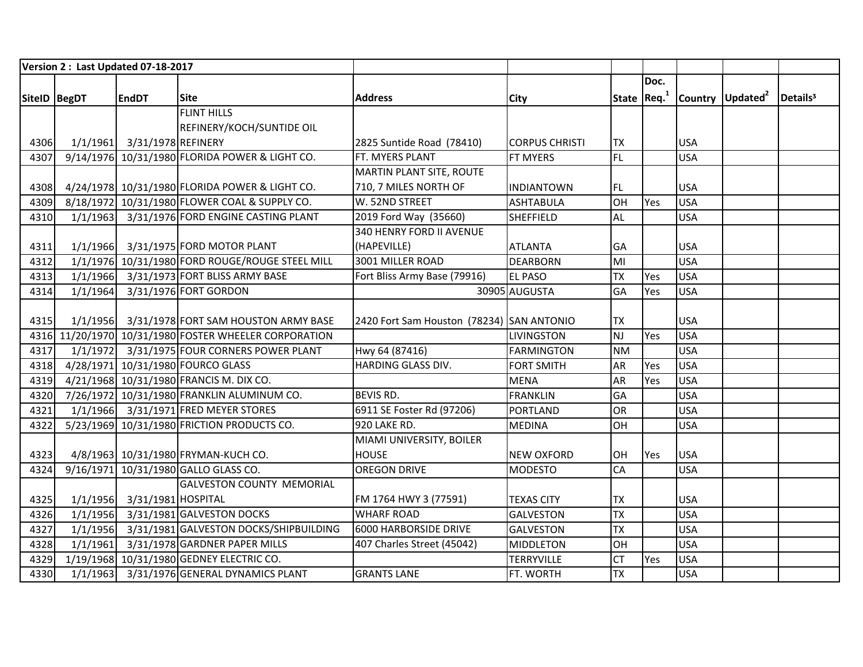|              |          | Version 2: Last Updated 07-18-2017 |                                                       |                                           |                       |           |              |            |                              |                      |
|--------------|----------|------------------------------------|-------------------------------------------------------|-------------------------------------------|-----------------------|-----------|--------------|------------|------------------------------|----------------------|
|              |          |                                    |                                                       |                                           |                       |           | Doc.         |            |                              |                      |
| SiteID BegDT |          | <b>EndDT</b>                       | <b>Site</b>                                           | <b>Address</b>                            | <b>City</b>           |           | State $Req1$ |            | Country Updated <sup>2</sup> | Details <sup>3</sup> |
|              |          |                                    | <b>FLINT HILLS</b>                                    |                                           |                       |           |              |            |                              |                      |
|              |          |                                    | REFINERY/KOCH/SUNTIDE OIL                             |                                           |                       |           |              |            |                              |                      |
| 4306         |          | 1/1/1961 3/31/1978 REFINERY        |                                                       | 2825 Suntide Road (78410)                 | <b>CORPUS CHRISTI</b> | <b>TX</b> |              | <b>USA</b> |                              |                      |
| 4307         |          |                                    | 9/14/1976 10/31/1980 FLORIDA POWER & LIGHT CO.        | FT. MYERS PLANT                           | <b>FT MYERS</b>       | FL        |              | <b>USA</b> |                              |                      |
|              |          |                                    |                                                       | <b>MARTIN PLANT SITE, ROUTE</b>           |                       |           |              |            |                              |                      |
| 4308         |          |                                    | 4/24/1978 10/31/1980 FLORIDA POWER & LIGHT CO.        | 710, 7 MILES NORTH OF                     | INDIANTOWN            | FL        |              | <b>USA</b> |                              |                      |
| 4309         |          |                                    | 8/18/1972 10/31/1980 FLOWER COAL & SUPPLY CO.         | W. 52ND STREET                            | <b>ASHTABULA</b>      | OH        | Yes          | <b>USA</b> |                              |                      |
| 4310         |          |                                    | 1/1/1963 3/31/1976 FORD ENGINE CASTING PLANT          | 2019 Ford Way (35660)                     | <b>SHEFFIELD</b>      | <b>AL</b> |              | <b>USA</b> |                              |                      |
|              |          |                                    |                                                       | <b>340 HENRY FORD II AVENUE</b>           |                       |           |              |            |                              |                      |
| 4311         |          |                                    | 1/1/1966 3/31/1975 FORD MOTOR PLANT                   | (HAPEVILLE)                               | <b>ATLANTA</b>        | GA        |              | <b>USA</b> |                              |                      |
| 4312         |          |                                    | 1/1/1976 10/31/1980 FORD ROUGE/ROUGE STEEL MILL       | 3001 MILLER ROAD                          | <b>DEARBORN</b>       | MI        |              | <b>USA</b> |                              |                      |
| 4313         |          |                                    | 1/1/1966 3/31/1973 FORT BLISS ARMY BASE               | Fort Bliss Army Base (79916)              | <b>EL PASO</b>        | <b>TX</b> | Yes          | <b>USA</b> |                              |                      |
| 4314         | 1/1/1964 |                                    | 3/31/1976 FORT GORDON                                 |                                           | 30905 AUGUSTA         | GA        | Yes          | <b>USA</b> |                              |                      |
|              |          |                                    |                                                       |                                           |                       |           |              |            |                              |                      |
| 4315         |          |                                    | 1/1/1956 3/31/1978 FORT SAM HOUSTON ARMY BASE         | 2420 Fort Sam Houston (78234) SAN ANTONIO |                       | <b>TX</b> |              | <b>USA</b> |                              |                      |
|              |          |                                    | 4316 11/20/1970 10/31/1980 FOSTER WHEELER CORPORATION |                                           | <b>LIVINGSTON</b>     | <b>NJ</b> | Yes          | <b>USA</b> |                              |                      |
| 4317         |          |                                    | 1/1/1972 3/31/1975 FOUR CORNERS POWER PLANT           | Hwy 64 (87416)                            | <b>FARMINGTON</b>     | <b>NM</b> |              | <b>USA</b> |                              |                      |
| 4318         |          |                                    | 4/28/1971 10/31/1980 FOURCO GLASS                     | HARDING GLASS DIV.                        | <b>FORT SMITH</b>     | AR        | Yes          | <b>USA</b> |                              |                      |
| 4319         |          |                                    | 4/21/1968 10/31/1980 FRANCIS M. DIX CO.               |                                           | <b>MENA</b>           | <b>AR</b> | Yes          | <b>USA</b> |                              |                      |
| 4320         |          |                                    | 7/26/1972 10/31/1980 FRANKLIN ALUMINUM CO.            | <b>BEVIS RD.</b>                          | <b>FRANKLIN</b>       | GA        |              | <b>USA</b> |                              |                      |
| 4321         |          |                                    | 1/1/1966 3/31/1971 FRED MEYER STORES                  | 6911 SE Foster Rd (97206)                 | <b>PORTLAND</b>       | OR        |              | <b>USA</b> |                              |                      |
| 4322         |          |                                    | 5/23/1969 10/31/1980 FRICTION PRODUCTS CO.            | 920 LAKE RD.                              | <b>MEDINA</b>         | OH        |              | <b>USA</b> |                              |                      |
|              |          |                                    |                                                       | MIAMI UNIVERSITY, BOILER                  |                       |           |              |            |                              |                      |
| 4323         |          |                                    | 4/8/1963 10/31/1980 FRYMAN-KUCH CO.                   | <b>HOUSE</b>                              | <b>NEW OXFORD</b>     | OH        | Yes          | <b>USA</b> |                              |                      |
| 4324         |          |                                    | 9/16/1971 10/31/1980 GALLO GLASS CO.                  | <b>OREGON DRIVE</b>                       | <b>MODESTO</b>        | CA        |              | <b>USA</b> |                              |                      |
|              |          |                                    | <b>GALVESTON COUNTY MEMORIAL</b>                      |                                           |                       |           |              |            |                              |                      |
| 4325         |          | 1/1/1956 3/31/1981 HOSPITAL        |                                                       | FM 1764 HWY 3 (77591)                     | <b>TEXAS CITY</b>     | <b>TX</b> |              | <b>USA</b> |                              |                      |
| 4326         | 1/1/1956 |                                    | 3/31/1981 GALVESTON DOCKS                             | <b>WHARF ROAD</b>                         | <b>GALVESTON</b>      | <b>TX</b> |              | <b>USA</b> |                              |                      |
| 4327         | 1/1/1956 |                                    | 3/31/1981 GALVESTON DOCKS/SHIPBUILDING                | 6000 HARBORSIDE DRIVE                     | <b>GALVESTON</b>      | <b>TX</b> |              | <b>USA</b> |                              |                      |
| 4328         | 1/1/1961 |                                    | 3/31/1978 GARDNER PAPER MILLS                         | 407 Charles Street (45042)                | <b>MIDDLETON</b>      | OH        |              | <b>USA</b> |                              |                      |
| 4329         |          |                                    | 1/19/1968 10/31/1980 GEDNEY ELECTRIC CO.              |                                           | <b>TERRYVILLE</b>     | CT        | Yes          | <b>USA</b> |                              |                      |
| 4330         |          |                                    | 1/1/1963 3/31/1976 GENERAL DYNAMICS PLANT             | <b>GRANTS LANE</b>                        | FT. WORTH             | <b>TX</b> |              | <b>USA</b> |                              |                      |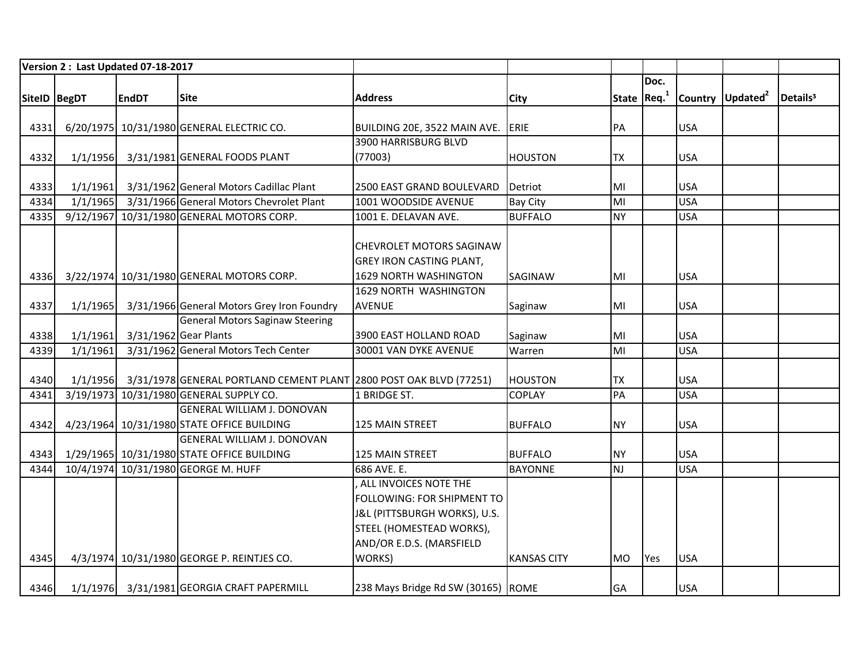|              |          | Version 2: Last Updated 07-18-2017 |                                                                             |                                    |                    |           |              |            |                              |                      |
|--------------|----------|------------------------------------|-----------------------------------------------------------------------------|------------------------------------|--------------------|-----------|--------------|------------|------------------------------|----------------------|
|              |          |                                    |                                                                             |                                    |                    |           | Doc.         |            |                              |                      |
| SiteID BegDT |          | <b>EndDT</b>                       | <b>Site</b>                                                                 | <b>Address</b>                     | City               |           | State $Req1$ |            | Country Updated <sup>2</sup> | Details <sup>3</sup> |
|              |          |                                    |                                                                             |                                    |                    |           |              |            |                              |                      |
| 4331         |          |                                    | 6/20/1975 10/31/1980 GENERAL ELECTRIC CO.                                   | BUILDING 20E, 3522 MAIN AVE.       | ERIE               | PA        |              | <b>USA</b> |                              |                      |
|              |          |                                    |                                                                             | 3900 HARRISBURG BLVD               |                    |           |              |            |                              |                      |
| 4332         | 1/1/1956 |                                    | 3/31/1981 GENERAL FOODS PLANT                                               | (77003)                            | <b>HOUSTON</b>     | <b>TX</b> |              | <b>USA</b> |                              |                      |
|              |          |                                    |                                                                             |                                    |                    |           |              |            |                              |                      |
| 4333         | 1/1/1961 |                                    | 3/31/1962 General Motors Cadillac Plant                                     | 2500 EAST GRAND BOULEVARD          | Detriot            | MI        |              | <b>USA</b> |                              |                      |
| 4334         | 1/1/1965 |                                    | 3/31/1966 General Motors Chevrolet Plant                                    | 1001 WOODSIDE AVENUE               | <b>Bay City</b>    | MI        |              | <b>USA</b> |                              |                      |
| 4335         |          |                                    | 9/12/1967 10/31/1980 GENERAL MOTORS CORP.                                   | 1001 E. DELAVAN AVE.               | <b>BUFFALO</b>     | <b>NY</b> |              | <b>USA</b> |                              |                      |
|              |          |                                    |                                                                             |                                    |                    |           |              |            |                              |                      |
|              |          |                                    |                                                                             | <b>CHEVROLET MOTORS SAGINAW</b>    |                    |           |              |            |                              |                      |
|              |          |                                    |                                                                             | <b>GREY IRON CASTING PLANT,</b>    |                    |           |              |            |                              |                      |
| 4336         |          |                                    | 3/22/1974 10/31/1980 GENERAL MOTORS CORP.                                   | 1629 NORTH WASHINGTON              | <b>SAGINAW</b>     | MI        |              | <b>USA</b> |                              |                      |
|              |          |                                    |                                                                             | 1629 NORTH WASHINGTON              |                    |           |              |            |                              |                      |
| 4337         | 1/1/1965 |                                    | 3/31/1966 General Motors Grey Iron Foundry                                  | <b>AVENUE</b>                      | Saginaw            | MI        |              | <b>USA</b> |                              |                      |
|              |          |                                    | <b>General Motors Saginaw Steering</b>                                      |                                    |                    |           |              |            |                              |                      |
| 4338         | 1/1/1961 |                                    | 3/31/1962 Gear Plants                                                       | 3900 EAST HOLLAND ROAD             | Saginaw            | MI        |              | <b>USA</b> |                              |                      |
| 4339         | 1/1/1961 |                                    | 3/31/1962 General Motors Tech Center                                        | 30001 VAN DYKE AVENUE              | Warren             | MI        |              | <b>USA</b> |                              |                      |
|              |          |                                    |                                                                             |                                    |                    |           |              |            |                              |                      |
| 4340         |          |                                    | 1/1/1956 3/31/1978 GENERAL PORTLAND CEMENT PLANT 2800 POST OAK BLVD (77251) |                                    | <b>HOUSTON</b>     | <b>TX</b> |              | <b>USA</b> |                              |                      |
| 4341         |          |                                    | 3/19/1973 10/31/1980 GENERAL SUPPLY CO.                                     | 1 BRIDGE ST.                       | <b>COPLAY</b>      | PA        |              | <b>USA</b> |                              |                      |
|              |          |                                    | <b>GENERAL WILLIAM J. DONOVAN</b>                                           |                                    |                    |           |              |            |                              |                      |
| 4342         |          |                                    | 4/23/1964 10/31/1980 STATE OFFICE BUILDING                                  | 125 MAIN STREET                    | <b>BUFFALO</b>     | <b>NY</b> |              | <b>USA</b> |                              |                      |
|              |          |                                    | <b>GENERAL WILLIAM J. DONOVAN</b>                                           |                                    |                    |           |              |            |                              |                      |
| 4343         |          |                                    | 1/29/1965 10/31/1980 STATE OFFICE BUILDING                                  | <b>125 MAIN STREET</b>             | <b>BUFFALO</b>     | <b>NY</b> |              | <b>USA</b> |                              |                      |
| 4344         |          |                                    | 10/4/1974 10/31/1980 GEORGE M. HUFF                                         | 686 AVE. E.                        | <b>BAYONNE</b>     | <b>NJ</b> |              | <b>USA</b> |                              |                      |
|              |          |                                    |                                                                             | ALL INVOICES NOTE THE              |                    |           |              |            |                              |                      |
|              |          |                                    |                                                                             | FOLLOWING: FOR SHIPMENT TO         |                    |           |              |            |                              |                      |
|              |          |                                    |                                                                             | J&L (PITTSBURGH WORKS), U.S.       |                    |           |              |            |                              |                      |
|              |          |                                    |                                                                             | STEEL (HOMESTEAD WORKS),           |                    |           |              |            |                              |                      |
|              |          |                                    |                                                                             | AND/OR E.D.S. (MARSFIELD           |                    |           |              |            |                              |                      |
| 4345         |          |                                    | 4/3/1974 10/31/1980 GEORGE P. REINTJES CO.                                  | WORKS)                             | <b>KANSAS CITY</b> | <b>MO</b> | Yes          | <b>USA</b> |                              |                      |
|              |          |                                    |                                                                             |                                    |                    |           |              |            |                              |                      |
| 4346         |          |                                    | 1/1/1976 3/31/1981 GEORGIA CRAFT PAPERMILL                                  | 238 Mays Bridge Rd SW (30165) ROME |                    | <b>GA</b> |              | <b>USA</b> |                              |                      |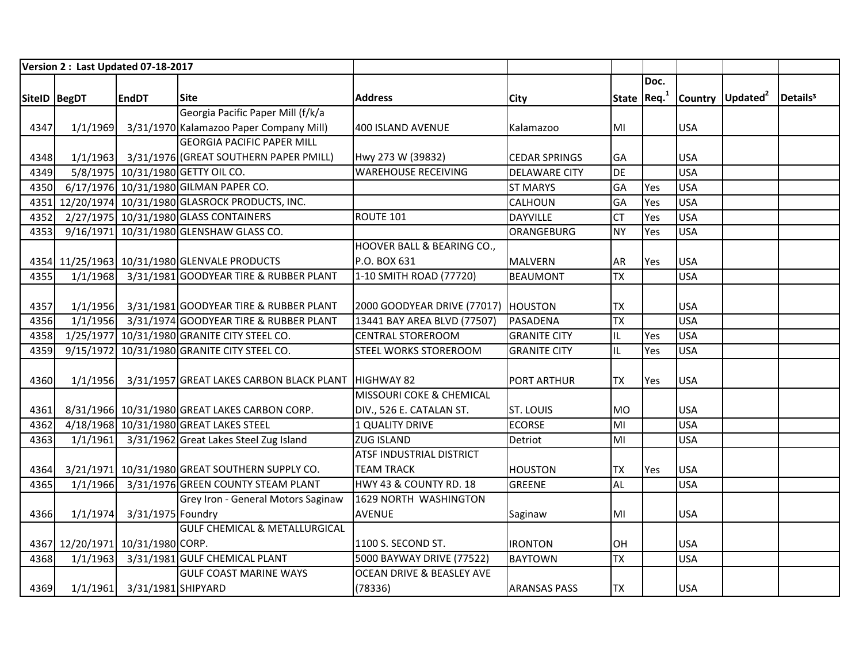|              | Version 2 : Last Updated 07-18-2017 |                             |                                                     |                                       |                      |           |              |            |                              |                      |
|--------------|-------------------------------------|-----------------------------|-----------------------------------------------------|---------------------------------------|----------------------|-----------|--------------|------------|------------------------------|----------------------|
|              |                                     |                             |                                                     |                                       |                      |           | Doc.         |            |                              |                      |
| SiteID BegDT |                                     | <b>EndDT</b>                | <b>Site</b>                                         | <b>Address</b>                        | <b>City</b>          |           | State $Req1$ |            | Country Updated <sup>2</sup> | Details <sup>3</sup> |
|              |                                     |                             | Georgia Pacific Paper Mill (f/k/a                   |                                       |                      |           |              |            |                              |                      |
| 4347         | 1/1/1969                            |                             | 3/31/1970 Kalamazoo Paper Company Mill)             | 400 ISLAND AVENUE                     | Kalamazoo            | MI        |              | <b>USA</b> |                              |                      |
|              |                                     |                             | <b>GEORGIA PACIFIC PAPER MILL</b>                   |                                       |                      |           |              |            |                              |                      |
| 4348         |                                     |                             | 1/1/1963 3/31/1976 (GREAT SOUTHERN PAPER PMILL)     | Hwy 273 W (39832)                     | <b>CEDAR SPRINGS</b> | GA        |              | <b>USA</b> |                              |                      |
| 4349         |                                     |                             | 5/8/1975 10/31/1980 GETTY OIL CO.                   | <b>WAREHOUSE RECEIVING</b>            | <b>DELAWARE CITY</b> | <b>DE</b> |              | <b>USA</b> |                              |                      |
| 4350         |                                     |                             | 6/17/1976 10/31/1980 GILMAN PAPER CO.               |                                       | <b>ST MARYS</b>      | GA        | Yes          | <b>USA</b> |                              |                      |
|              |                                     |                             | 4351 12/20/1974 10/31/1980 GLASROCK PRODUCTS, INC.  |                                       | <b>CALHOUN</b>       | GA        | Yes          | <b>USA</b> |                              |                      |
| 4352         |                                     |                             | 2/27/1975 10/31/1980 GLASS CONTAINERS               | ROUTE 101                             | <b>DAYVILLE</b>      | <b>CT</b> | Yes          | <b>USA</b> |                              |                      |
| 4353         |                                     |                             | 9/16/1971 10/31/1980 GLENSHAW GLASS CO.             |                                       | ORANGEBURG           | <b>NY</b> | Yes          | <b>USA</b> |                              |                      |
|              |                                     |                             |                                                     | HOOVER BALL & BEARING CO.,            |                      |           |              |            |                              |                      |
|              |                                     |                             | 4354 11/25/1963 10/31/1980 GLENVALE PRODUCTS        | P.O. BOX 631                          | <b>MALVERN</b>       | AR        | Yes          | <b>USA</b> |                              |                      |
| 4355         |                                     |                             | 1/1/1968 3/31/1981 GOODYEAR TIRE & RUBBER PLANT     | 1-10 SMITH ROAD (77720)               | <b>BEAUMONT</b>      | <b>TX</b> |              | <b>USA</b> |                              |                      |
|              |                                     |                             |                                                     |                                       |                      |           |              |            |                              |                      |
| 4357         |                                     |                             | 1/1/1956 3/31/1981 GOODYEAR TIRE & RUBBER PLANT     | 2000 GOODYEAR DRIVE (77017)   HOUSTON |                      | <b>TX</b> |              | <b>USA</b> |                              |                      |
| 4356         |                                     |                             | 1/1/1956 3/31/1974 GOODYEAR TIRE & RUBBER PLANT     | 13441 BAY AREA BLVD (77507)           | PASADENA             | <b>TX</b> |              | <b>USA</b> |                              |                      |
| 4358         |                                     |                             | 1/25/1977 10/31/1980 GRANITE CITY STEEL CO.         | <b>CENTRAL STOREROOM</b>              | <b>GRANITE CITY</b>  | IL        | Yes          | <b>USA</b> |                              |                      |
| 4359         |                                     |                             | 9/15/1972 10/31/1980 GRANITE CITY STEEL CO.         | <b>STEEL WORKS STOREROOM</b>          | <b>GRANITE CITY</b>  | IL        | Yes          | <b>USA</b> |                              |                      |
|              |                                     |                             |                                                     |                                       |                      |           |              |            |                              |                      |
| 4360         | 1/1/1956                            |                             | 3/31/1957 GREAT LAKES CARBON BLACK PLANT HIGHWAY 82 |                                       | <b>PORT ARTHUR</b>   | <b>TX</b> | Yes          | <b>USA</b> |                              |                      |
|              |                                     |                             |                                                     | <b>MISSOURI COKE &amp; CHEMICAL</b>   |                      |           |              |            |                              |                      |
| 4361         |                                     |                             | 8/31/1966 10/31/1980 GREAT LAKES CARBON CORP.       | DIV., 526 E. CATALAN ST.              | <b>ST. LOUIS</b>     | <b>MO</b> |              | <b>USA</b> |                              |                      |
| 4362         |                                     |                             | 4/18/1968 10/31/1980 GREAT LAKES STEEL              | 1 QUALITY DRIVE                       | <b>ECORSE</b>        | MI        |              | <b>USA</b> |                              |                      |
| 4363         |                                     |                             | 1/1/1961 3/31/1962 Great Lakes Steel Zug Island     | <b>ZUG ISLAND</b>                     | Detriot              | MI        |              | <b>USA</b> |                              |                      |
|              |                                     |                             |                                                     | ATSF INDUSTRIAL DISTRICT              |                      |           |              |            |                              |                      |
| 4364         |                                     |                             | 3/21/1971 10/31/1980 GREAT SOUTHERN SUPPLY CO.      | <b>TEAM TRACK</b>                     | <b>HOUSTON</b>       | <b>TX</b> | Yes          | <b>USA</b> |                              |                      |
| 4365         | 1/1/1966                            |                             | 3/31/1976 GREEN COUNTY STEAM PLANT                  | HWY 43 & COUNTY RD. 18                | <b>GREENE</b>        | <b>AL</b> |              | <b>USA</b> |                              |                      |
|              |                                     |                             | Grey Iron - General Motors Saginaw                  | 1629 NORTH WASHINGTON                 |                      |           |              |            |                              |                      |
| 4366         | 1/1/1974                            | 3/31/1975 Foundry           |                                                     | <b>AVENUE</b>                         | Saginaw              | MI        |              | <b>USA</b> |                              |                      |
|              |                                     |                             | <b>GULF CHEMICAL &amp; METALLURGICAL</b>            |                                       |                      |           |              |            |                              |                      |
|              | 4367 12/20/1971 10/31/1980 CORP.    |                             |                                                     | 1100 S. SECOND ST.                    | <b>IRONTON</b>       | OH        |              | <b>USA</b> |                              |                      |
| 4368         | 1/1/1963                            |                             | 3/31/1981 GULF CHEMICAL PLANT                       | 5000 BAYWAY DRIVE (77522)             | <b>BAYTOWN</b>       | <b>TX</b> |              | <b>USA</b> |                              |                      |
|              |                                     |                             | <b>GULF COAST MARINE WAYS</b>                       | <b>OCEAN DRIVE &amp; BEASLEY AVE</b>  |                      |           |              |            |                              |                      |
| 4369         |                                     | 1/1/1961 3/31/1981 SHIPYARD |                                                     | (78336)                               | <b>ARANSAS PASS</b>  | <b>TX</b> |              | <b>USA</b> |                              |                      |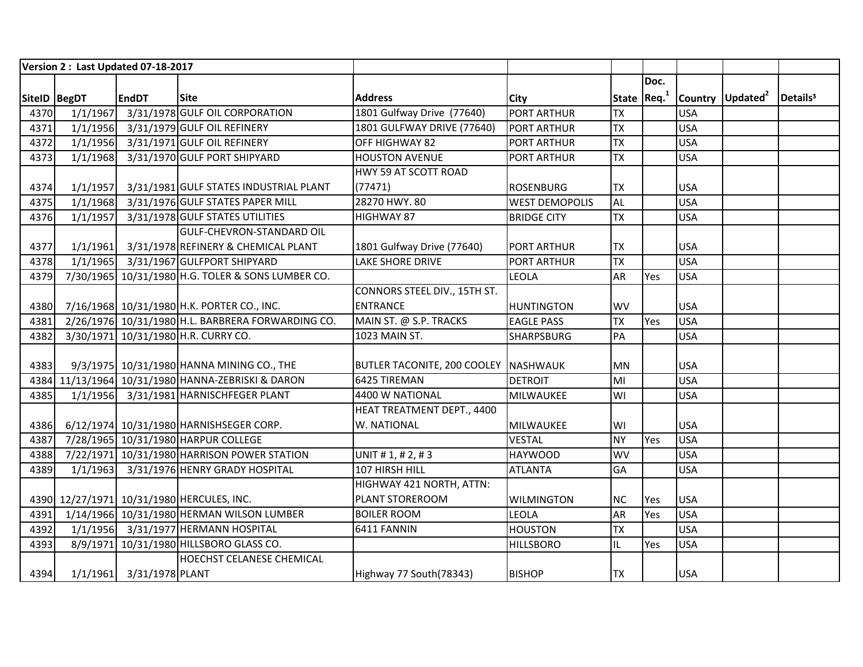|              | Version 2: Last Updated 07-18-2017 |                          |                                                   |                                      |                       |           |              |            |                              |                      |
|--------------|------------------------------------|--------------------------|---------------------------------------------------|--------------------------------------|-----------------------|-----------|--------------|------------|------------------------------|----------------------|
|              |                                    |                          |                                                   |                                      |                       |           | Doc.         |            |                              |                      |
| SiteID BegDT |                                    | <b>EndDT</b>             | <b>Site</b>                                       | <b>Address</b>                       | <b>City</b>           |           | State $Req1$ |            | Country Updated <sup>2</sup> | Details <sup>3</sup> |
| 4370         | 1/1/1967                           |                          | 3/31/1978 GULF OIL CORPORATION                    | 1801 Gulfway Drive (77640)           | <b>PORT ARTHUR</b>    | <b>TX</b> |              | <b>USA</b> |                              |                      |
| 4371         | 1/1/1956                           |                          | 3/31/1979 GULF OIL REFINERY                       | 1801 GULFWAY DRIVE (77640)           | <b>PORT ARTHUR</b>    | <b>TX</b> |              | <b>USA</b> |                              |                      |
| 4372         | 1/1/1956                           |                          | 3/31/1971 GULF OIL REFINERY                       | OFF HIGHWAY 82                       | <b>PORT ARTHUR</b>    | <b>TX</b> |              | <b>USA</b> |                              |                      |
| 4373         | 1/1/1968                           |                          | 3/31/1970 GULF PORT SHIPYARD                      | <b>HOUSTON AVENUE</b>                | PORT ARTHUR           | <b>TX</b> |              | <b>USA</b> |                              |                      |
|              |                                    |                          |                                                   | HWY 59 AT SCOTT ROAD                 |                       |           |              |            |                              |                      |
| 4374         | 1/1/1957                           |                          | 3/31/1981 GULF STATES INDUSTRIAL PLANT            | (77471)                              | <b>ROSENBURG</b>      | <b>TX</b> |              | <b>USA</b> |                              |                      |
| 4375         | 1/1/1968                           |                          | 3/31/1976 GULF STATES PAPER MILL                  | 28270 HWY. 80                        | <b>WEST DEMOPOLIS</b> | AL        |              | <b>USA</b> |                              |                      |
| 4376         | 1/1/1957                           |                          | 3/31/1978 GULF STATES UTILITIES                   | HIGHWAY 87                           | <b>BRIDGE CITY</b>    | <b>TX</b> |              | <b>USA</b> |                              |                      |
|              |                                    |                          | <b>GULF-CHEVRON-STANDARD OIL</b>                  |                                      |                       |           |              |            |                              |                      |
| 4377         | 1/1/1961                           |                          | 3/31/1978 REFINERY & CHEMICAL PLANT               | 1801 Gulfway Drive (77640)           | <b>PORT ARTHUR</b>    | <b>TX</b> |              | <b>USA</b> |                              |                      |
| 4378         | 1/1/1965                           |                          | 3/31/1967 GULFPORT SHIPYARD                       | <b>LAKE SHORE DRIVE</b>              | <b>PORT ARTHUR</b>    | <b>TX</b> |              | <b>USA</b> |                              |                      |
| 4379         |                                    |                          | 7/30/1965 10/31/1980 H.G. TOLER & SONS LUMBER CO. |                                      | LEOLA                 | AR        | Yes          | <b>USA</b> |                              |                      |
|              |                                    |                          |                                                   | CONNORS STEEL DIV., 15TH ST.         |                       |           |              |            |                              |                      |
| 4380         |                                    |                          | 7/16/1968 10/31/1980 H.K. PORTER CO., INC.        | <b>ENTRANCE</b>                      | <b>HUNTINGTON</b>     | WV        |              | <b>USA</b> |                              |                      |
| 4381         |                                    |                          | 2/26/1976 10/31/1980 H.L. BARBRERA FORWARDING CO. | MAIN ST. @ S.P. TRACKS               | <b>EAGLE PASS</b>     | <b>TX</b> | Yes          | <b>USA</b> |                              |                      |
| 4382         |                                    |                          | 3/30/1971 10/31/1980 H.R. CURRY CO.               | 1023 MAIN ST.                        | <b>SHARPSBURG</b>     | PA        |              | <b>USA</b> |                              |                      |
|              |                                    |                          |                                                   |                                      |                       |           |              |            |                              |                      |
| 4383         |                                    |                          | 9/3/1975 10/31/1980 HANNA MINING CO., THE         | BUTLER TACONITE, 200 COOLEY NASHWAUK |                       | <b>MN</b> |              | <b>USA</b> |                              |                      |
|              |                                    |                          | 4384 11/13/1964 10/31/1980 HANNA-ZEBRISKI & DARON | 6425 TIREMAN                         | <b>DETROIT</b>        | MI        |              | <b>USA</b> |                              |                      |
| 4385         |                                    |                          | 1/1/1956 3/31/1981 HARNISCHFEGER PLANT            | 4400 W NATIONAL                      | <b>MILWAUKEE</b>      | WI        |              | <b>USA</b> |                              |                      |
|              |                                    |                          |                                                   | HEAT TREATMENT DEPT., 4400           |                       |           |              |            |                              |                      |
| 4386         |                                    |                          | 6/12/1974 10/31/1980 HARNISHSEGER CORP.           | W. NATIONAL                          | MILWAUKEE             | WI        |              | <b>USA</b> |                              |                      |
| 4387         |                                    |                          | 7/28/1965 10/31/1980 HARPUR COLLEGE               |                                      | <b>VESTAL</b>         | <b>NY</b> | Yes          | <b>USA</b> |                              |                      |
| 4388         |                                    |                          | 7/22/1971 10/31/1980 HARRISON POWER STATION       | UNIT # 1, # 2, # 3                   | <b>HAYWOOD</b>        | <b>WV</b> |              | <b>USA</b> |                              |                      |
| 4389         | 1/1/1963                           |                          | 3/31/1976 HENRY GRADY HOSPITAL                    | 107 HIRSH HILL                       | <b>ATLANTA</b>        | GA        |              | <b>USA</b> |                              |                      |
|              |                                    |                          |                                                   | HIGHWAY 421 NORTH, ATTN:             |                       |           |              |            |                              |                      |
|              |                                    |                          | 4390 12/27/1971 10/31/1980 HERCULES, INC.         | PLANT STOREROOM                      | <b>WILMINGTON</b>     | <b>NC</b> | Yes          | <b>USA</b> |                              |                      |
| 4391         |                                    |                          | 1/14/1966 10/31/1980 HERMAN WILSON LUMBER         | <b>BOILER ROOM</b>                   | <b>LEOLA</b>          | AR        | Yes          | <b>USA</b> |                              |                      |
| 4392         |                                    |                          | 1/1/1956 3/31/1977 HERMANN HOSPITAL               | 6411 FANNIN                          | <b>HOUSTON</b>        | <b>TX</b> |              | <b>USA</b> |                              |                      |
| 4393         |                                    |                          | 8/9/1971 10/31/1980 HILLSBORO GLASS CO.           |                                      | <b>HILLSBORO</b>      | IL        | Yes          | <b>USA</b> |                              |                      |
|              |                                    |                          | <b>HOECHST CELANESE CHEMICAL</b>                  |                                      |                       |           |              |            |                              |                      |
| 4394         |                                    | 1/1/1961 3/31/1978 PLANT |                                                   | Highway 77 South(78343)              | <b>BISHOP</b>         | <b>TX</b> |              | <b>USA</b> |                              |                      |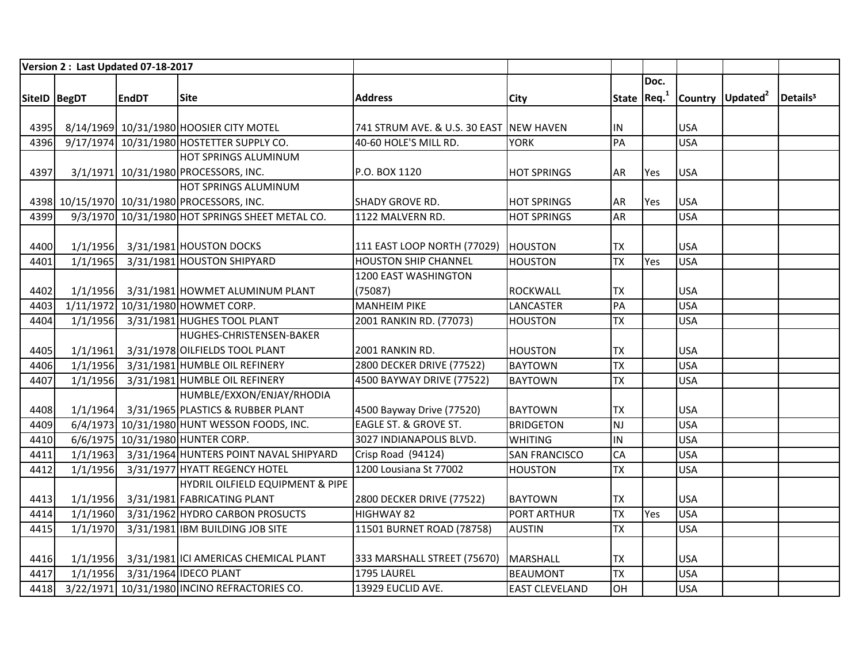|              | Version 2 : Last Updated 07-18-2017 |              |                                                 |                                         |                       |           |              |            |                              |                      |
|--------------|-------------------------------------|--------------|-------------------------------------------------|-----------------------------------------|-----------------------|-----------|--------------|------------|------------------------------|----------------------|
|              |                                     |              |                                                 |                                         |                       |           | Doc.         |            |                              |                      |
| SiteID BegDT |                                     | <b>EndDT</b> | <b>Site</b>                                     | <b>Address</b>                          | <b>City</b>           |           | State $Req1$ |            | Country Updated <sup>2</sup> | Details <sup>3</sup> |
|              |                                     |              |                                                 |                                         |                       |           |              |            |                              |                      |
| 4395         |                                     |              | 8/14/1969 10/31/1980 HOOSIER CITY MOTEL         | 741 STRUM AVE. & U.S. 30 EAST NEW HAVEN |                       | IN        |              | <b>USA</b> |                              |                      |
| 4396         |                                     |              | 9/17/1974 10/31/1980 HOSTETTER SUPPLY CO.       | 40-60 HOLE'S MILL RD.                   | <b>YORK</b>           | PA        |              | <b>USA</b> |                              |                      |
|              |                                     |              | <b>HOT SPRINGS ALUMINUM</b>                     |                                         |                       |           |              |            |                              |                      |
| 4397         |                                     |              | 3/1/1971 10/31/1980 PROCESSORS, INC.            | P.O. BOX 1120                           | <b>HOT SPRINGS</b>    | AR        | Yes          | <b>USA</b> |                              |                      |
|              |                                     |              | <b>HOT SPRINGS ALUMINUM</b>                     |                                         |                       |           |              |            |                              |                      |
|              |                                     |              | 4398 10/15/1970 10/31/1980 PROCESSORS, INC.     | <b>SHADY GROVE RD.</b>                  | <b>HOT SPRINGS</b>    | AR        | Yes          | <b>USA</b> |                              |                      |
| 4399         |                                     |              | 9/3/1970 10/31/1980 HOT SPRINGS SHEET METAL CO. | 1122 MALVERN RD.                        | <b>HOT SPRINGS</b>    | <b>AR</b> |              | <b>USA</b> |                              |                      |
|              |                                     |              |                                                 |                                         |                       |           |              |            |                              |                      |
| 4400         |                                     |              | 1/1/1956 3/31/1981 HOUSTON DOCKS                | 111 EAST LOOP NORTH (77029)             | <b>HOUSTON</b>        | <b>TX</b> |              | <b>USA</b> |                              |                      |
| 4401         | 1/1/1965                            |              | 3/31/1981 HOUSTON SHIPYARD                      | <b>HOUSTON SHIP CHANNEL</b>             | <b>HOUSTON</b>        | <b>TX</b> | Yes          | <b>USA</b> |                              |                      |
|              |                                     |              |                                                 | 1200 EAST WASHINGTON                    |                       |           |              |            |                              |                      |
| 4402         | 1/1/1956                            |              | 3/31/1981 HOWMET ALUMINUM PLANT                 | (75087)                                 | <b>ROCKWALL</b>       | <b>TX</b> |              | <b>USA</b> |                              |                      |
| 4403         |                                     |              | 1/11/1972 10/31/1980 HOWMET CORP.               | <b>MANHEIM PIKE</b>                     | <b>LANCASTER</b>      | PA        |              | <b>USA</b> |                              |                      |
| 4404         | 1/1/1956                            |              | 3/31/1981 HUGHES TOOL PLANT                     | 2001 RANKIN RD. (77073)                 | <b>HOUSTON</b>        | <b>TX</b> |              | <b>USA</b> |                              |                      |
|              |                                     |              | HUGHES-CHRISTENSEN-BAKER                        |                                         |                       |           |              |            |                              |                      |
| 4405         | 1/1/1961                            |              | 3/31/1978 OILFIELDS TOOL PLANT                  | 2001 RANKIN RD.                         | <b>HOUSTON</b>        | <b>TX</b> |              | <b>USA</b> |                              |                      |
| 4406         | 1/1/1956                            |              | 3/31/1981 HUMBLE OIL REFINERY                   | 2800 DECKER DRIVE (77522)               | <b>BAYTOWN</b>        | <b>TX</b> |              | <b>USA</b> |                              |                      |
| 4407         | 1/1/1956                            |              | 3/31/1981 HUMBLE OIL REFINERY                   | 4500 BAYWAY DRIVE (77522)               | <b>BAYTOWN</b>        | <b>TX</b> |              | <b>USA</b> |                              |                      |
|              |                                     |              | HUMBLE/EXXON/ENJAY/RHODIA                       |                                         |                       |           |              |            |                              |                      |
| 4408         |                                     |              | 1/1/1964 3/31/1965 PLASTICS & RUBBER PLANT      | 4500 Bayway Drive (77520)               | <b>BAYTOWN</b>        | <b>TX</b> |              | <b>USA</b> |                              |                      |
| 4409         |                                     |              | 6/4/1973 10/31/1980 HUNT WESSON FOODS, INC.     | <b>EAGLE ST. &amp; GROVE ST.</b>        | <b>BRIDGETON</b>      | NJ        |              | <b>USA</b> |                              |                      |
| 4410         |                                     |              | 6/6/1975 10/31/1980 HUNTER CORP.                | 3027 INDIANAPOLIS BLVD.                 | <b>WHITING</b>        | IN        |              | <b>USA</b> |                              |                      |
| 4411         |                                     |              | 1/1/1963 3/31/1964 HUNTERS POINT NAVAL SHIPYARD | Crisp Road (94124)                      | <b>SAN FRANCISCO</b>  | CA        |              | <b>USA</b> |                              |                      |
| 4412         | 1/1/1956                            |              | 3/31/1977 HYATT REGENCY HOTEL                   | 1200 Lousiana St 77002                  | <b>HOUSTON</b>        | <b>TX</b> |              | <b>USA</b> |                              |                      |
|              |                                     |              | HYDRIL OILFIELD EQUIPMENT & PIPE                |                                         |                       |           |              |            |                              |                      |
| 4413         | 1/1/1956                            |              | 3/31/1981 FABRICATING PLANT                     | 2800 DECKER DRIVE (77522)               | <b>BAYTOWN</b>        | <b>TX</b> |              | <b>USA</b> |                              |                      |
| 4414         | 1/1/1960                            |              | 3/31/1962 HYDRO CARBON PROSUCTS                 | <b>HIGHWAY 82</b>                       | <b>PORT ARTHUR</b>    | <b>TX</b> | Yes          | <b>USA</b> |                              |                      |
| 4415         | 1/1/1970                            |              | 3/31/1981 IBM BUILDING JOB SITE                 | 11501 BURNET ROAD (78758)               | <b>AUSTIN</b>         | <b>TX</b> |              | <b>USA</b> |                              |                      |
|              |                                     |              |                                                 |                                         |                       |           |              |            |                              |                      |
| 4416         |                                     |              | 1/1/1956 3/31/1981 ICI AMERICAS CHEMICAL PLANT  | 333 MARSHALL STREET (75670)             | <b>MARSHALL</b>       | <b>TX</b> |              | <b>USA</b> |                              |                      |
| 4417         |                                     |              | 1/1/1956 3/31/1964 IDECO PLANT                  | 1795 LAUREL                             | <b>BEAUMONT</b>       | <b>TX</b> |              | <b>USA</b> |                              |                      |
| 4418         |                                     |              | 3/22/1971 10/31/1980 INCINO REFRACTORIES CO.    | 13929 EUCLID AVE.                       | <b>EAST CLEVELAND</b> | OH        |              | <b>USA</b> |                              |                      |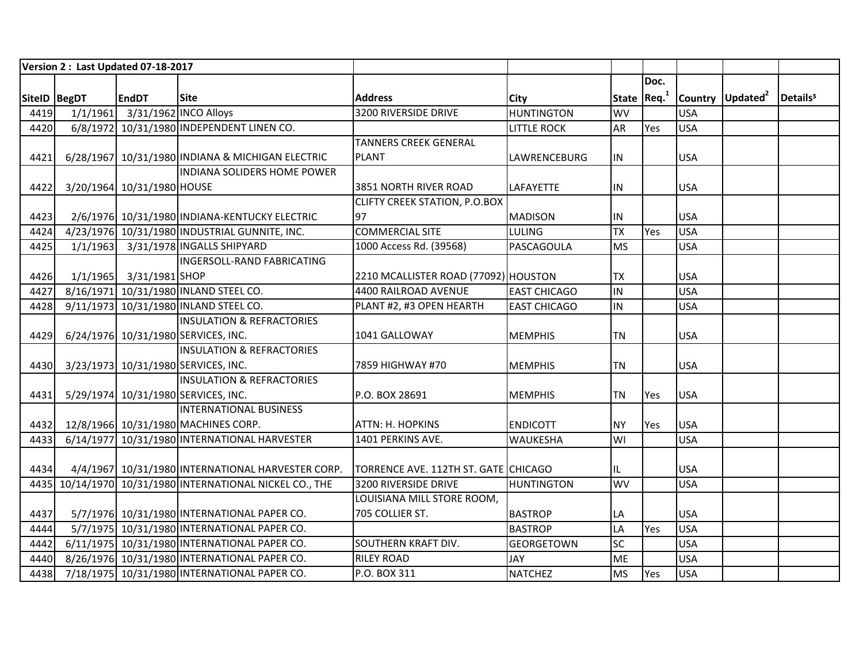|              | Version 2: Last Updated 07-18-2017 |                                                          |                                      |                     |                         |      |            |                              |                      |
|--------------|------------------------------------|----------------------------------------------------------|--------------------------------------|---------------------|-------------------------|------|------------|------------------------------|----------------------|
|              |                                    |                                                          |                                      |                     |                         | Doc. |            |                              |                      |
| SiteID BegDT | <b>EndDT</b>                       | <b>Site</b>                                              | <b>Address</b>                       | City                | State Req. <sup>1</sup> |      |            | Country Updated <sup>2</sup> | Details <sup>3</sup> |
| 4419         | 1/1/1961 3/31/1962 INCO Alloys     |                                                          | 3200 RIVERSIDE DRIVE                 | <b>HUNTINGTON</b>   | <b>WV</b>               |      | <b>USA</b> |                              |                      |
| 4420         |                                    | 6/8/1972 10/31/1980 INDEPENDENT LINEN CO.                |                                      | <b>LITTLE ROCK</b>  | <b>AR</b>               | Yes  | <b>USA</b> |                              |                      |
|              |                                    |                                                          | <b>TANNERS CREEK GENERAL</b>         |                     |                         |      |            |                              |                      |
| 4421         |                                    | 6/28/1967 10/31/1980 INDIANA & MICHIGAN ELECTRIC         | <b>PLANT</b>                         | LAWRENCEBURG        | IN.                     |      | <b>USA</b> |                              |                      |
|              |                                    | INDIANA SOLIDERS HOME POWER                              |                                      |                     |                         |      |            |                              |                      |
| 4422         | 3/20/1964 10/31/1980 HOUSE         |                                                          | 3851 NORTH RIVER ROAD                | LAFAYETTE           | IN                      |      | <b>USA</b> |                              |                      |
|              |                                    |                                                          | <b>CLIFTY CREEK STATION, P.O.BOX</b> |                     |                         |      |            |                              |                      |
| 4423         |                                    | 2/6/1976 10/31/1980 INDIANA-KENTUCKY ELECTRIC            | 97                                   | <b>MADISON</b>      | IN.                     |      | <b>USA</b> |                              |                      |
| 4424         |                                    | 4/23/1976 10/31/1980 INDUSTRIAL GUNNITE, INC.            | <b>COMMERCIAL SITE</b>               | <b>LULING</b>       | <b>TX</b>               | Yes  | <b>USA</b> |                              |                      |
| 4425         |                                    | 1/1/1963 3/31/1978 INGALLS SHIPYARD                      | 1000 Access Rd. (39568)              | PASCAGOULA          | <b>MS</b>               |      | <b>USA</b> |                              |                      |
|              |                                    | <b>INGERSOLL-RAND FABRICATING</b>                        |                                      |                     |                         |      |            |                              |                      |
| 4426         | 1/1/1965 3/31/1981 SHOP            |                                                          | 2210 MCALLISTER ROAD (77092) HOUSTON |                     | <b>TX</b>               |      | <b>USA</b> |                              |                      |
| 4427         |                                    | 8/16/1971 10/31/1980 INLAND STEEL CO.                    | 4400 RAILROAD AVENUE                 | <b>EAST CHICAGO</b> | IN                      |      | <b>USA</b> |                              |                      |
| 4428         |                                    | 9/11/1973 10/31/1980 INLAND STEEL CO.                    | PLANT #2, #3 OPEN HEARTH             | <b>EAST CHICAGO</b> | IN                      |      | <b>USA</b> |                              |                      |
|              |                                    | <b>INSULATION &amp; REFRACTORIES</b>                     |                                      |                     |                         |      |            |                              |                      |
| 4429         |                                    | 6/24/1976 10/31/1980 SERVICES, INC.                      | 1041 GALLOWAY                        | <b>MEMPHIS</b>      | TN                      |      | <b>USA</b> |                              |                      |
|              |                                    | <b>INSULATION &amp; REFRACTORIES</b>                     |                                      |                     |                         |      |            |                              |                      |
| 4430         |                                    | 3/23/1973 10/31/1980 SERVICES, INC.                      | 7859 HIGHWAY #70                     | <b>MEMPHIS</b>      | <b>TN</b>               |      | <b>USA</b> |                              |                      |
|              |                                    | <b>INSULATION &amp; REFRACTORIES</b>                     |                                      |                     |                         |      |            |                              |                      |
| 4431         |                                    | 5/29/1974 10/31/1980 SERVICES, INC.                      | P.O. BOX 28691                       | <b>MEMPHIS</b>      | TN                      | Yes  | <b>USA</b> |                              |                      |
|              |                                    | <b>INTERNATIONAL BUSINESS</b>                            |                                      |                     |                         |      |            |                              |                      |
| 4432         |                                    | 12/8/1966 10/31/1980 MACHINES CORP.                      | <b>ATTN: H. HOPKINS</b>              | <b>ENDICOTT</b>     | <b>NY</b>               | Yes  | <b>USA</b> |                              |                      |
| 4433         |                                    | 6/14/1977 10/31/1980 INTERNATIONAL HARVESTER             | 1401 PERKINS AVE.                    | WAUKESHA            | WI                      |      | <b>USA</b> |                              |                      |
|              |                                    |                                                          |                                      |                     |                         |      |            |                              |                      |
| 4434         |                                    | 4/4/1967 10/31/1980 INTERNATIONAL HARVESTER CORP.        | TORRENCE AVE. 112TH ST. GATE CHICAGO |                     | IL                      |      | <b>USA</b> |                              |                      |
|              |                                    | 4435 10/14/1970 10/31/1980 INTERNATIONAL NICKEL CO., THE | 3200 RIVERSIDE DRIVE                 | <b>HUNTINGTON</b>   | <b>WV</b>               |      | <b>USA</b> |                              |                      |
|              |                                    |                                                          | LOUISIANA MILL STORE ROOM,           |                     |                         |      |            |                              |                      |
| 4437         |                                    | 5/7/1976 10/31/1980 INTERNATIONAL PAPER CO.              | 705 COLLIER ST.                      | <b>BASTROP</b>      | <b>LA</b>               |      | <b>USA</b> |                              |                      |
| 4444         |                                    | 5/7/1975 10/31/1980 INTERNATIONAL PAPER CO.              |                                      | <b>BASTROP</b>      | LA                      | Yes  | <b>USA</b> |                              |                      |
| 4442         |                                    | 6/11/1975 10/31/1980 INTERNATIONAL PAPER CO.             | <b>SOUTHERN KRAFT DIV.</b>           | <b>GEORGETOWN</b>   | <b>SC</b>               |      | <b>USA</b> |                              |                      |
| 4440         |                                    | 8/26/1976 10/31/1980 INTERNATIONAL PAPER CO.             | <b>RILEY ROAD</b>                    | JAY                 | ME                      |      | <b>USA</b> |                              |                      |
| 4438         |                                    | 7/18/1975 10/31/1980 INTERNATIONAL PAPER CO.             | P.O. BOX 311                         | <b>NATCHEZ</b>      | <b>MS</b>               | Yes  | <b>USA</b> |                              |                      |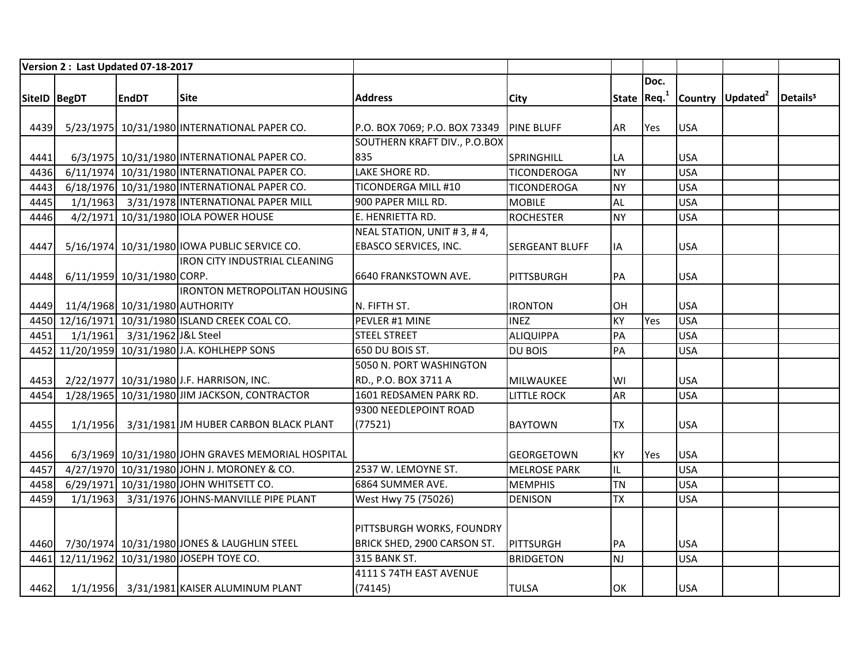|              |          | Version 2: Last Updated 07-18-2017 |                                                   |                               |                       |           |              |            |                              |                      |
|--------------|----------|------------------------------------|---------------------------------------------------|-------------------------------|-----------------------|-----------|--------------|------------|------------------------------|----------------------|
|              |          |                                    |                                                   |                               |                       |           | Doc.         |            |                              |                      |
| SiteID BegDT |          | <b>EndDT</b>                       | <b>Site</b>                                       | <b>Address</b>                | <b>City</b>           |           | State $Req1$ |            | Country Updated <sup>2</sup> | Details <sup>3</sup> |
|              |          |                                    |                                                   |                               |                       |           |              |            |                              |                      |
| 4439         |          |                                    | 5/23/1975 10/31/1980 INTERNATIONAL PAPER CO.      | P.O. BOX 7069; P.O. BOX 73349 | <b>PINE BLUFF</b>     | AR        | Yes          | <b>USA</b> |                              |                      |
|              |          |                                    |                                                   | SOUTHERN KRAFT DIV., P.O.BOX  |                       |           |              |            |                              |                      |
| 4441         |          |                                    | 6/3/1975 10/31/1980 INTERNATIONAL PAPER CO.       | 835                           | SPRINGHILL            | LA        |              | <b>USA</b> |                              |                      |
| 4436         |          |                                    | 6/11/1974 10/31/1980 INTERNATIONAL PAPER CO.      | <b>LAKE SHORE RD.</b>         | <b>TICONDEROGA</b>    | <b>NY</b> |              | <b>USA</b> |                              |                      |
| 4443         |          |                                    | 6/18/1976 10/31/1980 INTERNATIONAL PAPER CO.      | TICONDERGA MILL #10           | <b>TICONDEROGA</b>    | <b>NY</b> |              | <b>USA</b> |                              |                      |
| 4445         |          |                                    | 1/1/1963 3/31/1978 INTERNATIONAL PAPER MILL       | 900 PAPER MILL RD.            | <b>MOBILE</b>         | <b>AL</b> |              | <b>USA</b> |                              |                      |
| 4446         |          |                                    | 4/2/1971 10/31/1980 IOLA POWER HOUSE              | E. HENRIETTA RD.              | <b>ROCHESTER</b>      | <b>NY</b> |              | <b>USA</b> |                              |                      |
|              |          |                                    |                                                   | NEAL STATION, UNIT #3, #4,    |                       |           |              |            |                              |                      |
| 4447         |          |                                    | 5/16/1974 10/31/1980 IOWA PUBLIC SERVICE CO.      | EBASCO SERVICES, INC.         | <b>SERGEANT BLUFF</b> | IA        |              | <b>USA</b> |                              |                      |
|              |          |                                    | <b>IRON CITY INDUSTRIAL CLEANING</b>              |                               |                       |           |              |            |                              |                      |
| 4448         |          | 6/11/1959 10/31/1980 CORP.         |                                                   | 6640 FRANKSTOWN AVE.          | PITTSBURGH            | PA        |              | <b>USA</b> |                              |                      |
|              |          |                                    | <b>IRONTON METROPOLITAN HOUSING</b>               |                               |                       |           |              |            |                              |                      |
| 4449         |          | 11/4/1968 10/31/1980 AUTHORITY     |                                                   | N. FIFTH ST.                  | <b>IRONTON</b>        | OH        |              | <b>USA</b> |                              |                      |
|              |          |                                    | 4450 12/16/1971 10/31/1980 ISLAND CREEK COAL CO.  | PEVLER #1 MINE                | <b>INEZ</b>           | KY        | Yes          | <b>USA</b> |                              |                      |
| 4451         |          | 1/1/1961 3/31/1962 J&L Steel       |                                                   | <b>STEEL STREET</b>           | <b>ALIQUIPPA</b>      | PA        |              | <b>USA</b> |                              |                      |
|              |          |                                    | 4452 11/20/1959 10/31/1980 J.A. KOHLHEPP SONS     | 650 DU BOIS ST.               | <b>DU BOIS</b>        | PA        |              | <b>USA</b> |                              |                      |
|              |          |                                    |                                                   | 5050 N. PORT WASHINGTON       |                       |           |              |            |                              |                      |
| 4453         |          |                                    | 2/22/1977 10/31/1980 J.F. HARRISON, INC.          | RD., P.O. BOX 3711 A          | MILWAUKEE             | WI        |              | <b>USA</b> |                              |                      |
| 4454         |          |                                    | 1/28/1965 10/31/1980 JIM JACKSON, CONTRACTOR      | 1601 REDSAMEN PARK RD.        | <b>LITTLE ROCK</b>    | AR        |              | <b>USA</b> |                              |                      |
|              |          |                                    |                                                   | 9300 NEEDLEPOINT ROAD         |                       |           |              |            |                              |                      |
| 4455         |          |                                    | 1/1/1956 3/31/1981 JM HUBER CARBON BLACK PLANT    | (77521)                       | <b>BAYTOWN</b>        | <b>TX</b> |              | <b>USA</b> |                              |                      |
|              |          |                                    |                                                   |                               |                       |           |              |            |                              |                      |
| 4456         |          |                                    | 6/3/1969 10/31/1980 JOHN GRAVES MEMORIAL HOSPITAL |                               | <b>GEORGETOWN</b>     | <b>KY</b> | Yes          | <b>USA</b> |                              |                      |
| 4457         |          |                                    | 4/27/1970 10/31/1980 JOHN J. MORONEY & CO.        | 2537 W. LEMOYNE ST.           | <b>MELROSE PARK</b>   | IL        |              | <b>USA</b> |                              |                      |
| 4458         |          |                                    | 6/29/1971 10/31/1980 JOHN WHITSETT CO.            | 6864 SUMMER AVE.              | <b>MEMPHIS</b>        | <b>TN</b> |              | <b>USA</b> |                              |                      |
| 4459         | 1/1/1963 |                                    | 3/31/1976 JOHNS-MANVILLE PIPE PLANT               | West Hwy 75 (75026)           | <b>DENISON</b>        | <b>TX</b> |              | <b>USA</b> |                              |                      |
|              |          |                                    |                                                   |                               |                       |           |              |            |                              |                      |
|              |          |                                    |                                                   | PITTSBURGH WORKS, FOUNDRY     |                       |           |              |            |                              |                      |
|              |          |                                    | 4460 7/30/1974 10/31/1980 JONES & LAUGHLIN STEEL  | BRICK SHED, 2900 CARSON ST.   | PITTSURGH             | PA        |              | <b>USA</b> |                              |                      |
| 4461         |          |                                    | 12/11/1962 10/31/1980 JOSEPH TOYE CO.             | 315 BANK ST.                  | <b>BRIDGETON</b>      | <b>NJ</b> |              | <b>USA</b> |                              |                      |
|              |          |                                    |                                                   | 4111 S 74TH EAST AVENUE       |                       |           |              |            |                              |                      |
| 4462         |          |                                    | 1/1/1956 3/31/1981 KAISER ALUMINUM PLANT          | (74145)                       | <b>TULSA</b>          | OK        |              | <b>USA</b> |                              |                      |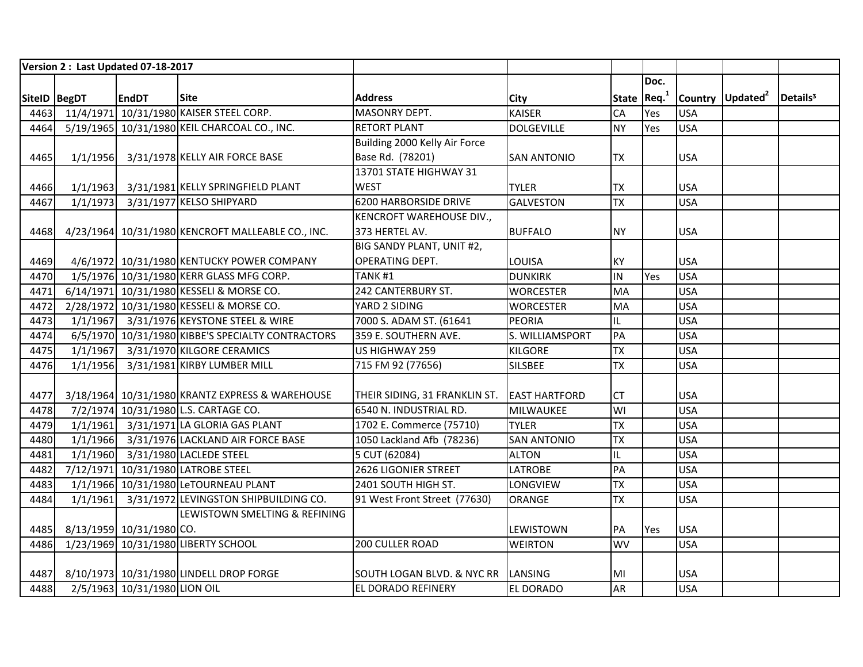|               |          | Version 2: Last Updated 07-18-2017 |                                                   |                                    |                      |              |      |            |                              |                      |
|---------------|----------|------------------------------------|---------------------------------------------------|------------------------------------|----------------------|--------------|------|------------|------------------------------|----------------------|
|               |          |                                    |                                                   |                                    |                      |              | Doc. |            |                              |                      |
| SiteID  BegDT |          | <b>EndDT</b>                       | <b>Site</b>                                       | <b>Address</b>                     | <b>City</b>          | State $Req1$ |      |            | Country Updated <sup>2</sup> | Details <sup>3</sup> |
|               |          |                                    | 4463 11/4/1971 10/31/1980 KAISER STEEL CORP.      | MASONRY DEPT.                      | <b>KAISER</b>        | CA           | Yes  | <b>USA</b> |                              |                      |
| 4464          |          |                                    | 5/19/1965 10/31/1980 KEIL CHARCOAL CO., INC.      | <b>RETORT PLANT</b>                | <b>DOLGEVILLE</b>    | <b>NY</b>    | Yes  | <b>USA</b> |                              |                      |
|               |          |                                    |                                                   | Building 2000 Kelly Air Force      |                      |              |      |            |                              |                      |
| 4465          |          |                                    | 1/1/1956 3/31/1978 KELLY AIR FORCE BASE           | Base Rd. (78201)                   | <b>SAN ANTONIO</b>   | <b>TX</b>    |      | <b>USA</b> |                              |                      |
|               |          |                                    |                                                   | 13701 STATE HIGHWAY 31             |                      |              |      |            |                              |                      |
| 4466          | 1/1/1963 |                                    | 3/31/1981 KELLY SPRINGFIELD PLANT                 | <b>WEST</b>                        | <b>TYLER</b>         | <b>TX</b>    |      | <b>USA</b> |                              |                      |
| 4467          | 1/1/1973 |                                    | 3/31/1977 KELSO SHIPYARD                          | 6200 HARBORSIDE DRIVE              | <b>GALVESTON</b>     | <b>TX</b>    |      | <b>USA</b> |                              |                      |
|               |          |                                    |                                                   | KENCROFT WAREHOUSE DIV.,           |                      |              |      |            |                              |                      |
| 4468          |          |                                    | 4/23/1964 10/31/1980 KENCROFT MALLEABLE CO., INC. | 373 HERTEL AV.                     | <b>BUFFALO</b>       | <b>NY</b>    |      | <b>USA</b> |                              |                      |
|               |          |                                    |                                                   | BIG SANDY PLANT, UNIT #2,          |                      |              |      |            |                              |                      |
| 4469          |          |                                    | 4/6/1972 10/31/1980 KENTUCKY POWER COMPANY        | OPERATING DEPT.                    | LOUISA               | KY           |      | <b>USA</b> |                              |                      |
| 4470          |          |                                    | 1/5/1976 10/31/1980 KERR GLASS MFG CORP.          | TANK <sub>#1</sub>                 | <b>DUNKIRK</b>       | IN           | Yes  | <b>USA</b> |                              |                      |
| 4471          |          |                                    | 6/14/1971 10/31/1980 KESSELI & MORSE CO.          | 242 CANTERBURY ST.                 | <b>WORCESTER</b>     | <b>MA</b>    |      | <b>USA</b> |                              |                      |
| 4472          |          |                                    | 2/28/1972 10/31/1980 KESSELI & MORSE CO.          | YARD 2 SIDING                      | <b>WORCESTER</b>     | MA           |      | <b>USA</b> |                              |                      |
| 4473          |          |                                    | 1/1/1967 3/31/1976 KEYSTONE STEEL & WIRE          | 7000 S. ADAM ST. (61641            | <b>PEORIA</b>        | IL           |      | <b>USA</b> |                              |                      |
| 4474          |          |                                    | 6/5/1970 10/31/1980 KIBBE'S SPECIALTY CONTRACTORS | 359 E. SOUTHERN AVE.               | S. WILLIAMSPORT      | PA           |      | <b>USA</b> |                              |                      |
| 4475          | 1/1/1967 |                                    | 3/31/1970 KILGORE CERAMICS                        | US HIGHWAY 259                     | <b>KILGORE</b>       | <b>TX</b>    |      | <b>USA</b> |                              |                      |
| 4476          | 1/1/1956 |                                    | 3/31/1981 KIRBY LUMBER MILL                       | 715 FM 92 (77656)                  | <b>SILSBEE</b>       | <b>TX</b>    |      | <b>USA</b> |                              |                      |
|               |          |                                    |                                                   |                                    |                      |              |      |            |                              |                      |
| 4477          |          |                                    | 3/18/1964 10/31/1980 KRANTZ EXPRESS & WAREHOUSE   | THEIR SIDING, 31 FRANKLIN ST.      | <b>EAST HARTFORD</b> | <b>CT</b>    |      | <b>USA</b> |                              |                      |
| 4478          |          |                                    | 7/2/1974 10/31/1980 L.S. CARTAGE CO.              | 6540 N. INDUSTRIAL RD.             | MILWAUKEE            | WI           |      | <b>USA</b> |                              |                      |
| 4479          |          |                                    | 1/1/1961 3/31/1971 LA GLORIA GAS PLANT            | 1702 E. Commerce (75710)           | <b>TYLER</b>         | <b>TX</b>    |      | <b>USA</b> |                              |                      |
| 4480          | 1/1/1966 |                                    | 3/31/1976 LACKLAND AIR FORCE BASE                 | 1050 Lackland Afb (78236)          | <b>SAN ANTONIO</b>   | <b>TX</b>    |      | <b>USA</b> |                              |                      |
| 4481          |          |                                    | 1/1/1960 3/31/1980 LACLEDE STEEL                  | 5 CUT (62084)                      | <b>ALTON</b>         | IL           |      | <b>USA</b> |                              |                      |
| 4482          |          |                                    | 7/12/1971 10/31/1980 LATROBE STEEL                | 2626 LIGONIER STREET               | <b>LATROBE</b>       | PA           |      | <b>USA</b> |                              |                      |
| 4483          |          |                                    | 1/1/1966 10/31/1980 LeTOURNEAU PLANT              | 2401 SOUTH HIGH ST.                | LONGVIEW             | <b>TX</b>    |      | <b>USA</b> |                              |                      |
| 4484          | 1/1/1961 |                                    | 3/31/1972 LEVINGSTON SHIPBUILDING CO.             | 91 West Front Street (77630)       | <b>ORANGE</b>        | <b>TX</b>    |      | <b>USA</b> |                              |                      |
|               |          |                                    | LEWISTOWN SMELTING & REFINING                     |                                    |                      |              |      |            |                              |                      |
| 4485          |          | 8/13/1959 10/31/1980 CO.           |                                                   |                                    | LEWISTOWN            | PA           | Yes  | <b>USA</b> |                              |                      |
| 4486          |          |                                    | 1/23/1969 10/31/1980 LIBERTY SCHOOL               | 200 CULLER ROAD                    | <b>WEIRTON</b>       | <b>WV</b>    |      | <b>USA</b> |                              |                      |
|               |          |                                    |                                                   |                                    |                      |              |      |            |                              |                      |
| 4487          |          |                                    | 8/10/1973 10/31/1980 LINDELL DROP FORGE           | SOUTH LOGAN BLVD. & NYC RR LANSING |                      | MI           |      | <b>USA</b> |                              |                      |
| 4488          |          | 2/5/1963 10/31/1980 LION OIL       |                                                   | EL DORADO REFINERY                 | <b>EL DORADO</b>     | <b>AR</b>    |      | <b>USA</b> |                              |                      |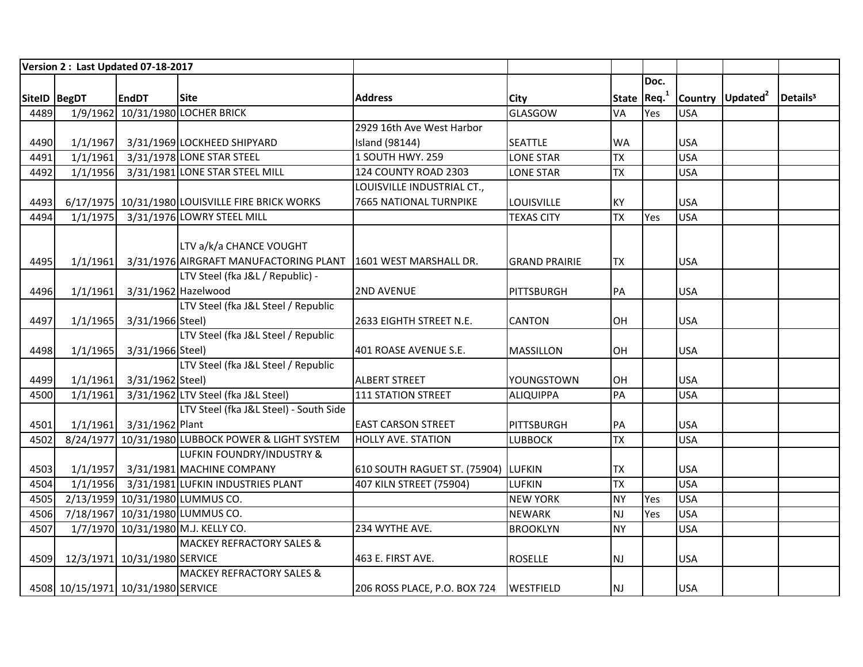|              |          | Version 2: Last Updated 07-18-2017 |                                                   |                                     |                      |              |      |            |                              |                      |
|--------------|----------|------------------------------------|---------------------------------------------------|-------------------------------------|----------------------|--------------|------|------------|------------------------------|----------------------|
|              |          |                                    |                                                   |                                     |                      |              | Doc. |            |                              |                      |
| SiteID BegDT |          | <b>EndDT</b>                       | <b>Site</b>                                       | <b>Address</b>                      | City                 | State $Req1$ |      |            | Country Updated <sup>2</sup> | Details <sup>3</sup> |
| 4489         |          |                                    | 1/9/1962 10/31/1980 LOCHER BRICK                  |                                     | <b>GLASGOW</b>       | <b>VA</b>    | Yes  | <b>USA</b> |                              |                      |
|              |          |                                    |                                                   | 2929 16th Ave West Harbor           |                      |              |      |            |                              |                      |
| 4490         |          |                                    | 1/1/1967 3/31/1969 LOCKHEED SHIPYARD              | <b>Island (98144)</b>               | <b>SEATTLE</b>       | <b>WA</b>    |      | <b>USA</b> |                              |                      |
| 4491         | 1/1/1961 |                                    | 3/31/1978 LONE STAR STEEL                         | 1 SOUTH HWY. 259                    | <b>LONE STAR</b>     | <b>TX</b>    |      | <b>USA</b> |                              |                      |
| 4492         | 1/1/1956 |                                    | 3/31/1981 LONE STAR STEEL MILL                    | 124 COUNTY ROAD 2303                | <b>LONE STAR</b>     | <b>TX</b>    |      | <b>USA</b> |                              |                      |
|              |          |                                    |                                                   | LOUISVILLE INDUSTRIAL CT.,          |                      |              |      |            |                              |                      |
| 4493         |          |                                    | 6/17/1975 10/31/1980 LOUISVILLE FIRE BRICK WORKS  | <b>7665 NATIONAL TURNPIKE</b>       | LOUISVILLE           | KY           |      | <b>USA</b> |                              |                      |
| 4494         | 1/1/1975 |                                    | 3/31/1976 LOWRY STEEL MILL                        |                                     | <b>TEXAS CITY</b>    | <b>TX</b>    | Yes  | <b>USA</b> |                              |                      |
|              |          |                                    |                                                   |                                     |                      |              |      |            |                              |                      |
|              |          |                                    | LTV a/k/a CHANCE VOUGHT                           |                                     |                      |              |      |            |                              |                      |
| 4495         | 1/1/1961 |                                    | 3/31/1976 AIRGRAFT MANUFACTORING PLANT            | 1601 WEST MARSHALL DR.              | <b>GRAND PRAIRIE</b> | <b>TX</b>    |      | <b>USA</b> |                              |                      |
|              |          |                                    | LTV Steel (fka J&L / Republic) -                  |                                     |                      |              |      |            |                              |                      |
| 4496         | 1/1/1961 | 3/31/1962 Hazelwood                |                                                   | <b>2ND AVENUE</b>                   | PITTSBURGH           | PA           |      | <b>USA</b> |                              |                      |
|              |          |                                    | LTV Steel (fka J&L Steel / Republic               |                                     |                      |              |      |            |                              |                      |
| 4497         | 1/1/1965 | 3/31/1966 Steel)                   |                                                   | 2633 EIGHTH STREET N.E.             | <b>CANTON</b>        | OH           |      | <b>USA</b> |                              |                      |
|              |          |                                    | LTV Steel (fka J&L Steel / Republic               |                                     |                      |              |      |            |                              |                      |
| 4498         | 1/1/1965 | 3/31/1966 Steel)                   |                                                   | 401 ROASE AVENUE S.E.               | <b>MASSILLON</b>     | OH           |      | <b>USA</b> |                              |                      |
|              |          |                                    | LTV Steel (fka J&L Steel / Republic               |                                     |                      |              |      |            |                              |                      |
| 4499         | 1/1/1961 | 3/31/1962 Steel)                   |                                                   | <b>ALBERT STREET</b>                | YOUNGSTOWN           | OH           |      | <b>USA</b> |                              |                      |
| 4500         | 1/1/1961 |                                    | 3/31/1962 LTV Steel (fka J&L Steel)               | 111 STATION STREET                  | <b>ALIQUIPPA</b>     | PA           |      | <b>USA</b> |                              |                      |
|              |          |                                    | LTV Steel (fka J&L Steel) - South Side            |                                     |                      |              |      |            |                              |                      |
| 4501         |          | 1/1/1961 3/31/1962 Plant           |                                                   | <b>EAST CARSON STREET</b>           | PITTSBURGH           | PA           |      | <b>USA</b> |                              |                      |
| 4502         |          |                                    | 8/24/1977 10/31/1980 LUBBOCK POWER & LIGHT SYSTEM | <b>HOLLY AVE. STATION</b>           | <b>LUBBOCK</b>       | <b>TX</b>    |      | <b>USA</b> |                              |                      |
|              |          |                                    | LUFKIN FOUNDRY/INDUSTRY &                         |                                     |                      |              |      |            |                              |                      |
| 4503         |          |                                    | 1/1/1957 3/31/1981 MACHINE COMPANY                | 610 SOUTH RAGUET ST. (75904) LUFKIN |                      | <b>TX</b>    |      | <b>USA</b> |                              |                      |
| 4504         | 1/1/1956 |                                    | 3/31/1981 LUFKIN INDUSTRIES PLANT                 | 407 KILN STREET (75904)             | <b>LUFKIN</b>        | <b>TX</b>    |      | <b>USA</b> |                              |                      |
| 4505         |          |                                    | 2/13/1959 10/31/1980 LUMMUS CO.                   |                                     | <b>NEW YORK</b>      | <b>NY</b>    | Yes  | <b>USA</b> |                              |                      |
| 4506         |          |                                    | 7/18/1967 10/31/1980 LUMMUS CO.                   |                                     | <b>NEWARK</b>        | <b>NJ</b>    | Yes  | <b>USA</b> |                              |                      |
| 4507         |          |                                    | 1/7/1970 10/31/1980 M.J. KELLY CO.                | 234 WYTHE AVE.                      | <b>BROOKLYN</b>      | <b>NY</b>    |      | <b>USA</b> |                              |                      |
|              |          |                                    | <b>MACKEY REFRACTORY SALES &amp;</b>              |                                     |                      |              |      |            |                              |                      |
| 4509         |          | 12/3/1971 10/31/1980 SERVICE       |                                                   | 463 E. FIRST AVE.                   | <b>ROSELLE</b>       | NJ           |      | <b>USA</b> |                              |                      |
|              |          |                                    | <b>MACKEY REFRACTORY SALES &amp;</b>              |                                     |                      |              |      |            |                              |                      |
|              |          | 4508 10/15/1971 10/31/1980 SERVICE |                                                   | 206 ROSS PLACE, P.O. BOX 724        | <b>WESTFIELD</b>     | <b>NJ</b>    |      | <b>USA</b> |                              |                      |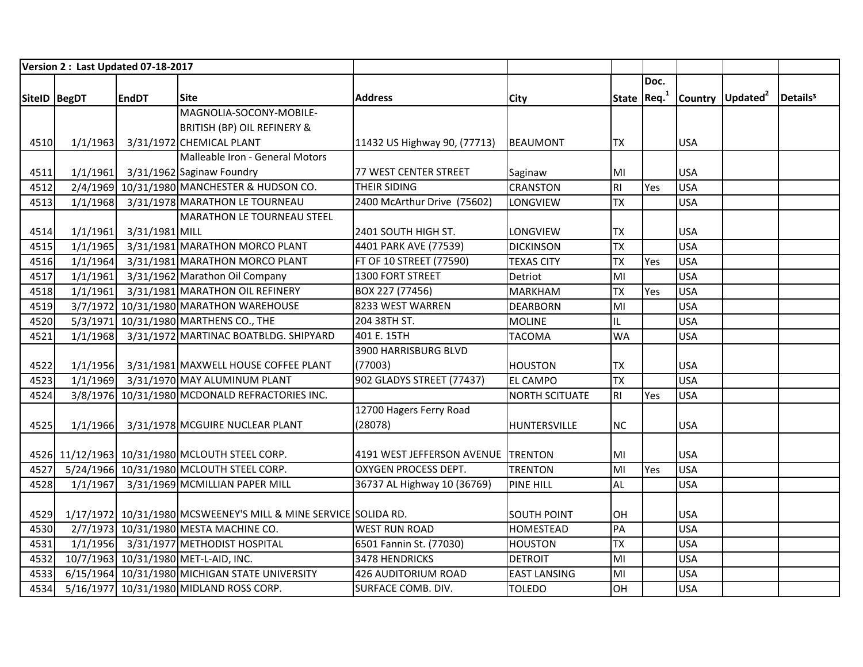|              |          | Version 2 : Last Updated 07-18-2017 |                                                                 |                                    |                       |                |              |            |                              |                      |
|--------------|----------|-------------------------------------|-----------------------------------------------------------------|------------------------------------|-----------------------|----------------|--------------|------------|------------------------------|----------------------|
|              |          |                                     |                                                                 |                                    |                       |                | Doc.         |            |                              |                      |
| SiteID BegDT |          | <b>EndDT</b>                        | <b>Site</b>                                                     | <b>Address</b>                     | <b>City</b>           |                | State $Req1$ |            | Country Updated <sup>2</sup> | Details <sup>3</sup> |
|              |          |                                     | MAGNOLIA-SOCONY-MOBILE-                                         |                                    |                       |                |              |            |                              |                      |
|              |          |                                     | <b>BRITISH (BP) OIL REFINERY &amp;</b>                          |                                    |                       |                |              |            |                              |                      |
| 4510         | 1/1/1963 |                                     | 3/31/1972 CHEMICAL PLANT                                        | 11432 US Highway 90, (77713)       | BEAUMONT              | <b>TX</b>      |              | <b>USA</b> |                              |                      |
|              |          |                                     | Malleable Iron - General Motors                                 |                                    |                       |                |              |            |                              |                      |
| 4511         | 1/1/1961 |                                     | 3/31/1962 Saginaw Foundry                                       | <b>77 WEST CENTER STREET</b>       | Saginaw               | MI             |              | <b>USA</b> |                              |                      |
| 4512         |          |                                     | 2/4/1969 10/31/1980 MANCHESTER & HUDSON CO.                     | <b>THEIR SIDING</b>                | <b>CRANSTON</b>       | R <sub>l</sub> | Yes          | <b>USA</b> |                              |                      |
| 4513         | 1/1/1968 |                                     | 3/31/1978 MARATHON LE TOURNEAU                                  | 2400 McArthur Drive (75602)        | LONGVIEW              | <b>TX</b>      |              | <b>USA</b> |                              |                      |
|              |          |                                     | <b>MARATHON LE TOURNEAU STEEL</b>                               |                                    |                       |                |              |            |                              |                      |
| 4514         | 1/1/1961 | 3/31/1981 MILL                      |                                                                 | 2401 SOUTH HIGH ST.                | <b>LONGVIEW</b>       | <b>TX</b>      |              | <b>USA</b> |                              |                      |
| 4515         | 1/1/1965 |                                     | 3/31/1981 MARATHON MORCO PLANT                                  | 4401 PARK AVE (77539)              | <b>DICKINSON</b>      | <b>TX</b>      |              | <b>USA</b> |                              |                      |
| 4516         | 1/1/1964 |                                     | 3/31/1981 MARATHON MORCO PLANT                                  | FT OF 10 STREET (77590)            | <b>TEXAS CITY</b>     | <b>TX</b>      | Yes          | <b>USA</b> |                              |                      |
| 4517         | 1/1/1961 |                                     | 3/31/1962 Marathon Oil Company                                  | 1300 FORT STREET                   | Detriot               | MI             |              | <b>USA</b> |                              |                      |
| 4518         | 1/1/1961 |                                     | 3/31/1981 MARATHON OIL REFINERY                                 | BOX 227 (77456)                    | <b>MARKHAM</b>        | <b>TX</b>      | Yes          | <b>USA</b> |                              |                      |
| 4519         |          |                                     | 3/7/1972 10/31/1980 MARATHON WAREHOUSE                          | 8233 WEST WARREN                   | <b>DEARBORN</b>       | MI             |              | <b>USA</b> |                              |                      |
| 4520         |          |                                     | 5/3/1971 10/31/1980 MARTHENS CO., THE                           | 204 38TH ST.                       | <b>MOLINE</b>         | IL             |              | <b>USA</b> |                              |                      |
| 4521         | 1/1/1968 |                                     | 3/31/1972 MARTINAC BOATBLDG. SHIPYARD                           | 401 E. 15TH                        | <b>TACOMA</b>         | <b>WA</b>      |              | <b>USA</b> |                              |                      |
|              |          |                                     |                                                                 | 3900 HARRISBURG BLVD               |                       |                |              |            |                              |                      |
| 4522         |          |                                     | 1/1/1956 3/31/1981 MAXWELL HOUSE COFFEE PLANT                   | (77003)                            | <b>HOUSTON</b>        | <b>TX</b>      |              | <b>USA</b> |                              |                      |
| 4523         |          |                                     | 1/1/1969 3/31/1970 MAY ALUMINUM PLANT                           | 902 GLADYS STREET (77437)          | <b>EL CAMPO</b>       | <b>TX</b>      |              | <b>USA</b> |                              |                      |
| 4524         |          |                                     | 3/8/1976 10/31/1980 MCDONALD REFRACTORIES INC.                  |                                    | <b>NORTH SCITUATE</b> | R <sub>l</sub> | Yes          | <b>USA</b> |                              |                      |
|              |          |                                     |                                                                 | 12700 Hagers Ferry Road            |                       |                |              |            |                              |                      |
| 4525         | 1/1/1966 |                                     | 3/31/1978 MCGUIRE NUCLEAR PLANT                                 | (28078)                            | HUNTERSVILLE          | <b>NC</b>      |              | <b>USA</b> |                              |                      |
|              |          |                                     |                                                                 |                                    |                       |                |              |            |                              |                      |
|              |          |                                     | 4526 11/12/1963 10/31/1980 MCLOUTH STEEL CORP.                  | 4191 WEST JEFFERSON AVENUE TRENTON |                       | MI             |              | <b>USA</b> |                              |                      |
| 4527         |          |                                     | 5/24/1966 10/31/1980 MCLOUTH STEEL CORP.                        | <b>OXYGEN PROCESS DEPT.</b>        | <b>TRENTON</b>        | MI             | Yes          | <b>USA</b> |                              |                      |
| 4528         | 1/1/1967 |                                     | 3/31/1969 MCMILLIAN PAPER MILL                                  | 36737 AL Highway 10 (36769)        | <b>PINE HILL</b>      | <b>AL</b>      |              | <b>USA</b> |                              |                      |
|              |          |                                     |                                                                 |                                    |                       |                |              |            |                              |                      |
| 4529         |          |                                     | 1/17/1972 10/31/1980 MCSWEENEY'S MILL & MINE SERVICE SOLIDA RD. |                                    | <b>SOUTH POINT</b>    | OH             |              | <b>USA</b> |                              |                      |
| 4530         |          |                                     | 2/7/1973 10/31/1980 MESTA MACHINE CO.                           | <b>WEST RUN ROAD</b>               | <b>HOMESTEAD</b>      | PA             |              | <b>USA</b> |                              |                      |
| 4531         |          |                                     | 1/1/1956 3/31/1977 METHODIST HOSPITAL                           | 6501 Fannin St. (77030)            | <b>HOUSTON</b>        | <b>TX</b>      |              | <b>USA</b> |                              |                      |
| 4532         |          |                                     | 10/7/1963 10/31/1980 MET-L-AID, INC.                            | 3478 HENDRICKS                     | <b>DETROIT</b>        | MI             |              | <b>USA</b> |                              |                      |
| 4533         |          |                                     | 6/15/1964 10/31/1980 MICHIGAN STATE UNIVERSITY                  | 426 AUDITORIUM ROAD                | <b>EAST LANSING</b>   | MI             |              | <b>USA</b> |                              |                      |
| 4534         |          |                                     | 5/16/1977 10/31/1980 MIDLAND ROSS CORP.                         | <b>SURFACE COMB. DIV.</b>          | <b>TOLEDO</b>         | OH             |              | <b>USA</b> |                              |                      |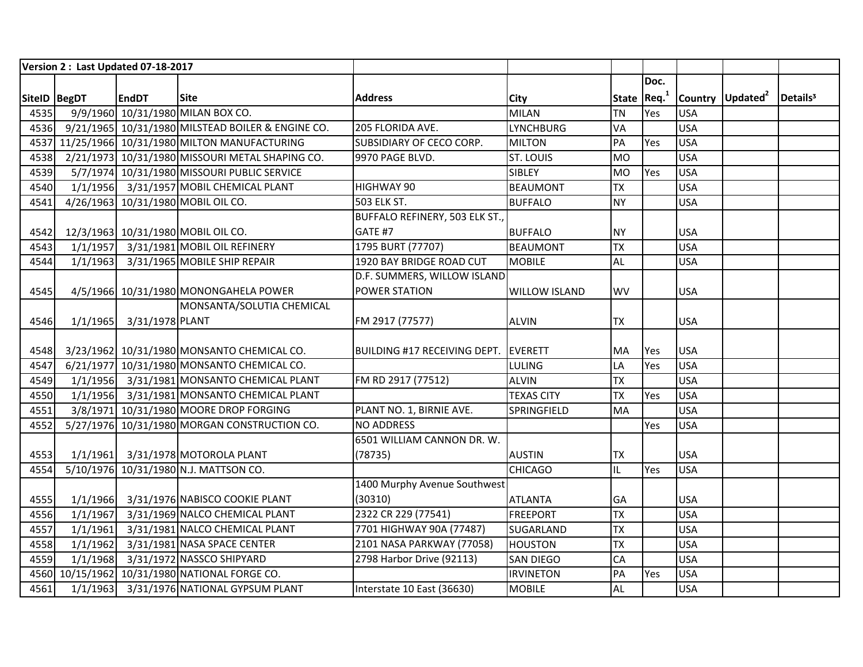|              |          | Version 2: Last Updated 07-18-2017 |                                                   |                                      |                      |                         |      |            |                              |                      |
|--------------|----------|------------------------------------|---------------------------------------------------|--------------------------------------|----------------------|-------------------------|------|------------|------------------------------|----------------------|
|              |          |                                    |                                                   |                                      |                      |                         | Doc. |            |                              |                      |
| SiteID BegDT |          | <b>EndDT</b>                       | <b>Site</b>                                       | <b>Address</b>                       | <b>City</b>          | State Req. <sup>1</sup> |      |            | Country Updated <sup>2</sup> | Details <sup>3</sup> |
| 4535         |          |                                    | 9/9/1960 10/31/1980 MILAN BOX CO.                 |                                      | <b>MILAN</b>         | <b>TN</b>               | Yes  | <b>USA</b> |                              |                      |
| 4536         |          |                                    | 9/21/1965 10/31/1980 MILSTEAD BOILER & ENGINE CO. | 205 FLORIDA AVE.                     | <b>LYNCHBURG</b>     | VA                      |      | <b>USA</b> |                              |                      |
|              |          |                                    | 4537 11/25/1966 10/31/1980 MILTON MANUFACTURING   | SUBSIDIARY OF CECO CORP.             | <b>MILTON</b>        | PA                      | Yes  | <b>USA</b> |                              |                      |
| 4538         |          |                                    | 2/21/1973 10/31/1980 MISSOURI METAL SHAPING CO.   | 9970 PAGE BLVD.                      | <b>ST. LOUIS</b>     | <b>MO</b>               |      | <b>USA</b> |                              |                      |
| 4539         |          |                                    | 5/7/1974 10/31/1980 MISSOURI PUBLIC SERVICE       |                                      | SIBLEY               | <b>MO</b>               | Yes  | <b>USA</b> |                              |                      |
| 4540         |          |                                    | 1/1/1956 3/31/1957 MOBIL CHEMICAL PLANT           | HIGHWAY 90                           | <b>BEAUMONT</b>      | <b>TX</b>               |      | <b>USA</b> |                              |                      |
| 4541         |          |                                    | 4/26/1963 10/31/1980 MOBIL OIL CO.                | <b>503 ELK ST.</b>                   | <b>BUFFALO</b>       | <b>NY</b>               |      | <b>USA</b> |                              |                      |
|              |          |                                    |                                                   | BUFFALO REFINERY, 503 ELK ST.,       |                      |                         |      |            |                              |                      |
| 4542         |          |                                    | 12/3/1963 10/31/1980 MOBIL OIL CO.                | GATE #7                              | <b>BUFFALO</b>       | <b>NY</b>               |      | <b>USA</b> |                              |                      |
| 4543         |          |                                    | 1/1/1957 3/31/1981 MOBIL OIL REFINERY             | 1795 BURT (77707)                    | <b>BEAUMONT</b>      | <b>TX</b>               |      | <b>USA</b> |                              |                      |
| 4544         | 1/1/1963 |                                    | 3/31/1965 MOBILE SHIP REPAIR                      | 1920 BAY BRIDGE ROAD CUT             | <b>MOBILE</b>        | <b>AL</b>               |      | <b>USA</b> |                              |                      |
|              |          |                                    |                                                   | D.F. SUMMERS, WILLOW ISLAND          |                      |                         |      |            |                              |                      |
| 4545         |          |                                    | 4/5/1966 10/31/1980 MONONGAHELA POWER             | POWER STATION                        | <b>WILLOW ISLAND</b> | WV                      |      | <b>USA</b> |                              |                      |
|              |          |                                    | MONSANTA/SOLUTIA CHEMICAL                         |                                      |                      |                         |      |            |                              |                      |
| 4546         |          | 1/1/1965 3/31/1978 PLANT           |                                                   | FM 2917 (77577)                      | <b>ALVIN</b>         | <b>TX</b>               |      | <b>USA</b> |                              |                      |
|              |          |                                    |                                                   |                                      |                      |                         |      |            |                              |                      |
| 4548         |          |                                    | 3/23/1962 10/31/1980 MONSANTO CHEMICAL CO.        | BUILDING #17 RECEIVING DEPT. EVERETT |                      | MA                      | Yes  | <b>USA</b> |                              |                      |
| 4547         |          |                                    | 6/21/1977 10/31/1980 MONSANTO CHEMICAL CO.        |                                      | <b>LULING</b>        | LA                      | Yes  | <b>USA</b> |                              |                      |
| 4549         |          |                                    | 1/1/1956 3/31/1981 MONSANTO CHEMICAL PLANT        | FM RD 2917 (77512)                   | <b>ALVIN</b>         | <b>TX</b>               |      | <b>USA</b> |                              |                      |
| 4550         |          |                                    | 1/1/1956 3/31/1981 MONSANTO CHEMICAL PLANT        |                                      | <b>TEXAS CITY</b>    | <b>TX</b>               | Yes  | <b>USA</b> |                              |                      |
| 4551         |          |                                    | 3/8/1971 10/31/1980 MOORE DROP FORGING            | PLANT NO. 1, BIRNIE AVE.             | SPRINGFIELD          | <b>MA</b>               |      | <b>USA</b> |                              |                      |
| 4552         |          |                                    | 5/27/1976 10/31/1980 MORGAN CONSTRUCTION CO.      | <b>NO ADDRESS</b>                    |                      |                         | Yes  | <b>USA</b> |                              |                      |
|              |          |                                    |                                                   | 6501 WILLIAM CANNON DR. W.           |                      |                         |      |            |                              |                      |
| 4553         |          |                                    | 1/1/1961 3/31/1978 MOTOROLA PLANT                 | (78735)                              | <b>AUSTIN</b>        | <b>TX</b>               |      | <b>USA</b> |                              |                      |
| 4554         |          |                                    | 5/10/1976 10/31/1980 N.J. MATTSON CO.             |                                      | <b>CHICAGO</b>       | IL                      | Yes  | <b>USA</b> |                              |                      |
|              |          |                                    |                                                   | 1400 Murphy Avenue Southwest         |                      |                         |      |            |                              |                      |
| 4555         |          |                                    | 1/1/1966 3/31/1976 NABISCO COOKIE PLANT           | (30310)                              | <b>ATLANTA</b>       | GA                      |      | <b>USA</b> |                              |                      |
| 4556         | 1/1/1967 |                                    | 3/31/1969 NALCO CHEMICAL PLANT                    | 2322 CR 229 (77541)                  | <b>FREEPORT</b>      | <b>TX</b>               |      | <b>USA</b> |                              |                      |
| 4557         | 1/1/1961 |                                    | 3/31/1981 NALCO CHEMICAL PLANT                    | 7701 HIGHWAY 90A (77487)             | <b>SUGARLAND</b>     | <b>TX</b>               |      | <b>USA</b> |                              |                      |
| 4558         | 1/1/1962 |                                    | 3/31/1981 NASA SPACE CENTER                       | 2101 NASA PARKWAY (77058)            | <b>HOUSTON</b>       | <b>TX</b>               |      | <b>USA</b> |                              |                      |
| 4559         | 1/1/1968 |                                    | 3/31/1972 NASSCO SHIPYARD                         | 2798 Harbor Drive (92113)            | <b>SAN DIEGO</b>     | CA                      |      | <b>USA</b> |                              |                      |
|              |          |                                    | 4560 10/15/1962 10/31/1980 NATIONAL FORGE CO.     |                                      | <b>IRVINETON</b>     | PA                      | Yes  | <b>USA</b> |                              |                      |
| 4561         |          |                                    | 1/1/1963 3/31/1976 NATIONAL GYPSUM PLANT          | Interstate 10 East (36630)           | <b>MOBILE</b>        | <b>AL</b>               |      | <b>USA</b> |                              |                      |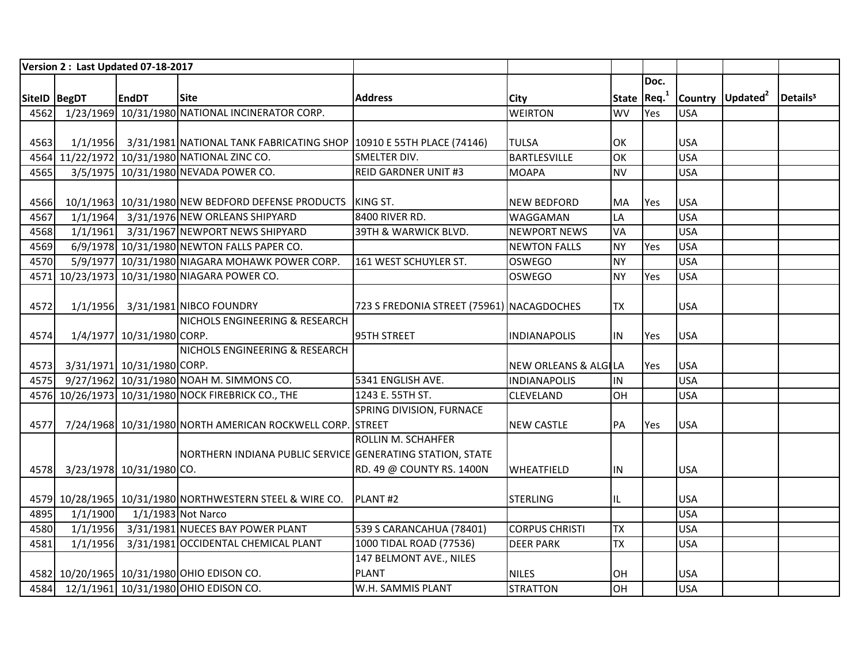|              |          | Version 2: Last Updated 07-18-2017 |                                                                              |                                           |                                 |              |            |            |                              |                      |
|--------------|----------|------------------------------------|------------------------------------------------------------------------------|-------------------------------------------|---------------------------------|--------------|------------|------------|------------------------------|----------------------|
|              |          |                                    |                                                                              |                                           |                                 |              | Doc.       |            |                              |                      |
| SiteID BegDT |          | <b>EndDT</b>                       | <b>Site</b>                                                                  | <b>Address</b>                            | <b>City</b>                     | State $Req1$ |            |            | Country Updated <sup>2</sup> | Details <sup>3</sup> |
| 4562         |          |                                    | 1/23/1969 10/31/1980 NATIONAL INCINERATOR CORP.                              |                                           | <b>WEIRTON</b>                  | <b>WV</b>    | Yes        | <b>USA</b> |                              |                      |
|              |          |                                    |                                                                              |                                           |                                 |              |            |            |                              |                      |
| 4563         |          |                                    | 1/1/1956 3/31/1981 NATIONAL TANK FABRICATING SHOP 10910 E 55TH PLACE (74146) |                                           | <b>TULSA</b>                    | OK           |            | <b>USA</b> |                              |                      |
|              |          |                                    | 4564 11/22/1972 10/31/1980 NATIONAL ZINC CO.                                 | SMELTER DIV.                              | <b>BARTLESVILLE</b>             | OK           |            | <b>USA</b> |                              |                      |
| 4565         |          |                                    | 3/5/1975 10/31/1980 NEVADA POWER CO.                                         | <b>REID GARDNER UNIT #3</b>               | <b>MOAPA</b>                    | <b>NV</b>    |            | <b>USA</b> |                              |                      |
|              |          |                                    |                                                                              |                                           |                                 |              |            |            |                              |                      |
| 4566         |          |                                    | 10/1/1963 10/31/1980 NEW BEDFORD DEFENSE PRODUCTS                            | KING ST.                                  | <b>NEW BEDFORD</b>              | MA           | <b>Yes</b> | <b>USA</b> |                              |                      |
| 4567         |          |                                    | 1/1/1964 3/31/1976 NEW ORLEANS SHIPYARD                                      | 8400 RIVER RD.                            | WAGGAMAN                        | LA           |            | <b>USA</b> |                              |                      |
| 4568         |          |                                    | 1/1/1961 3/31/1967 NEWPORT NEWS SHIPYARD                                     | 39TH & WARWICK BLVD.                      | <b>NEWPORT NEWS</b>             | VA           |            | <b>USA</b> |                              |                      |
| 4569         |          |                                    | 6/9/1978 10/31/1980 NEWTON FALLS PAPER CO.                                   |                                           | <b>NEWTON FALLS</b>             | <b>NY</b>    | Yes        | <b>USA</b> |                              |                      |
| 4570         |          |                                    | 5/9/1977 10/31/1980 NIAGARA MOHAWK POWER CORP.                               | 161 WEST SCHUYLER ST.                     | <b>OSWEGO</b>                   | <b>NY</b>    |            | <b>USA</b> |                              |                      |
|              |          |                                    | 4571 10/23/1973 10/31/1980 NIAGARA POWER CO.                                 |                                           | <b>OSWEGO</b>                   | <b>NY</b>    | Yes        | <b>USA</b> |                              |                      |
|              |          |                                    |                                                                              |                                           |                                 |              |            |            |                              |                      |
| 4572         |          |                                    | 1/1/1956 3/31/1981 NIBCO FOUNDRY                                             | 723 S FREDONIA STREET (75961) NACAGDOCHES |                                 | <b>TX</b>    |            | <b>USA</b> |                              |                      |
|              |          |                                    | NICHOLS ENGINEERING & RESEARCH                                               |                                           |                                 |              |            |            |                              |                      |
| 4574         |          | 1/4/1977 10/31/1980 CORP.          |                                                                              | 95TH STREET                               | <b>INDIANAPOLIS</b>             | <b>IN</b>    | Yes        | <b>USA</b> |                              |                      |
|              |          |                                    | NICHOLS ENGINEERING & RESEARCH                                               |                                           |                                 |              |            |            |                              |                      |
| 4573         |          | 3/31/1971 10/31/1980 CORP.         |                                                                              |                                           | <b>NEW ORLEANS &amp; ALGILA</b> |              | Yes        | <b>USA</b> |                              |                      |
| 4575         |          |                                    | 9/27/1962 10/31/1980 NOAH M. SIMMONS CO.                                     | 5341 ENGLISH AVE.                         | <b>INDIANAPOLIS</b>             | IN           |            | <b>USA</b> |                              |                      |
|              |          |                                    | 4576 10/26/1973 10/31/1980 NOCK FIREBRICK CO., THE                           | 1243 E. 55TH ST.                          | <b>CLEVELAND</b>                | OH           |            | <b>USA</b> |                              |                      |
|              |          |                                    |                                                                              | SPRING DIVISION, FURNACE                  |                                 |              |            |            |                              |                      |
| 4577         |          |                                    | 7/24/1968 10/31/1980 NORTH AMERICAN ROCKWELL CORP. STREET                    |                                           | <b>NEW CASTLE</b>               | PA           | Yes        | <b>USA</b> |                              |                      |
|              |          |                                    |                                                                              | ROLLIN M. SCHAHFER                        |                                 |              |            |            |                              |                      |
|              |          |                                    | NORTHERN INDIANA PUBLIC SERVICE GENERATING STATION, STATE                    |                                           |                                 |              |            |            |                              |                      |
| 4578         |          | 3/23/1978 10/31/1980 CO.           |                                                                              | RD. 49 @ COUNTY RS. 1400N                 | <b>WHEATFIELD</b>               | IN           |            | <b>USA</b> |                              |                      |
|              |          |                                    |                                                                              |                                           |                                 |              |            |            |                              |                      |
|              |          |                                    | 4579 10/28/1965 10/31/1980 NORTHWESTERN STEEL & WIRE CO.                     | PLANT#2                                   | <b>STERLING</b>                 | IL           |            | <b>USA</b> |                              |                      |
| 4895         | 1/1/1900 | 1/1/1983 Not Narco                 |                                                                              |                                           |                                 |              |            | <b>USA</b> |                              |                      |
| 4580         |          |                                    | 1/1/1956 3/31/1981 NUECES BAY POWER PLANT                                    | 539 S CARANCAHUA (78401)                  | <b>CORPUS CHRISTI</b>           | <b>TX</b>    |            | <b>USA</b> |                              |                      |
| 4581         | 1/1/1956 |                                    | 3/31/1981 OCCIDENTAL CHEMICAL PLANT                                          | 1000 TIDAL ROAD (77536)                   | <b>DEER PARK</b>                | <b>TX</b>    |            | <b>USA</b> |                              |                      |
|              |          |                                    |                                                                              | 147 BELMONT AVE., NILES                   |                                 |              |            |            |                              |                      |
|              |          |                                    | 4582 10/20/1965 10/31/1980 OHIO EDISON CO.                                   | <b>PLANT</b>                              | <b>NILES</b>                    | OH           |            | <b>USA</b> |                              |                      |
|              |          |                                    | 4584 12/1/1961 10/31/1980 OHIO EDISON CO.                                    | W.H. SAMMIS PLANT                         | <b>STRATTON</b>                 | OH           |            | <b>USA</b> |                              |                      |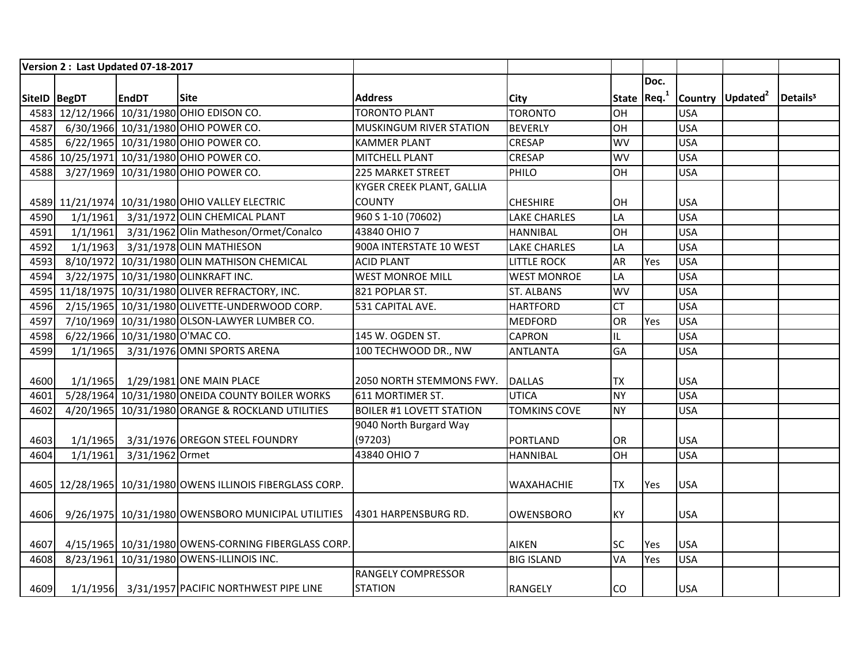|              | Version 2 : Last Updated 07-18-2017 |                                |                                                                         |                                  |                     |              |      |            |                              |                      |
|--------------|-------------------------------------|--------------------------------|-------------------------------------------------------------------------|----------------------------------|---------------------|--------------|------|------------|------------------------------|----------------------|
|              |                                     |                                |                                                                         |                                  |                     |              | Doc. |            |                              |                      |
| SiteID BegDT |                                     | <b>EndDT</b>                   | <b>Site</b>                                                             | <b>Address</b>                   | <b>City</b>         | State $Req1$ |      |            | Country Updated <sup>2</sup> | Details <sup>3</sup> |
|              |                                     |                                | 4583 12/12/1966 10/31/1980 OHIO EDISON CO.                              | <b>TORONTO PLANT</b>             | <b>TORONTO</b>      | OH           |      | <b>USA</b> |                              |                      |
| 4587         |                                     |                                | 6/30/1966 10/31/1980 OHIO POWER CO.                                     | <b>MUSKINGUM RIVER STATION</b>   | <b>BEVERLY</b>      | OH           |      | <b>USA</b> |                              |                      |
| 4585         |                                     |                                | 6/22/1965 10/31/1980 OHIO POWER CO.                                     | <b>KAMMER PLANT</b>              | <b>CRESAP</b>       | <b>WV</b>    |      | <b>USA</b> |                              |                      |
|              |                                     |                                | 4586 10/25/1971 10/31/1980 OHIO POWER CO.                               | MITCHELL PLANT                   | <b>CRESAP</b>       | <b>WV</b>    |      | <b>USA</b> |                              |                      |
| 4588         |                                     |                                | 3/27/1969 10/31/1980 OHIO POWER CO.                                     | <b>225 MARKET STREET</b>         | PHILO               | OH           |      | <b>USA</b> |                              |                      |
|              |                                     |                                |                                                                         | <b>KYGER CREEK PLANT, GALLIA</b> |                     |              |      |            |                              |                      |
|              |                                     |                                | 4589 11/21/1974 10/31/1980 OHIO VALLEY ELECTRIC                         | <b>COUNTY</b>                    | <b>CHESHIRE</b>     | OH           |      | <b>USA</b> |                              |                      |
| 4590         |                                     |                                | 1/1/1961 3/31/1972 OLIN CHEMICAL PLANT                                  | 960 S 1-10 (70602)               | <b>LAKE CHARLES</b> | LA           |      | <b>USA</b> |                              |                      |
| 4591         |                                     |                                | 1/1/1961 3/31/1962 Olin Matheson/Ormet/Conalco                          | 43840 OHIO 7                     | <b>HANNIBAL</b>     | OH           |      | <b>USA</b> |                              |                      |
| 4592         |                                     |                                | 1/1/1963 3/31/1978 OLIN MATHIESON                                       | 900A INTERSTATE 10 WEST          | <b>LAKE CHARLES</b> | LA           |      | <b>USA</b> |                              |                      |
| 4593         |                                     |                                | 8/10/1972 10/31/1980 OLIN MATHISON CHEMICAL                             | <b>ACID PLANT</b>                | <b>LITTLE ROCK</b>  | <b>AR</b>    | Yes  | <b>USA</b> |                              |                      |
| 4594         |                                     |                                | 3/22/1975 10/31/1980 OLINKRAFT INC.                                     | <b>WEST MONROE MILL</b>          | <b>WEST MONROE</b>  | LA           |      | <b>USA</b> |                              |                      |
|              |                                     |                                | 4595 11/18/1975 10/31/1980 OLIVER REFRACTORY, INC.                      | 821 POPLAR ST.                   | <b>ST. ALBANS</b>   | <b>WV</b>    |      | <b>USA</b> |                              |                      |
| 4596         |                                     |                                | 2/15/1965 10/31/1980 OLIVETTE-UNDERWOOD CORP.                           | 531 CAPITAL AVE.                 | <b>HARTFORD</b>     | <b>CT</b>    |      | <b>USA</b> |                              |                      |
| 4597         |                                     |                                | 7/10/1969 10/31/1980 OLSON-LAWYER LUMBER CO.                            |                                  | <b>MEDFORD</b>      | OR           | Yes  | <b>USA</b> |                              |                      |
| 4598         |                                     | 6/22/1966 10/31/1980 O'MAC CO. |                                                                         | 145 W. OGDEN ST.                 | <b>CAPRON</b>       | IL           |      | <b>USA</b> |                              |                      |
| 4599         |                                     |                                | 1/1/1965 3/31/1976 OMNI SPORTS ARENA                                    | 100 TECHWOOD DR., NW             | <b>ANTLANTA</b>     | GA           |      | <b>USA</b> |                              |                      |
|              |                                     |                                |                                                                         |                                  |                     |              |      |            |                              |                      |
| 4600         |                                     |                                | 1/1/1965 1/29/1981 ONE MAIN PLACE                                       | 2050 NORTH STEMMONS FWY.         | <b>DALLAS</b>       | <b>TX</b>    |      | <b>USA</b> |                              |                      |
| 4601         |                                     |                                | 5/28/1964 10/31/1980 ONEIDA COUNTY BOILER WORKS                         | 611 MORTIMER ST.                 | <b>UTICA</b>        | <b>NY</b>    |      | <b>USA</b> |                              |                      |
| 4602         |                                     |                                | 4/20/1965 10/31/1980 ORANGE & ROCKLAND UTILITIES                        | <b>BOILER #1 LOVETT STATION</b>  | <b>TOMKINS COVE</b> | <b>NY</b>    |      | <b>USA</b> |                              |                      |
|              |                                     |                                |                                                                         | 9040 North Burgard Way           |                     |              |      |            |                              |                      |
| 4603         |                                     |                                | 1/1/1965 3/31/1976 OREGON STEEL FOUNDRY                                 | (97203)                          | <b>PORTLAND</b>     | OR           |      | <b>USA</b> |                              |                      |
| 4604         | 1/1/1961                            | 3/31/1962 Ormet                |                                                                         | 43840 OHIO 7                     | <b>HANNIBAL</b>     | OH           |      | <b>USA</b> |                              |                      |
|              |                                     |                                |                                                                         |                                  |                     |              |      |            |                              |                      |
|              |                                     |                                | 4605 12/28/1965 10/31/1980 OWENS ILLINOIS FIBERGLASS CORP.              |                                  | <b>WAXAHACHIE</b>   | <b>TX</b>    | Yes  | <b>USA</b> |                              |                      |
|              |                                     |                                |                                                                         |                                  |                     |              |      |            |                              |                      |
| 4606         |                                     |                                | 9/26/1975 10/31/1980 OWENSBORO MUNICIPAL UTILITIES 4301 HARPENSBURG RD. |                                  | OWENSBORO           | <b>KY</b>    |      | <b>USA</b> |                              |                      |
|              |                                     |                                |                                                                         |                                  |                     |              |      |            |                              |                      |
| 4607         |                                     |                                | 4/15/1965 10/31/1980 OWENS-CORNING FIBERGLASS CORP.                     |                                  | <b>AIKEN</b>        | SC           | Yes  | <b>USA</b> |                              |                      |
| 4608         |                                     |                                | 8/23/1961 10/31/1980 OWENS-ILLINOIS INC.                                |                                  | <b>BIG ISLAND</b>   | VA           | Yes  | <b>USA</b> |                              |                      |
|              |                                     |                                |                                                                         | <b>RANGELY COMPRESSOR</b>        |                     |              |      |            |                              |                      |
| 4609         |                                     |                                | 1/1/1956 3/31/1957 PACIFIC NORTHWEST PIPE LINE                          | <b>STATION</b>                   | <b>RANGELY</b>      | <b>CO</b>    |      | <b>USA</b> |                              |                      |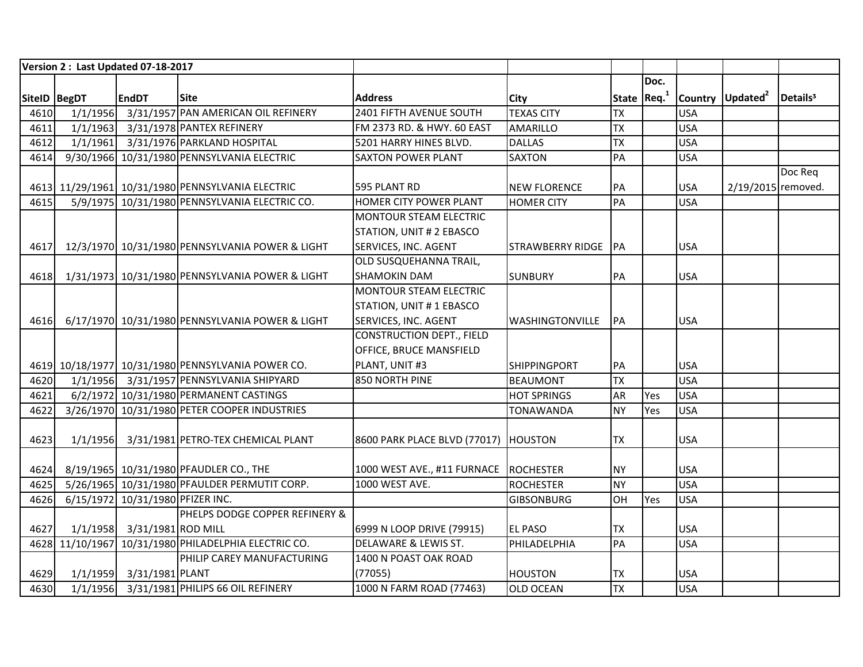|              |          | Version 2: Last Updated 07-18-2017 |                                                      |                                         |                        |                         |      |            |                              |                      |
|--------------|----------|------------------------------------|------------------------------------------------------|-----------------------------------------|------------------------|-------------------------|------|------------|------------------------------|----------------------|
|              |          |                                    |                                                      |                                         |                        |                         | Doc. |            |                              |                      |
| SiteID BegDT |          | <b>EndDT</b>                       | <b>Site</b>                                          | <b>Address</b>                          | <b>City</b>            | State Req. <sup>1</sup> |      |            | Country Updated <sup>2</sup> | Details <sup>3</sup> |
| 4610         | 1/1/1956 |                                    | 3/31/1957 PAN AMERICAN OIL REFINERY                  | 2401 FIFTH AVENUE SOUTH                 | <b>TEXAS CITY</b>      | <b>TX</b>               |      | <b>USA</b> |                              |                      |
| 4611         | 1/1/1963 |                                    | 3/31/1978 PANTEX REFINERY                            | FM 2373 RD. & HWY. 60 EAST              | <b>AMARILLO</b>        | <b>TX</b>               |      | <b>USA</b> |                              |                      |
| 4612         |          |                                    | 1/1/1961 3/31/1976 PARKLAND HOSPITAL                 | 5201 HARRY HINES BLVD.                  | <b>DALLAS</b>          | <b>TX</b>               |      | <b>USA</b> |                              |                      |
| 4614         |          |                                    | 9/30/1966 10/31/1980 PENNSYLVANIA ELECTRIC           | <b>SAXTON POWER PLANT</b>               | <b>SAXTON</b>          | PA                      |      | <b>USA</b> |                              |                      |
|              |          |                                    |                                                      |                                         |                        |                         |      |            |                              | Doc Req              |
|              |          |                                    | 4613 11/29/1961 10/31/1980 PENNSYLVANIA ELECTRIC     | 595 PLANT RD                            | <b>NEW FLORENCE</b>    | PA                      |      | <b>USA</b> | 2/19/2015 removed.           |                      |
| 4615         |          |                                    | 5/9/1975 10/31/1980 PENNSYLVANIA ELECTRIC CO.        | HOMER CITY POWER PLANT                  | <b>HOMER CITY</b>      | PA                      |      | <b>USA</b> |                              |                      |
|              |          |                                    |                                                      | MONTOUR STEAM ELECTRIC                  |                        |                         |      |            |                              |                      |
|              |          |                                    |                                                      | STATION, UNIT # 2 EBASCO                |                        |                         |      |            |                              |                      |
| 4617         |          |                                    | 12/3/1970 10/31/1980 PENNSYLVANIA POWER & LIGHT      | SERVICES, INC. AGENT                    | STRAWBERRY RIDGE IPA   |                         |      | <b>USA</b> |                              |                      |
|              |          |                                    |                                                      | OLD SUSQUEHANNA TRAIL,                  |                        |                         |      |            |                              |                      |
| 4618         |          |                                    | 1/31/1973 10/31/1980 PENNSYLVANIA POWER & LIGHT      | <b>SHAMOKIN DAM</b>                     | <b>SUNBURY</b>         | PA                      |      | <b>USA</b> |                              |                      |
|              |          |                                    |                                                      | MONTOUR STEAM ELECTRIC                  |                        |                         |      |            |                              |                      |
|              |          |                                    |                                                      | STATION, UNIT # 1 EBASCO                |                        |                         |      |            |                              |                      |
| 4616         |          |                                    | 6/17/1970 10/31/1980 PENNSYLVANIA POWER & LIGHT      | SERVICES, INC. AGENT                    | <b>WASHINGTONVILLE</b> | PA                      |      | <b>USA</b> |                              |                      |
|              |          |                                    |                                                      | <b>CONSTRUCTION DEPT., FIELD</b>        |                        |                         |      |            |                              |                      |
|              |          |                                    |                                                      | OFFICE, BRUCE MANSFIELD                 |                        |                         |      |            |                              |                      |
|              |          |                                    | 4619 10/18/1977 10/31/1980 PENNSYLVANIA POWER CO.    | PLANT, UNIT #3                          | <b>SHIPPINGPORT</b>    | PA                      |      | <b>USA</b> |                              |                      |
| 4620         |          |                                    | 1/1/1956 3/31/1957 PENNSYLVANIA SHIPYARD             | 850 NORTH PINE                          | <b>BEAUMONT</b>        | <b>TX</b>               |      | <b>USA</b> |                              |                      |
| 4621         |          |                                    | 6/2/1972 10/31/1980 PERMANENT CASTINGS               |                                         | <b>HOT SPRINGS</b>     | <b>AR</b>               | Yes  | <b>USA</b> |                              |                      |
| 4622         |          |                                    | 3/26/1970 10/31/1980 PETER COOPER INDUSTRIES         |                                         | <b>TONAWANDA</b>       | <b>NY</b>               | Yes  | <b>USA</b> |                              |                      |
|              |          |                                    |                                                      |                                         |                        |                         |      |            |                              |                      |
| 4623         | 1/1/1956 |                                    | 3/31/1981 PETRO-TEX CHEMICAL PLANT                   | 8600 PARK PLACE BLVD (77017)   HOUSTON  |                        | ITX                     |      | <b>USA</b> |                              |                      |
|              |          |                                    |                                                      |                                         |                        |                         |      |            |                              |                      |
| 4624         |          |                                    | 8/19/1965 10/31/1980 PFAUDLER CO., THE               | 1000 WEST AVE., #11 FURNACE   ROCHESTER |                        | <b>NY</b>               |      | <b>USA</b> |                              |                      |
| 4625         |          |                                    | 5/26/1965 10/31/1980 PFAULDER PERMUTIT CORP.         | 1000 WEST AVE.                          | <b>ROCHESTER</b>       | <b>NY</b>               |      | <b>USA</b> |                              |                      |
| 4626         |          | 6/15/1972 10/31/1980 PFIZER INC.   |                                                      |                                         | <b>GIBSONBURG</b>      | OH                      | Yes  | <b>USA</b> |                              |                      |
|              |          |                                    | PHELPS DODGE COPPER REFINERY &                       |                                         |                        |                         |      |            |                              |                      |
| 4627         |          | 1/1/1958 3/31/1981 ROD MILL        |                                                      | 6999 N LOOP DRIVE (79915)               | <b>EL PASO</b>         | <b>TX</b>               |      | <b>USA</b> |                              |                      |
|              |          |                                    | 4628 11/10/1967 10/31/1980 PHILADELPHIA ELECTRIC CO. | DELAWARE & LEWIS ST.                    | PHILADELPHIA           | PA                      |      | <b>USA</b> |                              |                      |
|              |          |                                    | PHILIP CAREY MANUFACTURING                           | 1400 N POAST OAK ROAD                   |                        |                         |      |            |                              |                      |
| 4629         |          | 1/1/1959 3/31/1981 PLANT           |                                                      | (77055)                                 | <b>HOUSTON</b>         | <b>TX</b>               |      | <b>USA</b> |                              |                      |
| 4630         |          |                                    | 1/1/1956 3/31/1981 PHILIPS 66 OIL REFINERY           | 1000 N FARM ROAD (77463)                | <b>OLD OCEAN</b>       | <b>TX</b>               |      | <b>USA</b> |                              |                      |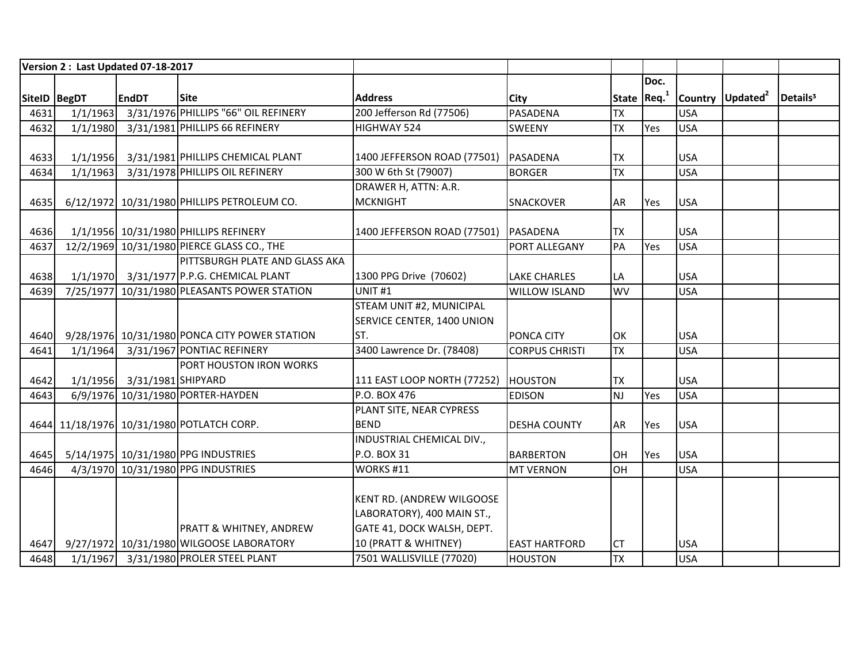|              |          | Version 2: Last Updated 07-18-2017 |                                               |                                  |                       |                    |      |            |                              |                      |
|--------------|----------|------------------------------------|-----------------------------------------------|----------------------------------|-----------------------|--------------------|------|------------|------------------------------|----------------------|
|              |          |                                    |                                               |                                  |                       |                    | Doc. |            |                              |                      |
| SiteID BegDT |          | <b>EndDT</b>                       | <b>Site</b>                                   | <b>Address</b>                   | City                  | State $ $ Req. $1$ |      |            | Country Updated <sup>2</sup> | Details <sup>3</sup> |
| 4631         | 1/1/1963 |                                    | 3/31/1976 PHILLIPS "66" OIL REFINERY          | 200 Jefferson Rd (77506)         | <b>PASADENA</b>       | <b>TX</b>          |      | <b>USA</b> |                              |                      |
| 4632         | 1/1/1980 |                                    | 3/31/1981 PHILLIPS 66 REFINERY                | HIGHWAY 524                      | SWEENY                | <b>TX</b>          | Yes  | <b>USA</b> |                              |                      |
|              |          |                                    |                                               |                                  |                       |                    |      |            |                              |                      |
| 4633         | 1/1/1956 |                                    | 3/31/1981 PHILLIPS CHEMICAL PLANT             | 1400 JEFFERSON ROAD (77501)      | PASADENA              | <b>TX</b>          |      | <b>USA</b> |                              |                      |
| 4634         | 1/1/1963 |                                    | 3/31/1978 PHILLIPS OIL REFINERY               | 300 W 6th St (79007)             | <b>BORGER</b>         | <b>TX</b>          |      | <b>USA</b> |                              |                      |
|              |          |                                    |                                               | DRAWER H, ATTN: A.R.             |                       |                    |      |            |                              |                      |
| 4635         |          |                                    | 6/12/1972 10/31/1980 PHILLIPS PETROLEUM CO.   | <b>MCKNIGHT</b>                  | SNACKOVER             | AR                 | Yes  | <b>USA</b> |                              |                      |
|              |          |                                    |                                               |                                  |                       |                    |      |            |                              |                      |
| 4636         |          |                                    | 1/1/1956 10/31/1980 PHILLIPS REFINERY         | 1400 JEFFERSON ROAD (77501)      | PASADENA              | <b>TX</b>          |      | <b>USA</b> |                              |                      |
| 4637         |          |                                    | 12/2/1969 10/31/1980 PIERCE GLASS CO., THE    |                                  | PORT ALLEGANY         | PA                 | Yes  | <b>USA</b> |                              |                      |
|              |          |                                    | PITTSBURGH PLATE AND GLASS AKA                |                                  |                       |                    |      |            |                              |                      |
| 4638         |          |                                    | 1/1/1970 3/31/1977 P.P.G. CHEMICAL PLANT      | 1300 PPG Drive (70602)           | <b>LAKE CHARLES</b>   | LA                 |      | <b>USA</b> |                              |                      |
| 4639         |          |                                    | 7/25/1977 10/31/1980 PLEASANTS POWER STATION  | UNIT <sub>#1</sub>               | <b>WILLOW ISLAND</b>  | WV                 |      | <b>USA</b> |                              |                      |
|              |          |                                    |                                               | STEAM UNIT #2, MUNICIPAL         |                       |                    |      |            |                              |                      |
|              |          |                                    |                                               | SERVICE CENTER, 1400 UNION       |                       |                    |      |            |                              |                      |
| 4640         |          |                                    | 9/28/1976 10/31/1980 PONCA CITY POWER STATION | ST.                              | PONCA CITY            | OK                 |      | <b>USA</b> |                              |                      |
| 4641         | 1/1/1964 |                                    | 3/31/1967 PONTIAC REFINERY                    | 3400 Lawrence Dr. (78408)        | <b>CORPUS CHRISTI</b> | <b>TX</b>          |      | <b>USA</b> |                              |                      |
|              |          |                                    | <b>PORT HOUSTON IRON WORKS</b>                |                                  |                       |                    |      |            |                              |                      |
| 4642         |          | 1/1/1956 3/31/1981 SHIPYARD        |                                               | 111 EAST LOOP NORTH (77252)      | <b>HOUSTON</b>        | <b>TX</b>          |      | <b>USA</b> |                              |                      |
| 4643         |          |                                    | 6/9/1976 10/31/1980 PORTER-HAYDEN             | P.O. BOX 476                     | <b>EDISON</b>         | <b>NJ</b>          | Yes  | <b>USA</b> |                              |                      |
|              |          |                                    |                                               | PLANT SITE, NEAR CYPRESS         |                       |                    |      |            |                              |                      |
|              |          |                                    | 4644 11/18/1976 10/31/1980 POTLATCH CORP.     | <b>BEND</b>                      | <b>DESHA COUNTY</b>   | AR                 | Yes  | <b>USA</b> |                              |                      |
|              |          |                                    |                                               | INDUSTRIAL CHEMICAL DIV.,        |                       |                    |      |            |                              |                      |
| 4645         |          |                                    | 5/14/1975 10/31/1980 PPG INDUSTRIES           | P.O. BOX 31                      | <b>BARBERTON</b>      | OH                 | Yes  | <b>USA</b> |                              |                      |
| 4646         |          |                                    | 4/3/1970 10/31/1980 PPG INDUSTRIES            | WORKS #11                        | <b>MT VERNON</b>      | OH                 |      | <b>USA</b> |                              |                      |
|              |          |                                    |                                               |                                  |                       |                    |      |            |                              |                      |
|              |          |                                    |                                               | <b>KENT RD. (ANDREW WILGOOSE</b> |                       |                    |      |            |                              |                      |
|              |          |                                    |                                               | LABORATORY), 400 MAIN ST.,       |                       |                    |      |            |                              |                      |
|              |          |                                    | <b>PRATT &amp; WHITNEY, ANDREW</b>            | GATE 41, DOCK WALSH, DEPT.       |                       |                    |      |            |                              |                      |
| 4647         |          |                                    | 9/27/1972 10/31/1980 WILGOOSE LABORATORY      | 10 (PRATT & WHITNEY)             | <b>EAST HARTFORD</b>  | <b>CT</b>          |      | <b>USA</b> |                              |                      |
| 4648         |          |                                    | 1/1/1967 3/31/1980 PROLER STEEL PLANT         | 7501 WALLISVILLE (77020)         | <b>HOUSTON</b>        | <b>TX</b>          |      | <b>USA</b> |                              |                      |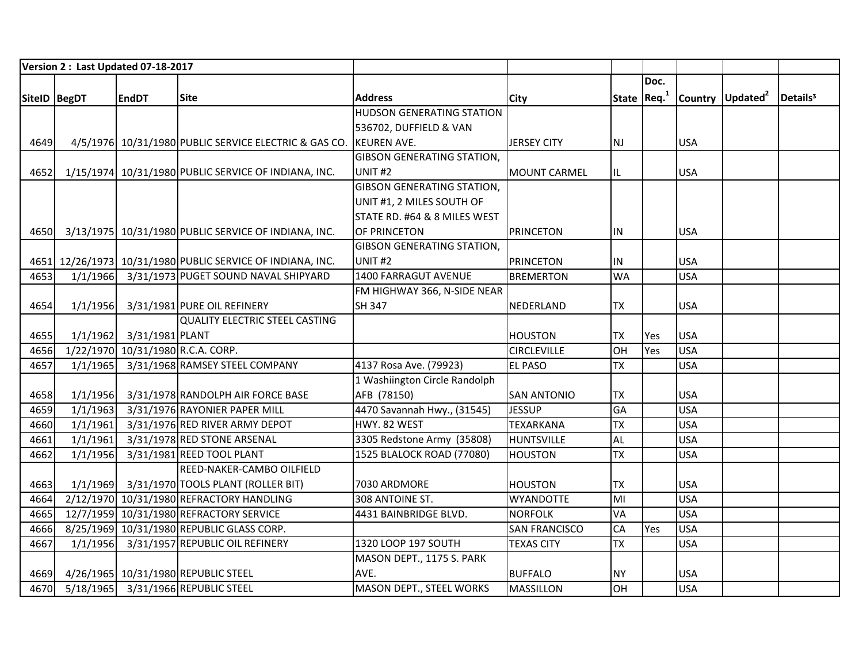|               |          | Version 2: Last Updated 07-18-2017 |                                                            |                                   |                      |              |      |            |                              |                      |
|---------------|----------|------------------------------------|------------------------------------------------------------|-----------------------------------|----------------------|--------------|------|------------|------------------------------|----------------------|
|               |          |                                    |                                                            |                                   |                      |              | Doc. |            |                              |                      |
| SitelD  BegDT |          | <b>EndDT</b>                       | Site                                                       | <b>Address</b>                    | <b>City</b>          | State $Req1$ |      |            | Country Updated <sup>2</sup> | Details <sup>3</sup> |
|               |          |                                    |                                                            | <b>HUDSON GENERATING STATION</b>  |                      |              |      |            |                              |                      |
|               |          |                                    |                                                            | 536702, DUFFIELD & VAN            |                      |              |      |            |                              |                      |
| 4649          |          |                                    | 4/5/1976 10/31/1980 PUBLIC SERVICE ELECTRIC & GAS CO.      | <b>KEUREN AVE.</b>                | <b>JERSEY CITY</b>   | NJ           |      | <b>USA</b> |                              |                      |
|               |          |                                    |                                                            | <b>GIBSON GENERATING STATION,</b> |                      |              |      |            |                              |                      |
| 4652          |          |                                    | 1/15/1974 10/31/1980 PUBLIC SERVICE OF INDIANA, INC.       | UNIT <sub>#2</sub>                | <b>MOUNT CARMEL</b>  | IL           |      | <b>USA</b> |                              |                      |
|               |          |                                    |                                                            | <b>GIBSON GENERATING STATION,</b> |                      |              |      |            |                              |                      |
|               |          |                                    |                                                            | UNIT #1, 2 MILES SOUTH OF         |                      |              |      |            |                              |                      |
|               |          |                                    |                                                            | STATE RD. #64 & 8 MILES WEST      |                      |              |      |            |                              |                      |
| 4650          |          |                                    | 3/13/1975 10/31/1980 PUBLIC SERVICE OF INDIANA, INC.       | OF PRINCETON                      | <b>PRINCETON</b>     | IN.          |      | <b>USA</b> |                              |                      |
|               |          |                                    |                                                            | <b>GIBSON GENERATING STATION,</b> |                      |              |      |            |                              |                      |
|               |          |                                    | 4651 12/26/1973 10/31/1980 PUBLIC SERVICE OF INDIANA, INC. | UNIT <sub>#2</sub>                | <b>PRINCETON</b>     | IN.          |      | <b>USA</b> |                              |                      |
| 4653          |          |                                    | 1/1/1966 3/31/1973 PUGET SOUND NAVAL SHIPYARD              | 1400 FARRAGUT AVENUE              | <b>BREMERTON</b>     | <b>WA</b>    |      | <b>USA</b> |                              |                      |
|               |          |                                    |                                                            | FM HIGHWAY 366, N-SIDE NEAR       |                      |              |      |            |                              |                      |
| 4654          | 1/1/1956 |                                    | 3/31/1981 PURE OIL REFINERY                                | <b>SH 347</b>                     | NEDERLAND            | <b>TX</b>    |      | <b>USA</b> |                              |                      |
|               |          |                                    | <b>QUALITY ELECTRIC STEEL CASTING</b>                      |                                   |                      |              |      |            |                              |                      |
| 4655          | 1/1/1962 | 3/31/1981 PLANT                    |                                                            |                                   | <b>HOUSTON</b>       | <b>TX</b>    | Yes  | <b>USA</b> |                              |                      |
| 4656          |          | 1/22/1970 10/31/1980 R.C.A. CORP.  |                                                            |                                   | <b>CIRCLEVILLE</b>   | OH           | Yes  | <b>USA</b> |                              |                      |
| 4657          | 1/1/1965 |                                    | 3/31/1968 RAMSEY STEEL COMPANY                             | 4137 Rosa Ave. (79923)            | <b>EL PASO</b>       | <b>TX</b>    |      | <b>USA</b> |                              |                      |
|               |          |                                    |                                                            | 1 Washiington Circle Randolph     |                      |              |      |            |                              |                      |
| 4658          | 1/1/1956 |                                    | 3/31/1978 RANDOLPH AIR FORCE BASE                          | AFB (78150)                       | <b>SAN ANTONIO</b>   | <b>TX</b>    |      | <b>USA</b> |                              |                      |
| 4659          | 1/1/1963 |                                    | 3/31/1976 RAYONIER PAPER MILL                              | 4470 Savannah Hwy., (31545)       | <b>JESSUP</b>        | <b>GA</b>    |      | <b>USA</b> |                              |                      |
| 4660          | 1/1/1961 |                                    | 3/31/1976 RED RIVER ARMY DEPOT                             | HWY. 82 WEST                      | <b>TEXARKANA</b>     | TX           |      | <b>USA</b> |                              |                      |
| 4661          | 1/1/1961 |                                    | 3/31/1978 RED STONE ARSENAL                                | 3305 Redstone Army (35808)        | <b>HUNTSVILLE</b>    | <b>AL</b>    |      | <b>USA</b> |                              |                      |
| 4662          | 1/1/1956 |                                    | 3/31/1981 REED TOOL PLANT                                  | 1525 BLALOCK ROAD (77080)         | <b>HOUSTON</b>       | <b>TX</b>    |      | <b>USA</b> |                              |                      |
|               |          |                                    | REED-NAKER-CAMBO OILFIELD                                  |                                   |                      |              |      |            |                              |                      |
| 4663          | 1/1/1969 |                                    | 3/31/1970 TOOLS PLANT (ROLLER BIT)                         | 7030 ARDMORE                      | <b>HOUSTON</b>       | <b>TX</b>    |      | <b>USA</b> |                              |                      |
| 4664          |          |                                    | 2/12/1970 10/31/1980 REFRACTORY HANDLING                   | 308 ANTOINE ST.                   | <b>WYANDOTTE</b>     | MI           |      | <b>USA</b> |                              |                      |
| 4665          |          |                                    | 12/7/1959 10/31/1980 REFRACTORY SERVICE                    | 4431 BAINBRIDGE BLVD.             | <b>NORFOLK</b>       | <b>VA</b>    |      | <b>USA</b> |                              |                      |
| 4666          |          |                                    | 8/25/1969 10/31/1980 REPUBLIC GLASS CORP.                  |                                   | <b>SAN FRANCISCO</b> | CA           | Yes  | <b>USA</b> |                              |                      |
| 4667          | 1/1/1956 |                                    | 3/31/1957 REPUBLIC OIL REFINERY                            | 1320 LOOP 197 SOUTH               | <b>TEXAS CITY</b>    | <b>TX</b>    |      | <b>USA</b> |                              |                      |
|               |          |                                    |                                                            | MASON DEPT., 1175 S. PARK         |                      |              |      |            |                              |                      |
| 4669          |          |                                    | 4/26/1965 10/31/1980 REPUBLIC STEEL                        | AVE.                              | <b>BUFFALO</b>       | <b>NY</b>    |      | <b>USA</b> |                              |                      |
| 4670          |          |                                    | 5/18/1965 3/31/1966 REPUBLIC STEEL                         | MASON DEPT., STEEL WORKS          | <b>MASSILLON</b>     | lон          |      | <b>USA</b> |                              |                      |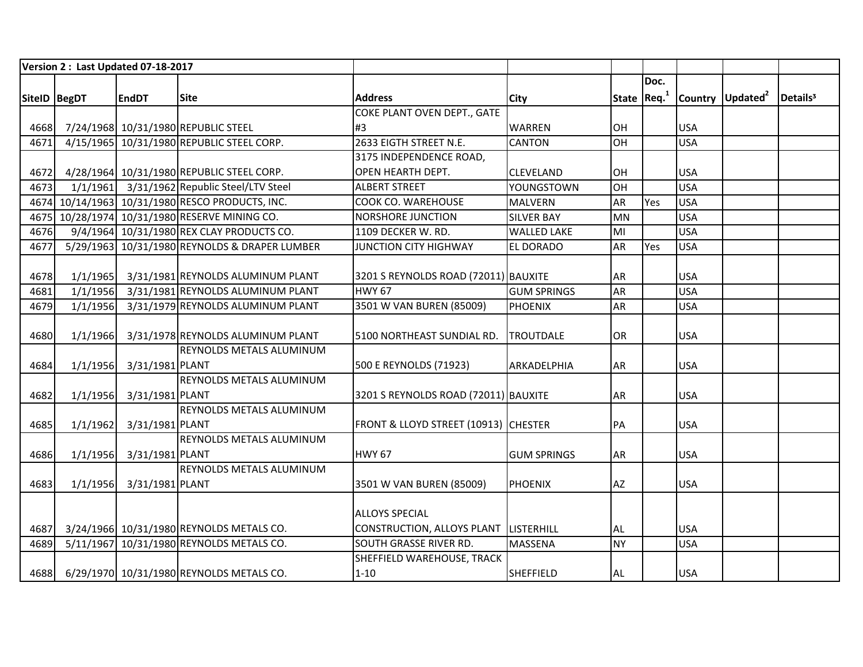|              | Version 2: Last Updated 07-18-2017 |                 |                                                 |                                       |                    |                         |      |            |                              |                      |
|--------------|------------------------------------|-----------------|-------------------------------------------------|---------------------------------------|--------------------|-------------------------|------|------------|------------------------------|----------------------|
|              |                                    |                 |                                                 |                                       |                    |                         | Doc. |            |                              |                      |
| SiteID BegDT |                                    | <b>EndDT</b>    | <b>Site</b>                                     | <b>Address</b>                        | <b>City</b>        | State Req. <sup>1</sup> |      |            | Country Updated <sup>2</sup> | Details <sup>3</sup> |
|              |                                    |                 |                                                 | COKE PLANT OVEN DEPT., GATE           |                    |                         |      |            |                              |                      |
| 4668         |                                    |                 | 7/24/1968 10/31/1980 REPUBLIC STEEL             | #3                                    | <b>WARREN</b>      | <b>OH</b>               |      | <b>USA</b> |                              |                      |
| 4671         |                                    |                 | 4/15/1965 10/31/1980 REPUBLIC STEEL CORP.       | 2633 EIGTH STREET N.E.                | <b>CANTON</b>      | <b>OH</b>               |      | <b>USA</b> |                              |                      |
|              |                                    |                 |                                                 | 3175 INDEPENDENCE ROAD,               |                    |                         |      |            |                              |                      |
| 4672         |                                    |                 | 4/28/1964 10/31/1980 REPUBLIC STEEL CORP.       | OPEN HEARTH DEPT.                     | <b>CLEVELAND</b>   | <b>OH</b>               |      | <b>USA</b> |                              |                      |
| 4673         |                                    |                 | 1/1/1961 3/31/1962 Republic Steel/LTV Steel     | <b>ALBERT STREET</b>                  | YOUNGSTOWN         | <b>OH</b>               |      | <b>USA</b> |                              |                      |
|              |                                    |                 | 4674 10/14/1963 10/31/1980 RESCO PRODUCTS, INC. | COOK CO. WAREHOUSE                    | <b>MALVERN</b>     | <b>AR</b>               | Yes  | <b>USA</b> |                              |                      |
|              |                                    |                 | 4675 10/28/1974 10/31/1980 RESERVE MINING CO.   | <b>NORSHORE JUNCTION</b>              | <b>SILVER BAY</b>  | <b>MN</b>               |      | <b>USA</b> |                              |                      |
| 4676         |                                    |                 | 9/4/1964 10/31/1980 REX CLAY PRODUCTS CO.       | 1109 DECKER W. RD.                    | <b>WALLED LAKE</b> | MI                      |      | <b>USA</b> |                              |                      |
| 4677         |                                    |                 | 5/29/1963 10/31/1980 REYNOLDS & DRAPER LUMBER   | <b>JUNCTION CITY HIGHWAY</b>          | <b>EL DORADO</b>   | <b>AR</b>               | Yes  | <b>USA</b> |                              |                      |
|              |                                    |                 |                                                 |                                       |                    |                         |      |            |                              |                      |
| 4678         | 1/1/1965                           |                 | 3/31/1981 REYNOLDS ALUMINUM PLANT               | 3201 S REYNOLDS ROAD (72011) BAUXITE  |                    | <b>AR</b>               |      | <b>USA</b> |                              |                      |
| 4681         | 1/1/1956                           |                 | 3/31/1981 REYNOLDS ALUMINUM PLANT               | <b>HWY 67</b>                         | <b>GUM SPRINGS</b> | <b>AR</b>               |      | <b>USA</b> |                              |                      |
| 4679         | 1/1/1956                           |                 | 3/31/1979 REYNOLDS ALUMINUM PLANT               | 3501 W VAN BUREN (85009)              | PHOENIX            | <b>AR</b>               |      | <b>USA</b> |                              |                      |
|              |                                    |                 |                                                 |                                       |                    |                         |      |            |                              |                      |
| 4680         | 1/1/1966                           |                 | 3/31/1978 REYNOLDS ALUMINUM PLANT               | 5100 NORTHEAST SUNDIAL RD.            | <b>ITROUTDALE</b>  | <b>OR</b>               |      | <b>USA</b> |                              |                      |
|              |                                    |                 | <b>REYNOLDS METALS ALUMINUM</b>                 |                                       |                    |                         |      |            |                              |                      |
| 4684         | 1/1/1956                           | 3/31/1981 PLANT |                                                 | 500 E REYNOLDS (71923)                | ARKADELPHIA        | <b>AR</b>               |      | <b>USA</b> |                              |                      |
|              |                                    |                 | <b>REYNOLDS METALS ALUMINUM</b>                 |                                       |                    |                         |      |            |                              |                      |
| 4682         | 1/1/1956                           | 3/31/1981 PLANT |                                                 | 3201 S REYNOLDS ROAD (72011) BAUXITE  |                    | <b>AR</b>               |      | <b>USA</b> |                              |                      |
|              |                                    |                 | <b>REYNOLDS METALS ALUMINUM</b>                 |                                       |                    |                         |      |            |                              |                      |
| 4685         | 1/1/1962                           | 3/31/1981 PLANT |                                                 | FRONT & LLOYD STREET (10913) CHESTER  |                    | PA                      |      | <b>USA</b> |                              |                      |
|              |                                    |                 | <b>REYNOLDS METALS ALUMINUM</b>                 |                                       |                    |                         |      |            |                              |                      |
| 4686         | 1/1/1956                           | 3/31/1981 PLANT |                                                 | <b>HWY 67</b>                         | <b>GUM SPRINGS</b> | <b>AR</b>               |      | <b>USA</b> |                              |                      |
|              |                                    |                 | <b>REYNOLDS METALS ALUMINUM</b>                 |                                       |                    |                         |      |            |                              |                      |
| 4683         | 1/1/1956                           | 3/31/1981 PLANT |                                                 | 3501 W VAN BUREN (85009)              | <b>PHOENIX</b>     | <b>AZ</b>               |      | <b>USA</b> |                              |                      |
|              |                                    |                 |                                                 |                                       |                    |                         |      |            |                              |                      |
|              |                                    |                 |                                                 | <b>ALLOYS SPECIAL</b>                 |                    |                         |      |            |                              |                      |
| 4687         |                                    |                 | 3/24/1966 10/31/1980 REYNOLDS METALS CO.        | CONSTRUCTION, ALLOYS PLANT LISTERHILL |                    | <b>AL</b>               |      | <b>USA</b> |                              |                      |
| 4689         |                                    |                 | 5/11/1967 10/31/1980 REYNOLDS METALS CO.        | <b>SOUTH GRASSE RIVER RD.</b>         | <b>MASSENA</b>     | <b>NY</b>               |      | <b>USA</b> |                              |                      |
|              |                                    |                 |                                                 | SHEFFIELD WAREHOUSE, TRACK            |                    |                         |      |            |                              |                      |
| 4688         |                                    |                 | 6/29/1970 10/31/1980 REYNOLDS METALS CO.        | $1 - 10$                              | <b>SHEFFIELD</b>   | <b>AL</b>               |      | <b>USA</b> |                              |                      |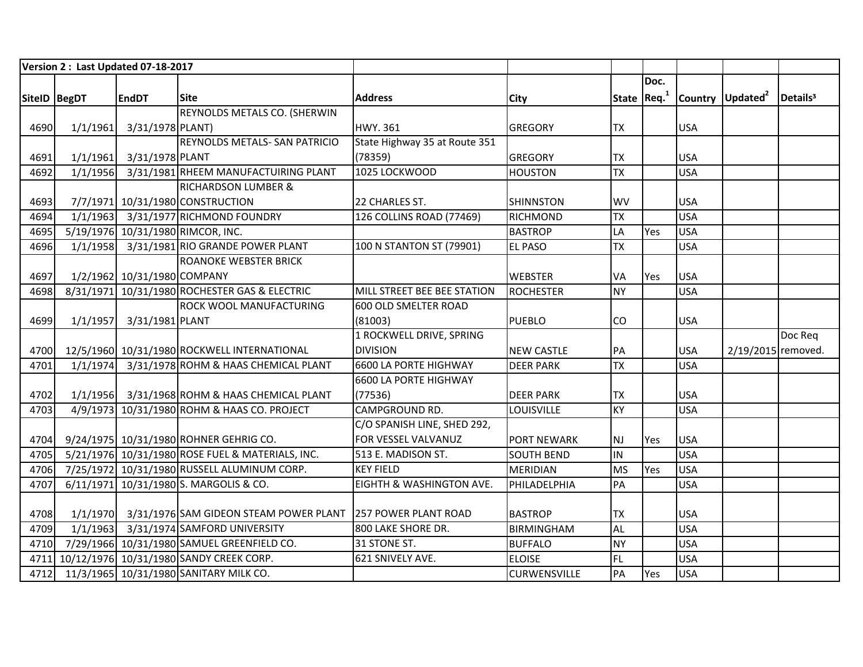|              |          | Version 2: Last Updated 07-18-2017 |                                                                      |                               |                     |                          |      |            |                              |                      |
|--------------|----------|------------------------------------|----------------------------------------------------------------------|-------------------------------|---------------------|--------------------------|------|------------|------------------------------|----------------------|
|              |          |                                    |                                                                      |                               |                     |                          | Doc. |            |                              |                      |
| SiteID BegDT |          | <b>EndDT</b>                       | <b>Site</b>                                                          | <b>Address</b>                | City                | State $Req1$             |      |            | Country Updated <sup>2</sup> | Details <sup>3</sup> |
|              |          |                                    | REYNOLDS METALS CO. (SHERWIN                                         |                               |                     |                          |      |            |                              |                      |
| 4690         |          | 1/1/1961 3/31/1978 PLANT)          |                                                                      | <b>HWY.361</b>                | <b>GREGORY</b>      | <b>TX</b>                |      | <b>USA</b> |                              |                      |
|              |          |                                    | <b>REYNOLDS METALS- SAN PATRICIO</b>                                 | State Highway 35 at Route 351 |                     |                          |      |            |                              |                      |
| 4691         | 1/1/1961 | 3/31/1978 PLANT                    |                                                                      | (78359)                       | <b>GREGORY</b>      | <b>TX</b>                |      | <b>USA</b> |                              |                      |
| 4692         | 1/1/1956 |                                    | 3/31/1981 RHEEM MANUFACTUIRING PLANT                                 | 1025 LOCKWOOD                 | <b>HOUSTON</b>      | <b>TX</b>                |      | <b>USA</b> |                              |                      |
|              |          |                                    | <b>RICHARDSON LUMBER &amp;</b>                                       |                               |                     |                          |      |            |                              |                      |
| 4693         |          |                                    | 7/7/1971 10/31/1980 CONSTRUCTION                                     | 22 CHARLES ST.                | <b>SHINNSTON</b>    | <b>WV</b>                |      | <b>USA</b> |                              |                      |
| 4694         |          |                                    | 1/1/1963 3/31/1977 RICHMOND FOUNDRY                                  | 126 COLLINS ROAD (77469)      | <b>RICHMOND</b>     | <b>TX</b>                |      | <b>USA</b> |                              |                      |
| 4695         |          |                                    | 5/19/1976 10/31/1980 RIMCOR, INC.                                    |                               | <b>BASTROP</b>      | LA                       | Yes  | <b>USA</b> |                              |                      |
| 4696         | 1/1/1958 |                                    | 3/31/1981 RIO GRANDE POWER PLANT                                     | 100 N STANTON ST (79901)      | <b>EL PASO</b>      | <b>TX</b>                |      | <b>USA</b> |                              |                      |
|              |          |                                    | <b>ROANOKE WEBSTER BRICK</b>                                         |                               |                     |                          |      |            |                              |                      |
| 4697         |          | 1/2/1962 10/31/1980 COMPANY        |                                                                      |                               | <b>WEBSTER</b>      | VA                       | Yes  | <b>USA</b> |                              |                      |
| 4698         |          |                                    | 8/31/1971 10/31/1980 ROCHESTER GAS & ELECTRIC                        | MILL STREET BEE BEE STATION   | <b>ROCHESTER</b>    | <b>NY</b>                |      | <b>USA</b> |                              |                      |
|              |          |                                    | <b>ROCK WOOL MANUFACTURING</b>                                       | 600 OLD SMELTER ROAD          |                     |                          |      |            |                              |                      |
| 4699         |          | 1/1/1957 3/31/1981 PLANT           |                                                                      | (81003)                       | <b>PUEBLO</b>       | CO                       |      | <b>USA</b> |                              |                      |
|              |          |                                    |                                                                      | 1 ROCKWELL DRIVE, SPRING      |                     |                          |      |            |                              | Doc Req              |
| 4700         |          |                                    | 12/5/1960 10/31/1980 ROCKWELL INTERNATIONAL                          | <b>DIVISION</b>               | <b>NEW CASTLE</b>   | PA                       |      | <b>USA</b> | 2/19/2015 removed.           |                      |
| 4701         | 1/1/1974 |                                    | 3/31/1978 ROHM & HAAS CHEMICAL PLANT                                 | <b>6600 LA PORTE HIGHWAY</b>  | <b>DEER PARK</b>    | $\overline{\mathsf{TX}}$ |      | <b>USA</b> |                              |                      |
|              |          |                                    |                                                                      | 6600 LA PORTE HIGHWAY         |                     |                          |      |            |                              |                      |
| 4702         |          |                                    | 1/1/1956 3/31/1968 ROHM & HAAS CHEMICAL PLANT                        | (77536)                       | <b>DEER PARK</b>    | <b>TX</b>                |      | <b>USA</b> |                              |                      |
| 4703         |          |                                    | 4/9/1973 10/31/1980 ROHM & HAAS CO. PROJECT                          | CAMPGROUND RD.                | LOUISVILLE          | <b>KY</b>                |      | <b>USA</b> |                              |                      |
|              |          |                                    |                                                                      | C/O SPANISH LINE, SHED 292,   |                     |                          |      |            |                              |                      |
| 4704         |          |                                    | 9/24/1975 10/31/1980 ROHNER GEHRIG CO.                               | FOR VESSEL VALVANUZ           | <b>PORT NEWARK</b>  | NJ                       | Yes  | <b>USA</b> |                              |                      |
| 4705         |          |                                    | 5/21/1976 10/31/1980 ROSE FUEL & MATERIALS, INC.                     | 513 E. MADISON ST.            | <b>SOUTH BEND</b>   | $\overline{N}$           |      | <b>USA</b> |                              |                      |
| 4706         |          |                                    | 7/25/1972 10/31/1980 RUSSELL ALUMINUM CORP.                          | <b>KEY FIELD</b>              | <b>MERIDIAN</b>     | <b>MS</b>                | Yes  | <b>USA</b> |                              |                      |
| 4707         |          |                                    | 6/11/1971 10/31/1980 S. MARGOLIS & CO.                               | EIGHTH & WASHINGTON AVE.      | PHILADELPHIA        | PA                       |      | <b>USA</b> |                              |                      |
|              |          |                                    |                                                                      |                               |                     |                          |      |            |                              |                      |
| 4708         |          |                                    | 1/1/1970 3/31/1976 SAM GIDEON STEAM POWER PLANT 257 POWER PLANT ROAD |                               | <b>BASTROP</b>      | <b>TX</b>                |      | <b>USA</b> |                              |                      |
| 4709         | 1/1/1963 |                                    | 3/31/1974 SAMFORD UNIVERSITY                                         | 800 LAKE SHORE DR.            | <b>BIRMINGHAM</b>   | <b>AL</b>                |      | <b>USA</b> |                              |                      |
| 4710         |          |                                    | 7/29/1966 10/31/1980 SAMUEL GREENFIELD CO.                           | 31 STONE ST.                  | <b>BUFFALO</b>      | <b>NY</b>                |      | <b>USA</b> |                              |                      |
| 4711         |          |                                    | 10/12/1976 10/31/1980 SANDY CREEK CORP.                              | 621 SNIVELY AVE.              | <b>ELOISE</b>       | FL.                      |      | <b>USA</b> |                              |                      |
| 4712         |          |                                    | 11/3/1965 10/31/1980 SANITARY MILK CO.                               |                               | <b>CURWENSVILLE</b> | PA                       | Yes  | <b>USA</b> |                              |                      |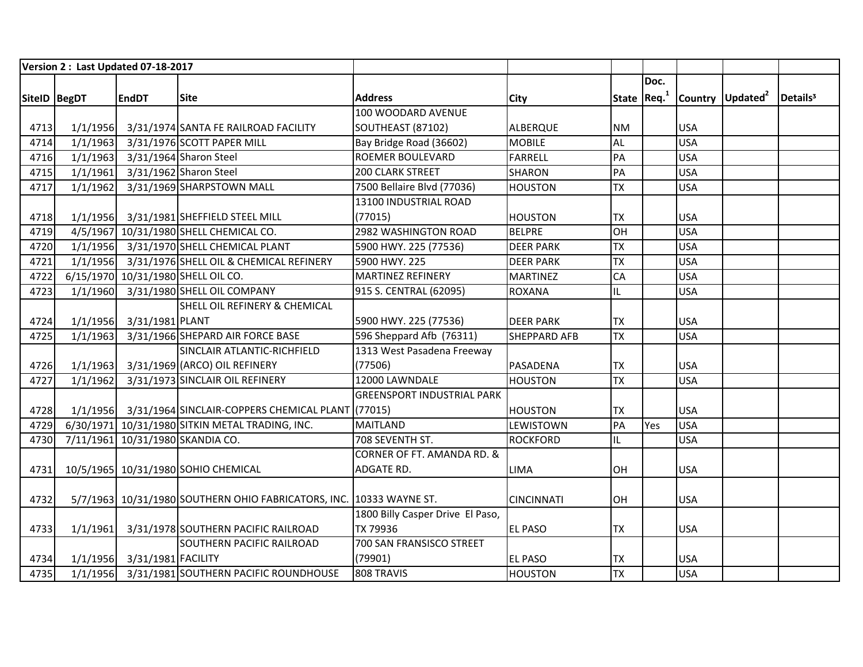|              |          | Version 2: Last Updated 07-18-2017 |                                                                     |                                   |                     |                         |      |            |                              |                      |
|--------------|----------|------------------------------------|---------------------------------------------------------------------|-----------------------------------|---------------------|-------------------------|------|------------|------------------------------|----------------------|
|              |          |                                    |                                                                     |                                   |                     |                         | Doc. |            |                              |                      |
| SiteID BegDT |          | <b>EndDT</b>                       | <b>Site</b>                                                         | <b>Address</b>                    | City                | State Req. <sup>1</sup> |      |            | Country Updated <sup>2</sup> | Details <sup>3</sup> |
|              |          |                                    |                                                                     | 100 WOODARD AVENUE                |                     |                         |      |            |                              |                      |
| 4713         | 1/1/1956 |                                    | 3/31/1974 SANTA FE RAILROAD FACILITY                                | SOUTHEAST (87102)                 | <b>ALBERQUE</b>     | <b>NM</b>               |      | <b>USA</b> |                              |                      |
| 4714         | 1/1/1963 |                                    | 3/31/1976 SCOTT PAPER MILL                                          | Bay Bridge Road (36602)           | <b>MOBILE</b>       | <b>AL</b>               |      | <b>USA</b> |                              |                      |
| 4716         | 1/1/1963 |                                    | 3/31/1964 Sharon Steel                                              | <b>ROEMER BOULEVARD</b>           | <b>FARRELL</b>      | PA                      |      | <b>USA</b> |                              |                      |
| 4715         | 1/1/1961 |                                    | 3/31/1962 Sharon Steel                                              | 200 CLARK STREET                  | <b>SHARON</b>       | PA                      |      | <b>USA</b> |                              |                      |
| 4717         | 1/1/1962 |                                    | 3/31/1969 SHARPSTOWN MALL                                           | 7500 Bellaire Blvd (77036)        | <b>HOUSTON</b>      | <b>TX</b>               |      | <b>USA</b> |                              |                      |
|              |          |                                    |                                                                     | 13100 INDUSTRIAL ROAD             |                     |                         |      |            |                              |                      |
| 4718         |          |                                    | 1/1/1956 3/31/1981 SHEFFIELD STEEL MILL                             | (77015)                           | <b>HOUSTON</b>      | <b>TX</b>               |      | <b>USA</b> |                              |                      |
| 4719         |          |                                    | 4/5/1967 10/31/1980 SHELL CHEMICAL CO.                              | 2982 WASHINGTON ROAD              | <b>BELPRE</b>       | HO                      |      | <b>USA</b> |                              |                      |
| 4720         |          |                                    | 1/1/1956 3/31/1970 SHELL CHEMICAL PLANT                             | 5900 HWY. 225 (77536)             | <b>DEER PARK</b>    | <b>TX</b>               |      | <b>USA</b> |                              |                      |
| 4721         |          |                                    | 1/1/1956 3/31/1976 SHELL OIL & CHEMICAL REFINERY                    | 5900 HWY. 225                     | <b>DEER PARK</b>    | <b>TX</b>               |      | <b>USA</b> |                              |                      |
| 4722         |          |                                    | 6/15/1970 10/31/1980 SHELL OIL CO.                                  | MARTINEZ REFINERY                 | <b>MARTINEZ</b>     | CA                      |      | <b>USA</b> |                              |                      |
| 4723         | 1/1/1960 |                                    | 3/31/1980 SHELL OIL COMPANY                                         | 915 S. CENTRAL (62095)            | <b>ROXANA</b>       | IL                      |      | <b>USA</b> |                              |                      |
|              |          |                                    | <b>SHELL OIL REFINERY &amp; CHEMICAL</b>                            |                                   |                     |                         |      |            |                              |                      |
| 4724         |          | 1/1/1956 3/31/1981 PLANT           |                                                                     | 5900 HWY. 225 (77536)             | <b>DEER PARK</b>    | <b>TX</b>               |      | <b>USA</b> |                              |                      |
| 4725         | 1/1/1963 |                                    | 3/31/1966 SHEPARD AIR FORCE BASE                                    | 596 Sheppard Afb (76311)          | <b>SHEPPARD AFB</b> | <b>TX</b>               |      | <b>USA</b> |                              |                      |
|              |          |                                    | SINCLAIR ATLANTIC-RICHFIELD                                         | 1313 West Pasadena Freeway        |                     |                         |      |            |                              |                      |
| 4726         |          |                                    | 1/1/1963 3/31/1969 (ARCO) OIL REFINERY                              | (77506)                           | PASADENA            | <b>TX</b>               |      | <b>USA</b> |                              |                      |
| 4727         | 1/1/1962 |                                    | 3/31/1973 SINCLAIR OIL REFINERY                                     | 12000 LAWNDALE                    | <b>HOUSTON</b>      | <b>TX</b>               |      | <b>USA</b> |                              |                      |
|              |          |                                    |                                                                     | <b>GREENSPORT INDUSTRIAL PARK</b> |                     |                         |      |            |                              |                      |
| 4728         |          |                                    | 1/1/1956 3/31/1964 SINCLAIR-COPPERS CHEMICAL PLANT (77015)          |                                   | <b>HOUSTON</b>      | <b>TX</b>               |      | <b>USA</b> |                              |                      |
| 4729         |          |                                    | 6/30/1971 10/31/1980 SITKIN METAL TRADING, INC.                     | <b>MAITLAND</b>                   | LEWISTOWN           | PA                      | Yes  | <b>USA</b> |                              |                      |
| 4730         |          |                                    | 7/11/1961 10/31/1980 SKANDIA CO.                                    | 708 SEVENTH ST.                   | <b>ROCKFORD</b>     | IL                      |      | <b>USA</b> |                              |                      |
|              |          |                                    |                                                                     | CORNER OF FT. AMANDA RD. &        |                     |                         |      |            |                              |                      |
| 4731         |          |                                    | 10/5/1965 10/31/1980 SOHIO CHEMICAL                                 | <b>ADGATE RD.</b>                 | <b>LIMA</b>         | OH                      |      | <b>USA</b> |                              |                      |
|              |          |                                    |                                                                     |                                   |                     |                         |      |            |                              |                      |
| 4732         |          |                                    | 5/7/1963 10/31/1980 SOUTHERN OHIO FABRICATORS, INC. 10333 WAYNE ST. |                                   | <b>CINCINNATI</b>   | OH                      |      | <b>USA</b> |                              |                      |
|              |          |                                    |                                                                     | 1800 Billy Casper Drive El Paso,  |                     |                         |      |            |                              |                      |
| 4733         | 1/1/1961 |                                    | 3/31/1978 SOUTHERN PACIFIC RAILROAD                                 | TX 79936                          | EL PASO             | <b>TX</b>               |      | <b>USA</b> |                              |                      |
|              |          |                                    | <b>SOUTHERN PACIFIC RAILROAD</b>                                    | 700 SAN FRANSISCO STREET          |                     |                         |      |            |                              |                      |
| 4734         |          | 1/1/1956 3/31/1981 FACILITY        |                                                                     | (79901)                           | EL PASO             | <b>TX</b>               |      | <b>USA</b> |                              |                      |
| 4735         |          |                                    | 1/1/1956 3/31/1981 SOUTHERN PACIFIC ROUNDHOUSE                      | 808 TRAVIS                        | <b>HOUSTON</b>      | <b>TX</b>               |      | <b>USA</b> |                              |                      |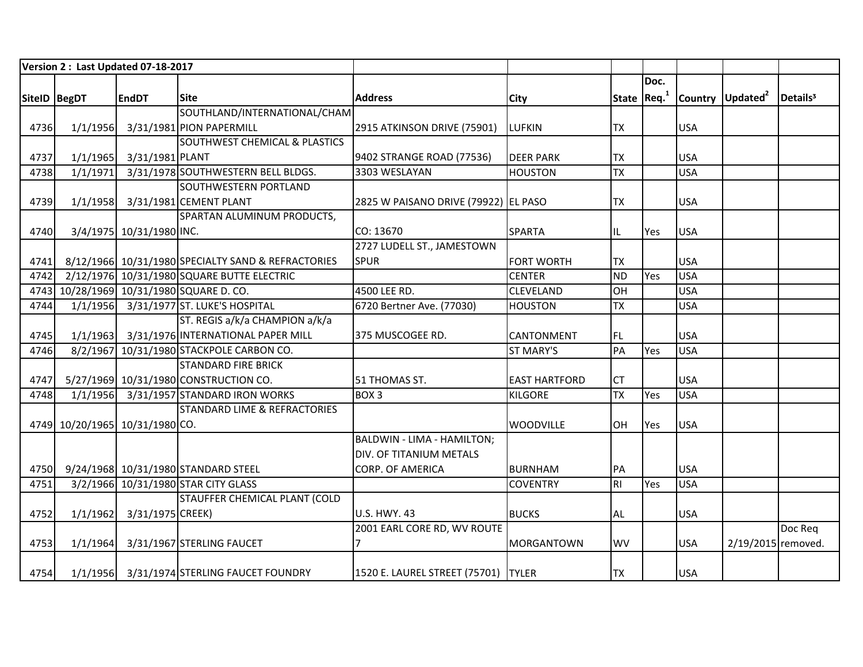|               | Version 2: Last Updated 07-18-2017 |                          |                                                    |                                       |                      |                         |      |            |                              |                      |
|---------------|------------------------------------|--------------------------|----------------------------------------------------|---------------------------------------|----------------------|-------------------------|------|------------|------------------------------|----------------------|
|               |                                    |                          |                                                    |                                       |                      |                         | Doc. |            |                              |                      |
| SiteID  BegDT |                                    | <b>EndDT</b>             | <b>Site</b>                                        | <b>Address</b>                        | <b>City</b>          | State Req. <sup>1</sup> |      |            | Country Updated <sup>2</sup> | Details <sup>3</sup> |
|               |                                    |                          | SOUTHLAND/INTERNATIONAL/CHAM                       |                                       |                      |                         |      |            |                              |                      |
| 4736          | 1/1/1956                           |                          | 3/31/1981 PION PAPERMILL                           | 2915 ATKINSON DRIVE (75901)           | <b>LUFKIN</b>        | <b>TX</b>               |      | <b>USA</b> |                              |                      |
|               |                                    |                          | <b>SOUTHWEST CHEMICAL &amp; PLASTICS</b>           |                                       |                      |                         |      |            |                              |                      |
| 4737          | 1/1/1965                           | 3/31/1981 PLANT          |                                                    | 9402 STRANGE ROAD (77536)             | <b>DEER PARK</b>     | <b>TX</b>               |      | <b>USA</b> |                              |                      |
| 4738          | 1/1/1971                           |                          | 3/31/1978 SOUTHWESTERN BELL BLDGS.                 | 3303 WESLAYAN                         | <b>HOUSTON</b>       | <b>TX</b>               |      | <b>USA</b> |                              |                      |
|               |                                    |                          | <b>SOUTHWESTERN PORTLAND</b>                       |                                       |                      |                         |      |            |                              |                      |
| 4739          | 1/1/1958                           |                          | 3/31/1981 CEMENT PLANT                             | 2825 W PAISANO DRIVE (79922) EL PASO  |                      | <b>TX</b>               |      | <b>USA</b> |                              |                      |
|               |                                    |                          | SPARTAN ALUMINUM PRODUCTS,                         |                                       |                      |                         |      |            |                              |                      |
| 4740          |                                    | 3/4/1975 10/31/1980 INC. |                                                    | CO: 13670                             | <b>SPARTA</b>        | IL                      | Yes  | <b>USA</b> |                              |                      |
|               |                                    |                          |                                                    | 2727 LUDELL ST., JAMESTOWN            |                      |                         |      |            |                              |                      |
| 4741          |                                    |                          | 8/12/1966 10/31/1980 SPECIALTY SAND & REFRACTORIES | <b>SPUR</b>                           | <b>FORT WORTH</b>    | <b>TX</b>               |      | <b>USA</b> |                              |                      |
| 4742          |                                    |                          | 2/12/1976 10/31/1980 SQUARE BUTTE ELECTRIC         |                                       | <b>CENTER</b>        | <b>ND</b>               | Yes  | <b>USA</b> |                              |                      |
|               |                                    |                          | 4743 10/28/1969 10/31/1980 SQUARE D. CO.           | 4500 LEE RD.                          | <b>CLEVELAND</b>     | OH                      |      | <b>USA</b> |                              |                      |
| 4744          | 1/1/1956                           |                          | 3/31/1977 ST. LUKE'S HOSPITAL                      | 6720 Bertner Ave. (77030)             | <b>HOUSTON</b>       | <b>TX</b>               |      | <b>USA</b> |                              |                      |
|               |                                    |                          | ST. REGIS a/k/a CHAMPION a/k/a                     |                                       |                      |                         |      |            |                              |                      |
| 4745          | 1/1/1963                           |                          | 3/31/1976 INTERNATIONAL PAPER MILL                 | 375 MUSCOGEE RD.                      | <b>CANTONMENT</b>    | FL                      |      | <b>USA</b> |                              |                      |
| 4746          |                                    |                          | 8/2/1967 10/31/1980 STACKPOLE CARBON CO.           |                                       | <b>ST MARY'S</b>     | PA                      | Yes  | <b>USA</b> |                              |                      |
|               |                                    |                          | <b>STANDARD FIRE BRICK</b>                         |                                       |                      |                         |      |            |                              |                      |
| 4747          |                                    |                          | 5/27/1969 10/31/1980 CONSTRUCTION CO.              | 51 THOMAS ST.                         | <b>EAST HARTFORD</b> | <b>CT</b>               |      | <b>USA</b> |                              |                      |
| 4748          | 1/1/1956                           |                          | 3/31/1957 STANDARD IRON WORKS                      | BOX <sub>3</sub>                      | <b>KILGORE</b>       | <b>TX</b>               | Yes  | <b>USA</b> |                              |                      |
|               |                                    |                          | <b>STANDARD LIME &amp; REFRACTORIES</b>            |                                       |                      |                         |      |            |                              |                      |
|               | 4749 10/20/1965 10/31/1980 CO.     |                          |                                                    |                                       | <b>WOODVILLE</b>     | <b>OH</b>               | Yes  | <b>USA</b> |                              |                      |
|               |                                    |                          |                                                    | BALDWIN - LIMA - HAMILTON;            |                      |                         |      |            |                              |                      |
|               |                                    |                          |                                                    | DIV. OF TITANIUM METALS               |                      |                         |      |            |                              |                      |
| 4750          |                                    |                          | 9/24/1968 10/31/1980 STANDARD STEEL                | <b>CORP. OF AMERICA</b>               | <b>BURNHAM</b>       | PA                      |      | <b>USA</b> |                              |                      |
| 4751          |                                    |                          | 3/2/1966 10/31/1980 STAR CITY GLASS                |                                       | <b>COVENTRY</b>      | RI                      | Yes  | <b>USA</b> |                              |                      |
|               |                                    |                          | <b>STAUFFER CHEMICAL PLANT (COLD</b>               |                                       |                      |                         |      |            |                              |                      |
| 4752          | 1/1/1962                           | 3/31/1975 CREEK)         |                                                    | <b>U.S. HWY. 43</b>                   | <b>BUCKS</b>         | <b>AL</b>               |      | <b>USA</b> |                              |                      |
|               |                                    |                          |                                                    | 2001 EARL CORE RD, WV ROUTE           |                      |                         |      |            |                              | Doc Req              |
| 4753          | 1/1/1964                           |                          | 3/31/1967 STERLING FAUCET                          |                                       | <b>MORGANTOWN</b>    | <b>WV</b>               |      | <b>USA</b> | 2/19/2015 removed.           |                      |
| 4754          |                                    |                          | 1/1/1956 3/31/1974 STERLING FAUCET FOUNDRY         | 1520 E. LAUREL STREET (75701)   TYLER |                      | <b>TX</b>               |      | <b>USA</b> |                              |                      |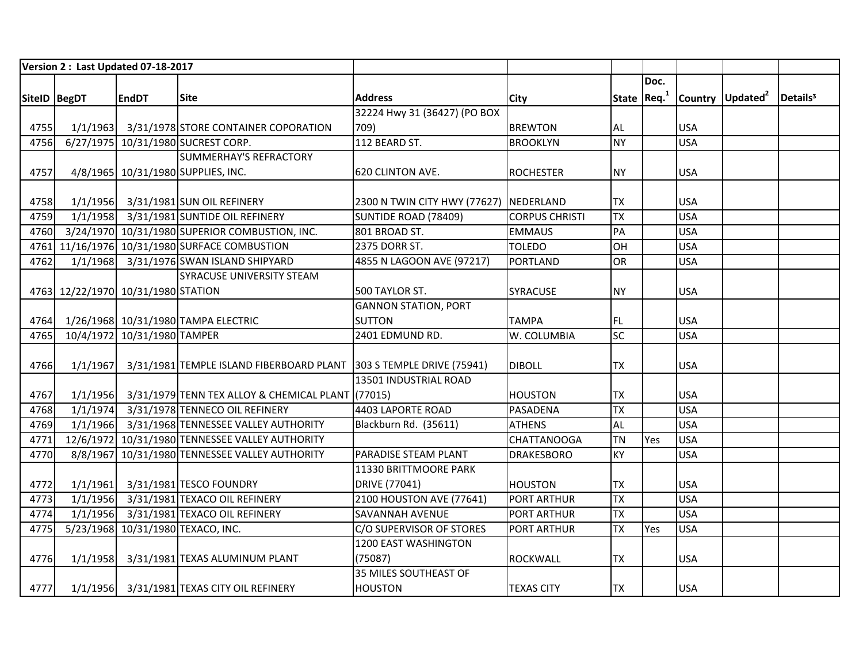|              |          | Version 2: Last Updated 07-18-2017 |                                                                              |                                        |                       |                          |      |            |                              |                      |
|--------------|----------|------------------------------------|------------------------------------------------------------------------------|----------------------------------------|-----------------------|--------------------------|------|------------|------------------------------|----------------------|
|              |          |                                    |                                                                              |                                        |                       |                          | Doc. |            |                              |                      |
| SiteID BegDT |          | <b>EndDT</b>                       | <b>Site</b>                                                                  | <b>Address</b>                         | <b>City</b>           | State $Req1$             |      |            | Country Updated <sup>2</sup> | Details <sup>3</sup> |
|              |          |                                    |                                                                              | 32224 Hwy 31 (36427) (PO BOX           |                       |                          |      |            |                              |                      |
| 4755         |          |                                    | 1/1/1963 3/31/1978 STORE CONTAINER COPORATION                                | 709)                                   | <b>BREWTON</b>        | <b>AL</b>                |      | <b>USA</b> |                              |                      |
| 4756         |          |                                    | 6/27/1975 10/31/1980 SUCREST CORP.                                           | 112 BEARD ST.                          | <b>BROOKLYN</b>       | <b>NY</b>                |      | <b>USA</b> |                              |                      |
|              |          |                                    | <b>SUMMERHAY'S REFRACTORY</b>                                                |                                        |                       |                          |      |            |                              |                      |
| 4757         |          |                                    | 4/8/1965 10/31/1980 SUPPLIES, INC.                                           | 620 CLINTON AVE.                       | <b>ROCHESTER</b>      | <b>NY</b>                |      | <b>USA</b> |                              |                      |
|              |          |                                    |                                                                              |                                        |                       |                          |      |            |                              |                      |
| 4758         |          |                                    | 1/1/1956 3/31/1981 SUN OIL REFINERY                                          | 2300 N TWIN CITY HWY (77627) NEDERLAND |                       | <b>TX</b>                |      | <b>USA</b> |                              |                      |
| 4759         |          |                                    | 1/1/1958 3/31/1981 SUNTIDE OIL REFINERY                                      | SUNTIDE ROAD (78409)                   | <b>CORPUS CHRISTI</b> | <b>TX</b>                |      | <b>USA</b> |                              |                      |
| 4760         |          |                                    | 3/24/1970 10/31/1980 SUPERIOR COMBUSTION, INC.                               | 801 BROAD ST.                          | <b>EMMAUS</b>         | PA                       |      | <b>USA</b> |                              |                      |
|              |          |                                    | 4761 11/16/1976 10/31/1980 SURFACE COMBUSTION                                | 2375 DORR ST.                          | <b>TOLEDO</b>         | OH                       |      | <b>USA</b> |                              |                      |
| 4762         |          |                                    | 1/1/1968 3/31/1976 SWAN ISLAND SHIPYARD                                      | 4855 N LAGOON AVE (97217)              | <b>PORTLAND</b>       | <b>OR</b>                |      | <b>USA</b> |                              |                      |
|              |          |                                    | <b>SYRACUSE UNIVERSITY STEAM</b>                                             |                                        |                       |                          |      |            |                              |                      |
|              |          | 4763 12/22/1970 10/31/1980 STATION |                                                                              | 500 TAYLOR ST.                         | <b>SYRACUSE</b>       | <b>NY</b>                |      | <b>USA</b> |                              |                      |
|              |          |                                    |                                                                              | <b>GANNON STATION, PORT</b>            |                       |                          |      |            |                              |                      |
| 4764         |          |                                    | 1/26/1968 10/31/1980 TAMPA ELECTRIC                                          | <b>SUTTON</b>                          | <b>TAMPA</b>          | <b>FL</b>                |      | <b>USA</b> |                              |                      |
| 4765         |          | 10/4/1972 10/31/1980 TAMPER        |                                                                              | 2401 EDMUND RD.                        | W. COLUMBIA           | SC                       |      | <b>USA</b> |                              |                      |
|              |          |                                    |                                                                              |                                        |                       |                          |      |            |                              |                      |
| 4766         |          |                                    | 1/1/1967 3/31/1981 TEMPLE ISLAND FIBERBOARD PLANT 303 S TEMPLE DRIVE (75941) |                                        | <b>DIBOLL</b>         | <b>TX</b>                |      | <b>USA</b> |                              |                      |
|              |          |                                    |                                                                              | 13501 INDUSTRIAL ROAD                  |                       |                          |      |            |                              |                      |
| 4767         |          |                                    | 1/1/1956 3/31/1979 TENN TEX ALLOY & CHEMICAL PLANT (77015)                   |                                        | <b>HOUSTON</b>        | <b>TX</b>                |      | <b>USA</b> |                              |                      |
| 4768         | 1/1/1974 |                                    | 3/31/1978 TENNECO OIL REFINERY                                               | 4403 LAPORTE ROAD                      | PASADENA              | $\overline{\mathsf{TX}}$ |      | <b>USA</b> |                              |                      |
| 4769         | 1/1/1966 |                                    | 3/31/1968 TENNESSEE VALLEY AUTHORITY                                         | Blackburn Rd. (35611)                  | <b>ATHENS</b>         | <b>AL</b>                |      | <b>USA</b> |                              |                      |
| 4771         |          |                                    | 12/6/1972 10/31/1980 TENNESSEE VALLEY AUTHORITY                              |                                        | <b>CHATTANOOGA</b>    | <b>TN</b>                | Yes  | <b>USA</b> |                              |                      |
| 4770         |          |                                    | 8/8/1967 10/31/1980 TENNESSEE VALLEY AUTHORITY                               | PARADISE STEAM PLANT                   | <b>DRAKESBORO</b>     | KY                       |      | <b>USA</b> |                              |                      |
|              |          |                                    |                                                                              | 11330 BRITTMOORE PARK                  |                       |                          |      |            |                              |                      |
| 4772         | 1/1/1961 |                                    | 3/31/1981 TESCO FOUNDRY                                                      | DRIVE (77041)                          | <b>HOUSTON</b>        | <b>TX</b>                |      | <b>USA</b> |                              |                      |
| 4773         | 1/1/1956 |                                    | 3/31/1981 TEXACO OIL REFINERY                                                | 2100 HOUSTON AVE (77641)               | <b>PORT ARTHUR</b>    | <b>TX</b>                |      | <b>USA</b> |                              |                      |
| 4774         | 1/1/1956 |                                    | 3/31/1981 TEXACO OIL REFINERY                                                | <b>SAVANNAH AVENUE</b>                 | <b>PORT ARTHUR</b>    | <b>TX</b>                |      | <b>USA</b> |                              |                      |
| 4775         |          |                                    | 5/23/1968 10/31/1980 TEXACO, INC.                                            | C/O SUPERVISOR OF STORES               | <b>PORT ARTHUR</b>    | <b>TX</b>                | Yes  | <b>USA</b> |                              |                      |
|              |          |                                    |                                                                              | 1200 EAST WASHINGTON                   |                       |                          |      |            |                              |                      |
| 4776         | 1/1/1958 |                                    | 3/31/1981 TEXAS ALUMINUM PLANT                                               | (75087)                                | <b>ROCKWALL</b>       | <b>TX</b>                |      | <b>USA</b> |                              |                      |
|              |          |                                    |                                                                              | 35 MILES SOUTHEAST OF                  |                       |                          |      |            |                              |                      |
| 4777         |          |                                    | 1/1/1956 3/31/1981 TEXAS CITY OIL REFINERY                                   | <b>HOUSTON</b>                         | <b>TEXAS CITY</b>     | <b>TX</b>                |      | <b>USA</b> |                              |                      |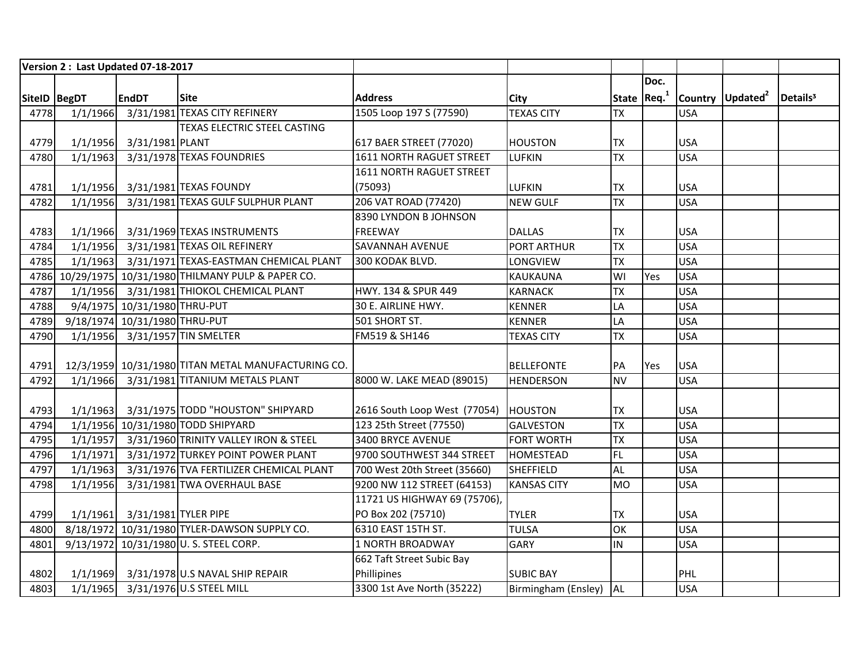|              |          | Version 2: Last Updated 07-18-2017 |                                                      |                              |                        |                 |      |            |                              |                      |
|--------------|----------|------------------------------------|------------------------------------------------------|------------------------------|------------------------|-----------------|------|------------|------------------------------|----------------------|
|              |          |                                    |                                                      |                              |                        |                 | Doc. |            |                              |                      |
| SiteID BegDT |          | <b>EndDT</b>                       | <b>Site</b>                                          | <b>Address</b>               | City                   | State $Req1$    |      |            | Country Updated <sup>2</sup> | Details <sup>3</sup> |
| 4778         | 1/1/1966 |                                    | 3/31/1981 TEXAS CITY REFINERY                        | 1505 Loop 197 S (77590)      | <b>TEXAS CITY</b>      | <b>TX</b>       |      | <b>USA</b> |                              |                      |
|              |          |                                    | <b>TEXAS ELECTRIC STEEL CASTING</b>                  |                              |                        |                 |      |            |                              |                      |
| 4779         |          | 1/1/1956 3/31/1981 PLANT           |                                                      | 617 BAER STREET (77020)      | <b>HOUSTON</b>         | <b>TX</b>       |      | <b>USA</b> |                              |                      |
| 4780         | 1/1/1963 |                                    | 3/31/1978 TEXAS FOUNDRIES                            | 1611 NORTH RAGUET STREET     | <b>LUFKIN</b>          | <b>TX</b>       |      | <b>USA</b> |                              |                      |
|              |          |                                    |                                                      | 1611 NORTH RAGUET STREET     |                        |                 |      |            |                              |                      |
| 4781         |          |                                    | 1/1/1956 3/31/1981 TEXAS FOUNDY                      | (75093)                      | <b>LUFKIN</b>          | <b>TX</b>       |      | <b>USA</b> |                              |                      |
| 4782         | 1/1/1956 |                                    | 3/31/1981 TEXAS GULF SULPHUR PLANT                   | 206 VAT ROAD (77420)         | <b>NEW GULF</b>        | $\overline{TX}$ |      | <b>USA</b> |                              |                      |
|              |          |                                    |                                                      | 8390 LYNDON B JOHNSON        |                        |                 |      |            |                              |                      |
| 4783         |          |                                    | 1/1/1966 3/31/1969 TEXAS INSTRUMENTS                 | FREEWAY                      | <b>DALLAS</b>          | <b>TX</b>       |      | <b>USA</b> |                              |                      |
| 4784         | 1/1/1956 |                                    | 3/31/1981 TEXAS OIL REFINERY                         | <b>SAVANNAH AVENUE</b>       | <b>PORT ARTHUR</b>     | <b>TX</b>       |      | <b>USA</b> |                              |                      |
| 4785         | 1/1/1963 |                                    | 3/31/1971 TEXAS-EASTMAN CHEMICAL PLANT               | 300 KODAK BLVD.              | LONGVIEW               | <b>TX</b>       |      | <b>USA</b> |                              |                      |
|              |          |                                    | 4786 10/29/1975 10/31/1980 THILMANY PULP & PAPER CO. |                              | KAUKAUNA               | WI              | Yes  | <b>USA</b> |                              |                      |
| 4787         |          |                                    | 1/1/1956 3/31/1981 THIOKOL CHEMICAL PLANT            | HWY. 134 & SPUR 449          | <b>KARNACK</b>         | <b>TX</b>       |      | <b>USA</b> |                              |                      |
| 4788         |          | 9/4/1975 10/31/1980 THRU-PUT       |                                                      | 30 E. AIRLINE HWY.           | <b>KENNER</b>          | LA              |      | <b>USA</b> |                              |                      |
| 4789         |          | 9/18/1974 10/31/1980 THRU-PUT      |                                                      | 501 SHORT ST.                | <b>KENNER</b>          | LA              |      | <b>USA</b> |                              |                      |
| 4790         |          |                                    | 1/1/1956 3/31/1957 TIN SMELTER                       | FM519 & SH146                | <b>TEXAS CITY</b>      | <b>TX</b>       |      | <b>USA</b> |                              |                      |
|              |          |                                    |                                                      |                              |                        |                 |      |            |                              |                      |
| 4791         |          |                                    | 12/3/1959 10/31/1980 TITAN METAL MANUFACTURING CO.   |                              | <b>BELLEFONTE</b>      | PA              | Yes  | <b>USA</b> |                              |                      |
| 4792         |          |                                    | 1/1/1966 3/31/1981 TITANIUM METALS PLANT             | 8000 W. LAKE MEAD (89015)    | <b>HENDERSON</b>       | <b>NV</b>       |      | <b>USA</b> |                              |                      |
|              |          |                                    |                                                      |                              |                        |                 |      |            |                              |                      |
| 4793         |          |                                    | 1/1/1963 3/31/1975 TODD "HOUSTON" SHIPYARD           | 2616 South Loop West (77054) | HOUSTON                | <b>TX</b>       |      | <b>USA</b> |                              |                      |
| 4794         |          |                                    | 1/1/1956 10/31/1980 TODD SHIPYARD                    | 123 25th Street (77550)      | <b>GALVESTON</b>       | <b>TX</b>       |      | <b>USA</b> |                              |                      |
| 4795         |          |                                    | 1/1/1957 3/31/1960 TRINITY VALLEY IRON & STEEL       | 3400 BRYCE AVENUE            | <b>FORT WORTH</b>      | <b>TX</b>       |      | <b>USA</b> |                              |                      |
| 4796         | 1/1/1971 |                                    | 3/31/1972 TURKEY POINT POWER PLANT                   | 9700 SOUTHWEST 344 STREET    | <b>HOMESTEAD</b>       | FL.             |      | <b>USA</b> |                              |                      |
| 4797         | 1/1/1963 |                                    | 3/31/1976 TVA FERTILIZER CHEMICAL PLANT              | 700 West 20th Street (35660) | <b>SHEFFIELD</b>       | <b>AL</b>       |      | <b>USA</b> |                              |                      |
| 4798         | 1/1/1956 |                                    | 3/31/1981 TWA OVERHAUL BASE                          | 9200 NW 112 STREET (64153)   | <b>KANSAS CITY</b>     | <b>MO</b>       |      | <b>USA</b> |                              |                      |
|              |          |                                    |                                                      | 11721 US HIGHWAY 69 (75706), |                        |                 |      |            |                              |                      |
| 4799         |          | 1/1/1961 3/31/1981 TYLER PIPE      |                                                      | PO Box 202 (75710)           | <b>TYLER</b>           | <b>TX</b>       |      | <b>USA</b> |                              |                      |
| 4800         |          |                                    | 8/18/1972 10/31/1980 TYLER-DAWSON SUPPLY CO.         | 6310 EAST 15TH ST.           | <b>TULSA</b>           | OK              |      | <b>USA</b> |                              |                      |
| 4801         |          |                                    | 9/13/1972 10/31/1980 U.S. STEEL CORP.                | 1 NORTH BROADWAY             | <b>GARY</b>            | IN              |      | <b>USA</b> |                              |                      |
|              |          |                                    |                                                      | 662 Taft Street Subic Bay    |                        |                 |      |            |                              |                      |
| 4802         |          |                                    | 1/1/1969 3/31/1978 U.S NAVAL SHIP REPAIR             | Phillipines                  | <b>SUBIC BAY</b>       |                 |      | PHL        |                              |                      |
| 4803         |          |                                    | 1/1/1965 3/31/1976 U.S STEEL MILL                    | 3300 1st Ave North (35222)   | Birmingham (Ensley) AL |                 |      | <b>USA</b> |                              |                      |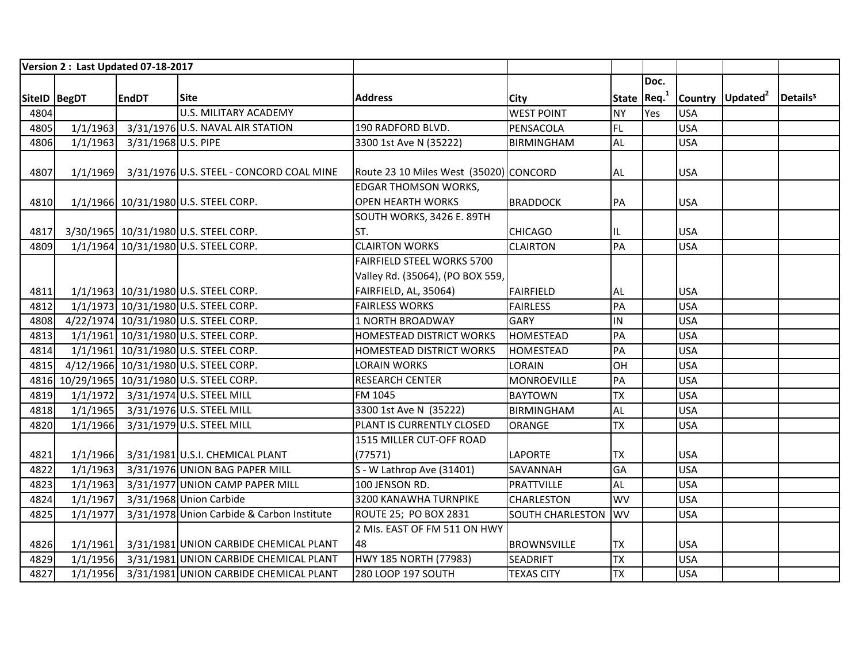|              |          | Version 2: Last Updated 07-18-2017 |                                                   |                                        |                            |                |      |            |                              |                      |
|--------------|----------|------------------------------------|---------------------------------------------------|----------------------------------------|----------------------------|----------------|------|------------|------------------------------|----------------------|
|              |          |                                    |                                                   |                                        |                            |                | Doc. |            |                              |                      |
| SiteID BegDT |          | <b>EndDT</b>                       | <b>Site</b>                                       | <b>Address</b>                         | City                       | State $ Req.1$ |      |            | Country Updated <sup>2</sup> | Details <sup>3</sup> |
| 4804         |          |                                    | <b>U.S. MILITARY ACADEMY</b>                      |                                        | <b>WEST POINT</b>          | <b>NY</b>      | Yes  | <b>USA</b> |                              |                      |
| 4805         | 1/1/1963 |                                    | 3/31/1976 U.S. NAVAL AIR STATION                  | 190 RADFORD BLVD.                      | PENSACOLA                  | FL             |      | <b>USA</b> |                              |                      |
| 4806         | 1/1/1963 | 3/31/1968 U.S. PIPE                |                                                   | 3300 1st Ave N (35222)                 | BIRMINGHAM                 | <b>AL</b>      |      | <b>USA</b> |                              |                      |
|              |          |                                    |                                                   |                                        |                            |                |      |            |                              |                      |
| 4807         |          |                                    | 1/1/1969 3/31/1976 U.S. STEEL - CONCORD COAL MINE | Route 23 10 Miles West (35020) CONCORD |                            | <b>AL</b>      |      | <b>USA</b> |                              |                      |
|              |          |                                    |                                                   | <b>EDGAR THOMSON WORKS,</b>            |                            |                |      |            |                              |                      |
| 4810         |          |                                    | 1/1/1966 10/31/1980 U.S. STEEL CORP.              | <b>OPEN HEARTH WORKS</b>               | <b>BRADDOCK</b>            | PA             |      | <b>USA</b> |                              |                      |
|              |          |                                    |                                                   | SOUTH WORKS, 3426 E. 89TH              |                            |                |      |            |                              |                      |
| 4817         |          |                                    | 3/30/1965 10/31/1980 U.S. STEEL CORP.             | ST.                                    | <b>CHICAGO</b>             | IL             |      | <b>USA</b> |                              |                      |
| 4809         |          |                                    | 1/1/1964 10/31/1980 U.S. STEEL CORP.              | <b>CLAIRTON WORKS</b>                  | <b>CLAIRTON</b>            | PA             |      | <b>USA</b> |                              |                      |
|              |          |                                    |                                                   | FAIRFIELD STEEL WORKS 5700             |                            |                |      |            |                              |                      |
|              |          |                                    |                                                   | Valley Rd. (35064), (PO BOX 559,       |                            |                |      |            |                              |                      |
| 4811         |          |                                    | 1/1/1963 10/31/1980 U.S. STEEL CORP.              | FAIRFIELD, AL, 35064)                  | <b>FAIRFIELD</b>           | <b>AL</b>      |      | <b>USA</b> |                              |                      |
| 4812         |          |                                    | 1/1/1973 10/31/1980 U.S. STEEL CORP.              | <b>FAIRLESS WORKS</b>                  | <b>FAIRLESS</b>            | PA             |      | <b>USA</b> |                              |                      |
| 4808         |          |                                    | 4/22/1974 10/31/1980 U.S. STEEL CORP.             | <b>1 NORTH BROADWAY</b>                | <b>GARY</b>                | IN             |      | <b>USA</b> |                              |                      |
| 4813         |          |                                    | 1/1/1961 10/31/1980 U.S. STEEL CORP.              | <b>HOMESTEAD DISTRICT WORKS</b>        | <b>HOMESTEAD</b>           | PA             |      | <b>USA</b> |                              |                      |
| 4814         |          |                                    | 1/1/1961 10/31/1980 U.S. STEEL CORP.              | <b>HOMESTEAD DISTRICT WORKS</b>        | <b>HOMESTEAD</b>           | PA             |      | <b>USA</b> |                              |                      |
| 4815         |          |                                    | 4/12/1966 10/31/1980 U.S. STEEL CORP.             | LORAIN WORKS                           | LORAIN                     | OH             |      | <b>USA</b> |                              |                      |
|              |          |                                    | 4816 10/29/1965 10/31/1980 U.S. STEEL CORP.       | <b>RESEARCH CENTER</b>                 | MONROEVILLE                | PA             |      | <b>USA</b> |                              |                      |
| 4819         |          |                                    | 1/1/1972 3/31/1974 U.S. STEEL MILL                | FM 1045                                | <b>BAYTOWN</b>             | <b>TX</b>      |      | <b>USA</b> |                              |                      |
| 4818         | 1/1/1965 |                                    | 3/31/1976 U.S. STEEL MILL                         | 3300 1st Ave N (35222)                 | <b>BIRMINGHAM</b>          | <b>AL</b>      |      | <b>USA</b> |                              |                      |
| 4820         | 1/1/1966 |                                    | 3/31/1979 U.S. STEEL MILL                         | PLANT IS CURRENTLY CLOSED              | <b>ORANGE</b>              | <b>TX</b>      |      | <b>USA</b> |                              |                      |
|              |          |                                    |                                                   | 1515 MILLER CUT-OFF ROAD               |                            |                |      |            |                              |                      |
| 4821         | 1/1/1966 |                                    | 3/31/1981 U.S.I. CHEMICAL PLANT                   | (77571)                                | <b>LAPORTE</b>             | <b>TX</b>      |      | <b>USA</b> |                              |                      |
| 4822         | 1/1/1963 |                                    | 3/31/1976 UNION BAG PAPER MILL                    | S - W Lathrop Ave (31401)              | SAVANNAH                   | <b>GA</b>      |      | <b>USA</b> |                              |                      |
| 4823         | 1/1/1963 |                                    | 3/31/1977 UNION CAMP PAPER MILL                   | 100 JENSON RD.                         | <b>PRATTVILLE</b>          | <b>AL</b>      |      | <b>USA</b> |                              |                      |
| 4824         | 1/1/1967 |                                    | 3/31/1968 Union Carbide                           | 3200 KANAWHA TURNPIKE                  | CHARLESTON                 | WV             |      | <b>USA</b> |                              |                      |
| 4825         | 1/1/1977 |                                    | 3/31/1978 Union Carbide & Carbon Institute        | ROUTE 25; PO BOX 2831                  | <b>SOUTH CHARLESTON WV</b> |                |      | <b>USA</b> |                              |                      |
|              |          |                                    |                                                   | 2 MIs. EAST OF FM 511 ON HWY           |                            |                |      |            |                              |                      |
| 4826         | 1/1/1961 |                                    | 3/31/1981 UNION CARBIDE CHEMICAL PLANT            | 48                                     | <b>BROWNSVILLE</b>         | <b>TX</b>      |      | <b>USA</b> |                              |                      |
| 4829         | 1/1/1956 |                                    | 3/31/1981 UNION CARBIDE CHEMICAL PLANT            | HWY 185 NORTH (77983)                  | SEADRIFT                   | <b>TX</b>      |      | <b>USA</b> |                              |                      |
| 4827         |          |                                    | 1/1/1956 3/31/1981 UNION CARBIDE CHEMICAL PLANT   | 280 LOOP 197 SOUTH                     | <b>TEXAS CITY</b>          | <b>TX</b>      |      | <b>USA</b> |                              |                      |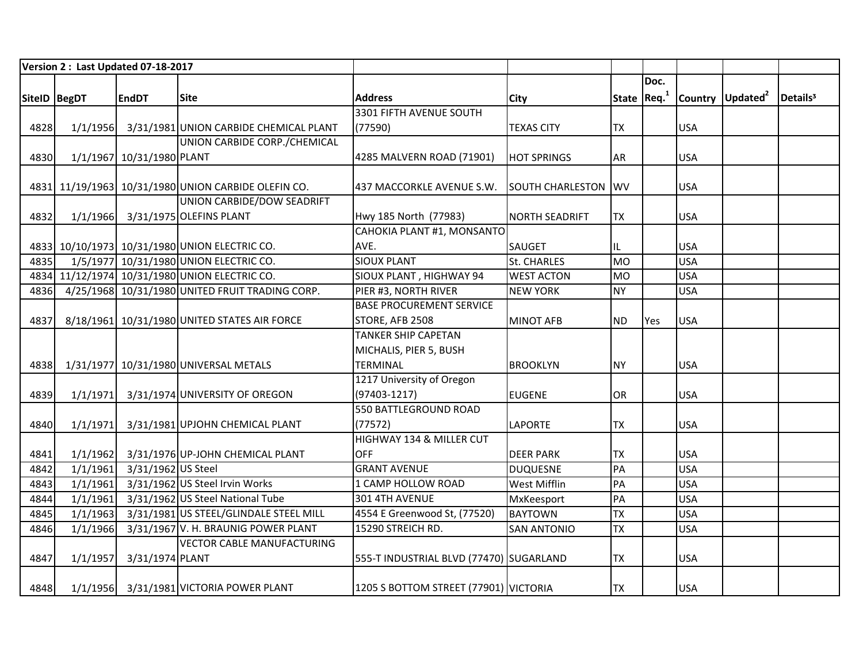| Version 2: Last Updated 07-18-2017 |          |                           |                                                     |                                         |                            |                         |      |            |                              |                      |
|------------------------------------|----------|---------------------------|-----------------------------------------------------|-----------------------------------------|----------------------------|-------------------------|------|------------|------------------------------|----------------------|
|                                    |          |                           |                                                     |                                         |                            |                         | Doc. |            |                              |                      |
| SiteID BegDT                       |          | <b>EndDT</b>              | <b>Site</b>                                         | <b>Address</b>                          | <b>City</b>                | State Req. <sup>1</sup> |      |            | Country Updated <sup>2</sup> | Details <sup>3</sup> |
|                                    |          |                           |                                                     | 3301 FIFTH AVENUE SOUTH                 |                            |                         |      |            |                              |                      |
| 4828                               | 1/1/1956 |                           | 3/31/1981 UNION CARBIDE CHEMICAL PLANT              | (77590)                                 | <b>TEXAS CITY</b>          | <b>TX</b>               |      | <b>USA</b> |                              |                      |
|                                    |          |                           | UNION CARBIDE CORP./CHEMICAL                        |                                         |                            |                         |      |            |                              |                      |
| 4830                               |          | 1/1/1967 10/31/1980 PLANT |                                                     | 4285 MALVERN ROAD (71901)               | <b>HOT SPRINGS</b>         | <b>AR</b>               |      | <b>USA</b> |                              |                      |
|                                    |          |                           |                                                     |                                         |                            |                         |      |            |                              |                      |
|                                    |          |                           | 4831 11/19/1963 10/31/1980 UNION CARBIDE OLEFIN CO. | 437 MACCORKLE AVENUE S.W.               | <b>SOUTH CHARLESTON WV</b> |                         |      | <b>USA</b> |                              |                      |
|                                    |          |                           | UNION CARBIDE/DOW SEADRIFT                          |                                         |                            |                         |      |            |                              |                      |
| 4832                               |          |                           | 1/1/1966 3/31/1975 OLEFINS PLANT                    | Hwy 185 North (77983)                   | <b>NORTH SEADRIFT</b>      | <b>TX</b>               |      | <b>USA</b> |                              |                      |
|                                    |          |                           |                                                     | CAHOKIA PLANT #1, MONSANTO              |                            |                         |      |            |                              |                      |
|                                    |          |                           | 4833 10/10/1973 10/31/1980 UNION ELECTRIC CO.       | AVE.                                    | SAUGET                     | IL                      |      | <b>USA</b> |                              |                      |
| 4835                               |          |                           | 1/5/1977 10/31/1980 UNION ELECTRIC CO.              | <b>SIOUX PLANT</b>                      | <b>St. CHARLES</b>         | <b>MO</b>               |      | <b>USA</b> |                              |                      |
|                                    |          |                           | 4834 11/12/1974 10/31/1980 UNION ELECTRIC CO.       | SIOUX PLANT, HIGHWAY 94                 | <b>WEST ACTON</b>          | <b>MO</b>               |      | <b>USA</b> |                              |                      |
| 4836                               |          |                           | 4/25/1968 10/31/1980 UNITED FRUIT TRADING CORP.     | PIER #3, NORTH RIVER                    | <b>NEW YORK</b>            | <b>NY</b>               |      | <b>USA</b> |                              |                      |
|                                    |          |                           |                                                     | <b>BASE PROCUREMENT SERVICE</b>         |                            |                         |      |            |                              |                      |
| 4837                               |          |                           | 8/18/1961 10/31/1980 UNITED STATES AIR FORCE        | STORE, AFB 2508                         | <b>MINOT AFB</b>           | <b>ND</b>               | Yes  | <b>USA</b> |                              |                      |
|                                    |          |                           |                                                     | <b>TANKER SHIP CAPETAN</b>              |                            |                         |      |            |                              |                      |
|                                    |          |                           |                                                     | MICHALIS, PIER 5, BUSH                  |                            |                         |      |            |                              |                      |
| 4838                               |          |                           | 1/31/1977 10/31/1980 UNIVERSAL METALS               | <b>TERMINAL</b>                         | <b>BROOKLYN</b>            | <b>NY</b>               |      | <b>USA</b> |                              |                      |
|                                    |          |                           |                                                     | 1217 University of Oregon               |                            |                         |      |            |                              |                      |
| 4839                               |          |                           | 1/1/1971 3/31/1974 UNIVERSITY OF OREGON             | $(97403 - 1217)$                        | <b>EUGENE</b>              | OR                      |      | <b>USA</b> |                              |                      |
|                                    |          |                           |                                                     | 550 BATTLEGROUND ROAD                   |                            |                         |      |            |                              |                      |
| 4840                               | 1/1/1971 |                           | 3/31/1981 UPJOHN CHEMICAL PLANT                     | (77572)                                 | <b>LAPORTE</b>             | <b>TX</b>               |      | <b>USA</b> |                              |                      |
|                                    |          |                           |                                                     | HIGHWAY 134 & MILLER CUT                |                            |                         |      |            |                              |                      |
| 4841                               | 1/1/1962 |                           | 3/31/1976 UP-JOHN CHEMICAL PLANT                    | <b>OFF</b>                              | <b>DEER PARK</b>           | <b>TX</b>               |      | <b>USA</b> |                              |                      |
| 4842                               | 1/1/1961 | 3/31/1962 US Steel        |                                                     | <b>GRANT AVENUE</b>                     | <b>DUQUESNE</b>            | PA                      |      | <b>USA</b> |                              |                      |
| 4843                               | 1/1/1961 |                           | 3/31/1962 US Steel Irvin Works                      | 1 CAMP HOLLOW ROAD                      | West Mifflin               | PA                      |      | <b>USA</b> |                              |                      |
| 4844                               | 1/1/1961 |                           | 3/31/1962 US Steel National Tube                    | 301 4TH AVENUE                          | MxKeesport                 | PA                      |      | <b>USA</b> |                              |                      |
| 4845                               | 1/1/1963 |                           | 3/31/1981 US STEEL/GLINDALE STEEL MILL              | 4554 E Greenwood St, (77520)            | <b>BAYTOWN</b>             | <b>TX</b>               |      | <b>USA</b> |                              |                      |
| 4846                               | 1/1/1966 |                           | 3/31/1967 V. H. BRAUNIG POWER PLANT                 | 15290 STREICH RD.                       | <b>SAN ANTONIO</b>         | <b>TX</b>               |      | <b>USA</b> |                              |                      |
|                                    |          |                           | <b>VECTOR CABLE MANUFACTURING</b>                   |                                         |                            |                         |      |            |                              |                      |
| 4847                               | 1/1/1957 | 3/31/1974 PLANT           |                                                     | 555-T INDUSTRIAL BLVD (77470) SUGARLAND |                            | <b>TX</b>               |      | <b>USA</b> |                              |                      |
|                                    |          |                           |                                                     |                                         |                            |                         |      |            |                              |                      |
| 4848                               |          |                           | 1/1/1956 3/31/1981 VICTORIA POWER PLANT             | 1205 S BOTTOM STREET (77901) VICTORIA   |                            | <b>TX</b>               |      | <b>USA</b> |                              |                      |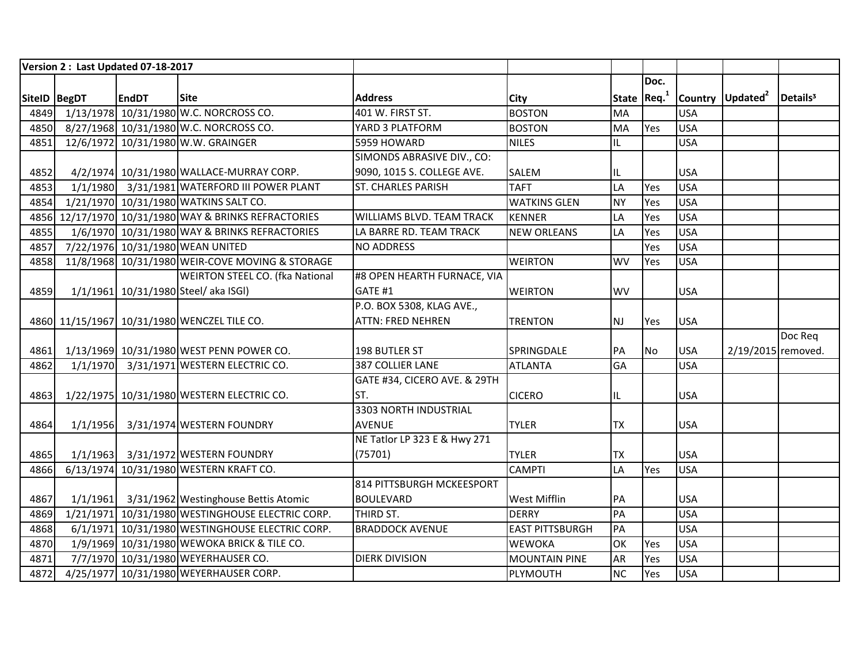| Version 2: Last Updated 07-18-2017 |          |              |                                                      |                              |                        |                     |           |            |                              |                      |
|------------------------------------|----------|--------------|------------------------------------------------------|------------------------------|------------------------|---------------------|-----------|------------|------------------------------|----------------------|
|                                    |          |              |                                                      |                              |                        |                     | Doc.      |            |                              |                      |
| SiteID   BegDT                     |          | <b>EndDT</b> | <b>Site</b>                                          | <b>Address</b>               | <b>City</b>            | State $ $ Req. $^1$ |           |            | Country Updated <sup>2</sup> | Details <sup>3</sup> |
|                                    |          |              | 4849 1/13/1978 10/31/1980 W.C. NORCROSS CO.          | 401 W. FIRST ST.             | <b>BOSTON</b>          | <b>MA</b>           |           | <b>USA</b> |                              |                      |
| 4850                               |          |              | 8/27/1968 10/31/1980 W.C. NORCROSS CO.               | YARD 3 PLATFORM              | <b>BOSTON</b>          | MA                  | Yes       | <b>USA</b> |                              |                      |
| 4851                               |          |              | 12/6/1972 10/31/1980 W.W. GRAINGER                   | 5959 HOWARD                  | <b>NILES</b>           | IL                  |           | <b>USA</b> |                              |                      |
|                                    |          |              |                                                      | SIMONDS ABRASIVE DIV., CO:   |                        |                     |           |            |                              |                      |
| 4852                               |          |              | 4/2/1974 10/31/1980 WALLACE-MURRAY CORP.             | 9090, 1015 S. COLLEGE AVE.   | SALEM                  | IL                  |           | <b>USA</b> |                              |                      |
| 4853                               |          |              | 1/1/1980 3/31/1981 WATERFORD III POWER PLANT         | <b>ST. CHARLES PARISH</b>    | <b>TAFT</b>            | LA                  | Yes       | <b>USA</b> |                              |                      |
| 4854                               |          |              | 1/21/1970 10/31/1980 WATKINS SALT CO.                |                              | <b>WATKINS GLEN</b>    | <b>NY</b>           | Yes       | <b>USA</b> |                              |                      |
|                                    |          |              | 4856 12/17/1970 10/31/1980 WAY & BRINKS REFRACTORIES | WILLIAMS BLVD. TEAM TRACK    | <b>KENNER</b>          | LA                  | Yes       | <b>USA</b> |                              |                      |
| 4855                               |          |              | 1/6/1970 10/31/1980 WAY & BRINKS REFRACTORIES        | LA BARRE RD. TEAM TRACK      | <b>NEW ORLEANS</b>     | LA                  | Yes       | <b>USA</b> |                              |                      |
| 4857                               |          |              | 7/22/1976 10/31/1980 WEAN UNITED                     | <b>NO ADDRESS</b>            |                        |                     | Yes       | <b>USA</b> |                              |                      |
| 4858                               |          |              | 11/8/1968 10/31/1980 WEIR-COVE MOVING & STORAGE      |                              | <b>WEIRTON</b>         | <b>WV</b>           | Yes       | <b>USA</b> |                              |                      |
|                                    |          |              | <b>WEIRTON STEEL CO. (fka National</b>               | #8 OPEN HEARTH FURNACE, VIA  |                        |                     |           |            |                              |                      |
| 4859                               |          |              | 1/1/1961 10/31/1980 Steel/ aka ISGI)                 | GATE #1                      | <b>WEIRTON</b>         | <b>WV</b>           |           | <b>USA</b> |                              |                      |
|                                    |          |              |                                                      | P.O. BOX 5308, KLAG AVE.,    |                        |                     |           |            |                              |                      |
|                                    |          |              | 4860 11/15/1967 10/31/1980 WENCZEL TILE CO.          | <b>ATTN: FRED NEHREN</b>     | <b>TRENTON</b>         | <b>NJ</b>           | Yes       | <b>USA</b> |                              |                      |
|                                    |          |              |                                                      |                              |                        |                     |           |            |                              | Doc Req              |
| 4861                               |          |              | 1/13/1969 10/31/1980 WEST PENN POWER CO.             | 198 BUTLER ST                | SPRINGDALE             | PA                  | <b>No</b> | <b>USA</b> | 2/19/2015 removed.           |                      |
| 4862                               | 1/1/1970 |              | 3/31/1971 WESTERN ELECTRIC CO.                       | 387 COLLIER LANE             | <b>ATLANTA</b>         | GA                  |           | <b>USA</b> |                              |                      |
|                                    |          |              |                                                      | GATE #34, CICERO AVE. & 29TH |                        |                     |           |            |                              |                      |
| 4863                               |          |              | 1/22/1975 10/31/1980 WESTERN ELECTRIC CO.            | ST.                          | <b>CICERO</b>          | IL                  |           | <b>USA</b> |                              |                      |
|                                    |          |              |                                                      | 3303 NORTH INDUSTRIAL        |                        |                     |           |            |                              |                      |
| 4864                               | 1/1/1956 |              | 3/31/1974 WESTERN FOUNDRY                            | <b>AVENUE</b>                | <b>TYLER</b>           | <b>TX</b>           |           | <b>USA</b> |                              |                      |
|                                    |          |              |                                                      | NE Tatlor LP 323 E & Hwy 271 |                        |                     |           |            |                              |                      |
| 4865                               |          |              | 1/1/1963 3/31/1972 WESTERN FOUNDRY                   | (75701)                      | <b>TYLER</b>           | <b>TX</b>           |           | <b>USA</b> |                              |                      |
| 4866                               |          |              | 6/13/1974 10/31/1980 WESTERN KRAFT CO.               |                              | <b>CAMPTI</b>          | LA                  | Yes       | <b>USA</b> |                              |                      |
|                                    |          |              |                                                      | 814 PITTSBURGH MCKEESPORT    |                        |                     |           |            |                              |                      |
| 4867                               |          |              | 1/1/1961 3/31/1962 Westinghouse Bettis Atomic        | <b>BOULEVARD</b>             | <b>West Mifflin</b>    | PA                  |           | <b>USA</b> |                              |                      |
| 4869                               |          |              | 1/21/1971 10/31/1980 WESTINGHOUSE ELECTRIC CORP.     | THIRD ST.                    | <b>DERRY</b>           | PA                  |           | <b>USA</b> |                              |                      |
| 4868                               |          |              | 6/1/1971 10/31/1980 WESTINGHOUSE ELECTRIC CORP.      | <b>BRADDOCK AVENUE</b>       | <b>EAST PITTSBURGH</b> | PA                  |           | <b>USA</b> |                              |                      |
| 4870                               |          |              | 1/9/1969 10/31/1980 WEWOKA BRICK & TILE CO.          |                              | <b>WEWOKA</b>          | OK                  | Yes       | <b>USA</b> |                              |                      |
| 4871                               |          |              | 7/7/1970 10/31/1980 WEYERHAUSER CO.                  | <b>DIERK DIVISION</b>        | <b>MOUNTAIN PINE</b>   | AR                  | Yes       | <b>USA</b> |                              |                      |
| 4872                               |          |              | 4/25/1977 10/31/1980 WEYERHAUSER CORP.               |                              | PLYMOUTH               | <b>NC</b>           | Yes       | <b>USA</b> |                              |                      |